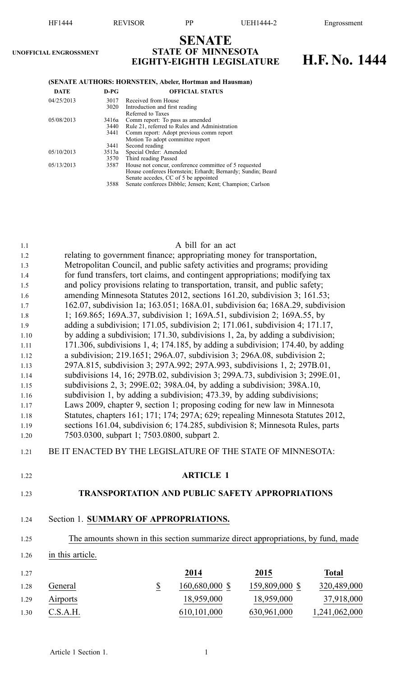|                                                                                                                                                             | HF1444                                                      | <b>REVISOR</b><br>PP<br><b>UEH1444-2</b><br>Engrossment |                                                                            |                                                                                                                                                                                                                                                                                                                                                                                                                                                                                                                                                                                                                                                                                                                                                                                                                                                                                                                                                                                                                                                                                                                                                                                                                                                                                             |      |                                                                                                                                                                                                                                                      |  |
|-------------------------------------------------------------------------------------------------------------------------------------------------------------|-------------------------------------------------------------|---------------------------------------------------------|----------------------------------------------------------------------------|---------------------------------------------------------------------------------------------------------------------------------------------------------------------------------------------------------------------------------------------------------------------------------------------------------------------------------------------------------------------------------------------------------------------------------------------------------------------------------------------------------------------------------------------------------------------------------------------------------------------------------------------------------------------------------------------------------------------------------------------------------------------------------------------------------------------------------------------------------------------------------------------------------------------------------------------------------------------------------------------------------------------------------------------------------------------------------------------------------------------------------------------------------------------------------------------------------------------------------------------------------------------------------------------|------|------------------------------------------------------------------------------------------------------------------------------------------------------------------------------------------------------------------------------------------------------|--|
|                                                                                                                                                             | UNOFFICIAL ENGROSSMENT                                      |                                                         |                                                                            | <b>SENATE</b><br><b>STATE OF MINNESOTA</b><br><b>EIGHTY-EIGHTH LEGISLATURE</b>                                                                                                                                                                                                                                                                                                                                                                                                                                                                                                                                                                                                                                                                                                                                                                                                                                                                                                                                                                                                                                                                                                                                                                                                              |      | H.F. No. 1444                                                                                                                                                                                                                                        |  |
|                                                                                                                                                             | (SENATE AUTHORS: HORNSTEIN, Abeler, Hortman and Hausman)    |                                                         |                                                                            |                                                                                                                                                                                                                                                                                                                                                                                                                                                                                                                                                                                                                                                                                                                                                                                                                                                                                                                                                                                                                                                                                                                                                                                                                                                                                             |      |                                                                                                                                                                                                                                                      |  |
|                                                                                                                                                             | <b>DATE</b>                                                 | $D-PG$                                                  |                                                                            | <b>OFFICIAL STATUS</b>                                                                                                                                                                                                                                                                                                                                                                                                                                                                                                                                                                                                                                                                                                                                                                                                                                                                                                                                                                                                                                                                                                                                                                                                                                                                      |      |                                                                                                                                                                                                                                                      |  |
|                                                                                                                                                             | 04/25/2013                                                  | 3017<br>3020                                            | Received from House<br>Introduction and first reading<br>Referred to Taxes |                                                                                                                                                                                                                                                                                                                                                                                                                                                                                                                                                                                                                                                                                                                                                                                                                                                                                                                                                                                                                                                                                                                                                                                                                                                                                             |      |                                                                                                                                                                                                                                                      |  |
|                                                                                                                                                             | 05/08/2013                                                  | 3416a<br>3440<br>3441                                   |                                                                            | Comm report: To pass as amended<br>Rule 21, referred to Rules and Administration<br>Comm report: Adopt previous comm report<br>Motion To adopt committee report                                                                                                                                                                                                                                                                                                                                                                                                                                                                                                                                                                                                                                                                                                                                                                                                                                                                                                                                                                                                                                                                                                                             |      |                                                                                                                                                                                                                                                      |  |
|                                                                                                                                                             | 05/10/2013                                                  | 3441<br>3513a                                           | Second reading<br>Special Order: Amended                                   |                                                                                                                                                                                                                                                                                                                                                                                                                                                                                                                                                                                                                                                                                                                                                                                                                                                                                                                                                                                                                                                                                                                                                                                                                                                                                             |      |                                                                                                                                                                                                                                                      |  |
|                                                                                                                                                             | 05/13/2013                                                  | 3570<br>3587                                            | Third reading Passed                                                       | House not concur, conference committee of 5 requested                                                                                                                                                                                                                                                                                                                                                                                                                                                                                                                                                                                                                                                                                                                                                                                                                                                                                                                                                                                                                                                                                                                                                                                                                                       |      |                                                                                                                                                                                                                                                      |  |
|                                                                                                                                                             |                                                             | 3588                                                    |                                                                            | House conferees Hornstein; Erhardt; Bernardy; Sundin; Beard<br>Senate accedes, CC of 5 be appointed<br>Senate conferees Dibble; Jensen; Kent; Champion; Carlson                                                                                                                                                                                                                                                                                                                                                                                                                                                                                                                                                                                                                                                                                                                                                                                                                                                                                                                                                                                                                                                                                                                             |      |                                                                                                                                                                                                                                                      |  |
| 1.1<br>1.2<br>1.3<br>1.4<br>1.5<br>1.6<br>1.7<br>1.8<br>1.9<br>1.10<br>1.11<br>1.12<br>1.13<br>1.14<br>1.15<br>1.16<br>1.17<br>1.18<br>1.19<br>1.20<br>1.21 | BE IT ENACTED BY THE LEGISLATURE OF THE STATE OF MINNESOTA: |                                                         |                                                                            | A bill for an act<br>relating to government finance; appropriating money for transportation,<br>Metropolitan Council, and public safety activities and programs; providing<br>for fund transfers, tort claims, and contingent appropriations; modifying tax<br>and policy provisions relating to transportation, transit, and public safety;<br>amending Minnesota Statutes 2012, sections 161.20, subdivision 3; 161.53;<br>1; 169.865; 169A.37, subdivision 1; 169A.51, subdivision 2; 169A.55, by<br>adding a subdivision; 171.05, subdivision 2; 171.061, subdivision 4; 171.17,<br>by adding a subdivision; 171.30, subdivisions 1, 2a, by adding a subdivision;<br>a subdivision; 219.1651; 296A.07, subdivision 3; 296A.08, subdivision 2;<br>297A.815, subdivision 3; 297A.992; 297A.993, subdivisions 1, 2; 297B.01,<br>subdivisions 14, 16; 297B.02, subdivision 3; 299A.73, subdivision 3; 299E.01,<br>subdivisions 2, 3; $299E.02$ ; $398A.04$ , by adding a subdivision; $398A.10$ ,<br>subdivision 1, by adding a subdivision; 473.39, by adding subdivisions;<br>Laws 2009, chapter 9, section 1; proposing coding for new law in Minnesota<br>sections 161.04, subdivision 6; 174.285, subdivision 8; Minnesota Rules, parts<br>7503.0300, subpart 1; 7503.0800, subpart 2. |      | 162.07, subdivision 1a; 163.051; 168A.01, subdivision 6a; 168A.29, subdivision<br>171.306, subdivisions 1, 4; 174.185, by adding a subdivision; 174.40, by adding<br>Statutes, chapters 161; 171; 174; 297A; 629; repealing Minnesota Statutes 2012, |  |
| 1.22                                                                                                                                                        |                                                             |                                                         |                                                                            | <b>ARTICLE 1</b>                                                                                                                                                                                                                                                                                                                                                                                                                                                                                                                                                                                                                                                                                                                                                                                                                                                                                                                                                                                                                                                                                                                                                                                                                                                                            |      |                                                                                                                                                                                                                                                      |  |
| 1.23                                                                                                                                                        |                                                             |                                                         |                                                                            | <b>TRANSPORTATION AND PUBLIC SAFETY APPROPRIATIONS</b>                                                                                                                                                                                                                                                                                                                                                                                                                                                                                                                                                                                                                                                                                                                                                                                                                                                                                                                                                                                                                                                                                                                                                                                                                                      |      |                                                                                                                                                                                                                                                      |  |
| 1.24                                                                                                                                                        | Section 1. SUMMARY OF APPROPRIATIONS.                       |                                                         |                                                                            |                                                                                                                                                                                                                                                                                                                                                                                                                                                                                                                                                                                                                                                                                                                                                                                                                                                                                                                                                                                                                                                                                                                                                                                                                                                                                             |      |                                                                                                                                                                                                                                                      |  |
| 1.25                                                                                                                                                        |                                                             |                                                         |                                                                            |                                                                                                                                                                                                                                                                                                                                                                                                                                                                                                                                                                                                                                                                                                                                                                                                                                                                                                                                                                                                                                                                                                                                                                                                                                                                                             |      | The amounts shown in this section summarize direct appropriations, by fund, made                                                                                                                                                                     |  |
| 1.26                                                                                                                                                        | in this article.                                            |                                                         |                                                                            |                                                                                                                                                                                                                                                                                                                                                                                                                                                                                                                                                                                                                                                                                                                                                                                                                                                                                                                                                                                                                                                                                                                                                                                                                                                                                             |      |                                                                                                                                                                                                                                                      |  |
| 1.27                                                                                                                                                        |                                                             |                                                         |                                                                            | 2014                                                                                                                                                                                                                                                                                                                                                                                                                                                                                                                                                                                                                                                                                                                                                                                                                                                                                                                                                                                                                                                                                                                                                                                                                                                                                        | 2015 | <b>Total</b>                                                                                                                                                                                                                                         |  |

| LZ 1 |                 | 2014           | <b><i>LUIS</i></b> | 10tal         |
|------|-----------------|----------------|--------------------|---------------|
| 1.28 | General         | 160,680,000 \$ | 159,809,000 \$     | 320,489,000   |
| 1.29 | <b>Airports</b> | 18,959,000     | 18,959,000         | 37,918,000    |
| 1.30 | C.S.A.H.        | 610, 101, 000  | 630,961,000        | 1,241,062,000 |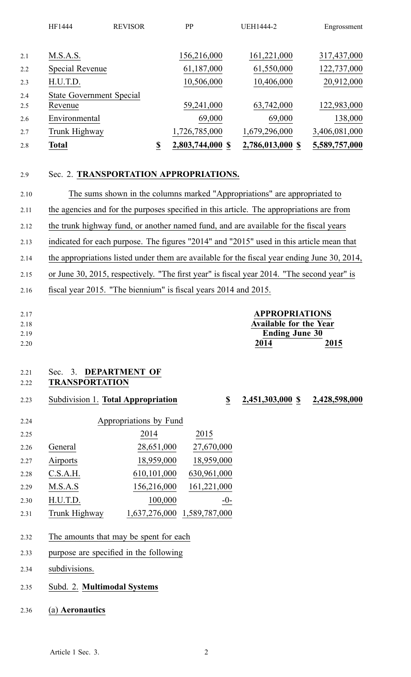|     | HF1444          | <b>REVISOR</b>                  | PP                     | <b>UEH1444-2</b> | Engrossment   |
|-----|-----------------|---------------------------------|------------------------|------------------|---------------|
|     |                 |                                 |                        |                  |               |
| 2.1 | M.S.A.S.        |                                 | 156,216,000            | 161,221,000      | 317,437,000   |
| 2.2 | Special Revenue |                                 | 61,187,000             | 61,550,000       | 122,737,000   |
| 2.3 | H.U.T.D.        |                                 | 10,506,000             | 10,406,000       | 20,912,000    |
| 2.4 |                 | <b>State Government Special</b> |                        |                  |               |
| 2.5 | Revenue         |                                 | 59,241,000             | 63,742,000       | 122,983,000   |
| 2.6 | Environmental   |                                 | 69,000                 | 69,000           | 138,000       |
| 2.7 | Trunk Highway   |                                 | 1,726,785,000          | 1,679,296,000    | 3,406,081,000 |
| 2.8 | <b>Total</b>    |                                 | \$<br>2,803,744,000 \$ | 2,786,013,000 \$ | 5,589,757,000 |
|     |                 |                                 |                        |                  |               |
|     |                 |                                 |                        |                  |               |

### 2.9 Sec. 2. **TRANSPORTATION APPROPRIATIONS.**

2.10 The sums shown in the columns marked "Appropriations" are appropriated to 2.11 the agencies and for the purposes specified in this article. The appropriations are from 2.12 the trunk highway fund, or another named fund, and are available for the fiscal years 2.13 indicated for each purpose. The figures "2014" and "2015" used in this article mean that 2.14 the appropriations listed under them are available for the fiscal year ending June 30, 2014, 2.15 or June 30, 2015, respectively. "The first year" is fiscal year 2014. "The second year" is 2.16 fiscal year 2015. "The biennium" is fiscal years 2014 and 2015.

| 2.17 | <b>APPROPRIATIONS</b>         |
|------|-------------------------------|
| 2.18 | <b>Available for the Year</b> |
| 2.19 | <b>Ending June 30</b>         |
| 2.20 | 2015<br>2014                  |

# 2.21 Sec. 3. **DEPARTMENT OF**

- 2.22 **TRANSPORTATION**
- 2.23 Subdivision 1. **Total Appropriation \$ 2,451,303,000 \$ 2,428,598,000**

| 2.24 |               | Appropriations by Fund      |             |
|------|---------------|-----------------------------|-------------|
| 2.25 |               | 2014                        | 2015        |
| 2.26 | General       | 28,651,000                  | 27,670,000  |
| 2.27 | Airports      | 18,959,000                  | 18,959,000  |
| 2.28 | C.S.A.H.      | 610,101,000                 | 630,961,000 |
| 2.29 | M.S.A.S       | 156,216,000                 | 161,221,000 |
| 2.30 | H.U.T.D.      | 100,000                     | $-0-$       |
| 2.31 | Trunk Highway | 1,637,276,000 1,589,787,000 |             |

- 2.32 The amounts that may be spen<sup>t</sup> for each
- 2.33 purpose are specified in the following
- 2.34 subdivisions.
- 2.35 Subd. 2. **Multimodal Systems**
- 2.36 (a) **Aeronautics**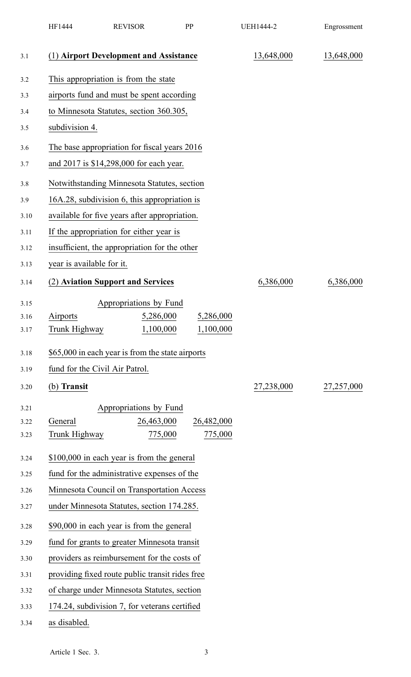|      | HF1444                         | <b>REVISOR</b>                                   | PP         | <b>UEH1444-2</b> | Engrossment |
|------|--------------------------------|--------------------------------------------------|------------|------------------|-------------|
| 3.1  |                                | (1) Airport Development and Assistance           |            | 13,648,000       | 13,648,000  |
| 3.2  |                                | This appropriation is from the state             |            |                  |             |
| 3.3  |                                | airports fund and must be spent according        |            |                  |             |
| 3.4  |                                | to Minnesota Statutes, section 360.305,          |            |                  |             |
| 3.5  | subdivision 4.                 |                                                  |            |                  |             |
| 3.6  |                                | The base appropriation for fiscal years 2016     |            |                  |             |
| 3.7  |                                | and 2017 is \$14,298,000 for each year.          |            |                  |             |
| 3.8  |                                | Notwithstanding Minnesota Statutes, section      |            |                  |             |
| 3.9  |                                | 16A.28, subdivision 6, this appropriation is     |            |                  |             |
| 3.10 |                                | available for five years after appropriation.    |            |                  |             |
| 3.11 |                                | If the appropriation for either year is          |            |                  |             |
| 3.12 |                                | insufficient, the appropriation for the other    |            |                  |             |
| 3.13 | year is available for it.      |                                                  |            |                  |             |
| 3.14 |                                | (2) Aviation Support and Services                |            | 6,386,000        | 6,386,000   |
| 3.15 |                                | Appropriations by Fund                           |            |                  |             |
| 3.16 | Airports                       | 5,286,000                                        | 5,286,000  |                  |             |
| 3.17 | Trunk Highway                  | 1,100,000                                        | 1,100,000  |                  |             |
| 3.18 |                                | \$65,000 in each year is from the state airports |            |                  |             |
| 3.19 | fund for the Civil Air Patrol. |                                                  |            |                  |             |
| 3.20 | (b) Transit                    |                                                  |            | 27,238,000       | 27,257,000  |
| 3.21 |                                | Appropriations by Fund                           |            |                  |             |
| 3.22 | General                        | 26,463,000                                       | 26,482,000 |                  |             |
| 3.23 | Trunk Highway                  | 775,000                                          | 775,000    |                  |             |
| 3.24 |                                | \$100,000 in each year is from the general       |            |                  |             |
| 3.25 |                                | fund for the administrative expenses of the      |            |                  |             |
| 3.26 |                                | Minnesota Council on Transportation Access       |            |                  |             |
| 3.27 |                                | under Minnesota Statutes, section 174.285.       |            |                  |             |
| 3.28 |                                | \$90,000 in each year is from the general        |            |                  |             |
| 3.29 |                                | fund for grants to greater Minnesota transit     |            |                  |             |
| 3.30 |                                | providers as reimbursement for the costs of      |            |                  |             |
| 3.31 |                                | providing fixed route public transit rides free  |            |                  |             |
| 3.32 |                                | of charge under Minnesota Statutes, section      |            |                  |             |
| 3.33 |                                | 174.24, subdivision 7, for veterans certified    |            |                  |             |
| 3.34 | as disabled                    |                                                  |            |                  |             |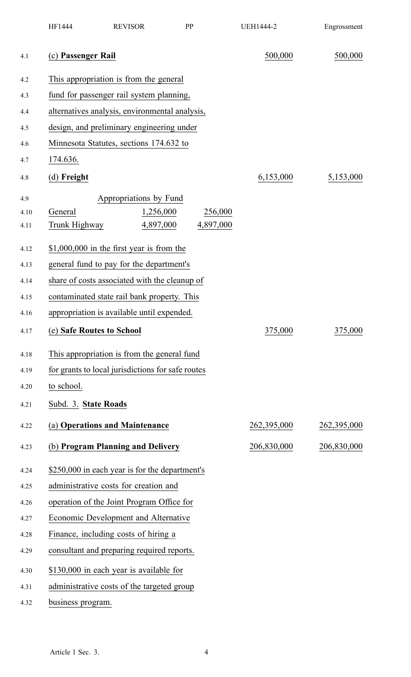|      | HF1444                                    | <b>REVISOR</b>                                    | PP |           | <b>UEH1444-2</b> | Engrossment |
|------|-------------------------------------------|---------------------------------------------------|----|-----------|------------------|-------------|
| 4.1  | (c) Passenger Rail                        |                                                   |    |           | 500,000          | 500,000     |
| 4.2  |                                           | This appropriation is from the general            |    |           |                  |             |
| 4.3  |                                           | fund for passenger rail system planning,          |    |           |                  |             |
| 4.4  |                                           | alternatives analysis, environmental analysis,    |    |           |                  |             |
| 4.5  |                                           | design, and preliminary engineering under         |    |           |                  |             |
| 4.6  |                                           | Minnesota Statutes, sections 174.632 to           |    |           |                  |             |
| 4.7  | 174.636.                                  |                                                   |    |           |                  |             |
| 4.8  | $(d)$ Freight                             |                                                   |    |           | 6,153,000        | 5,153,000   |
| 4.9  |                                           | Appropriations by Fund                            |    |           |                  |             |
| 4.10 | General                                   | 1,256,000                                         |    | 256,000   |                  |             |
| 4.11 | Trunk Highway                             | 4,897,000                                         |    | 4,897,000 |                  |             |
| 4.12 |                                           | $$1,000,000$ in the first year is from the        |    |           |                  |             |
| 4.13 |                                           | general fund to pay for the department's          |    |           |                  |             |
| 4.14 |                                           | share of costs associated with the cleanup of     |    |           |                  |             |
| 4.15 |                                           | contaminated state rail bank property. This       |    |           |                  |             |
| 4.16 |                                           | appropriation is available until expended.        |    |           |                  |             |
| 4.17 | (e) Safe Routes to School                 |                                                   |    |           | 375,000          | 375,000     |
| 4.18 |                                           | This appropriation is from the general fund       |    |           |                  |             |
| 4.19 |                                           | for grants to local jurisdictions for safe routes |    |           |                  |             |
| 4.20 | to school.                                |                                                   |    |           |                  |             |
| 4.21 | Subd. 3. State Roads                      |                                                   |    |           |                  |             |
| 4.22 |                                           | (a) Operations and Maintenance                    |    |           | 262,395,000      | 262,395,000 |
| 4.23 |                                           | (b) Program Planning and Delivery                 |    |           | 206,830,000      | 206,830,000 |
| 4.24 |                                           | \$250,000 in each year is for the department's    |    |           |                  |             |
| 4.25 |                                           | administrative costs for creation and             |    |           |                  |             |
| 4.26 | operation of the Joint Program Office for |                                                   |    |           |                  |             |
| 4.27 |                                           | Economic Development and Alternative              |    |           |                  |             |
| 4.28 |                                           | Finance, including costs of hiring a              |    |           |                  |             |
| 4.29 |                                           | consultant and preparing required reports.        |    |           |                  |             |
| 4.30 |                                           | \$130,000 in each year is available for           |    |           |                  |             |
| 4.31 |                                           | administrative costs of the targeted group        |    |           |                  |             |
| 4.32 | business program.                         |                                                   |    |           |                  |             |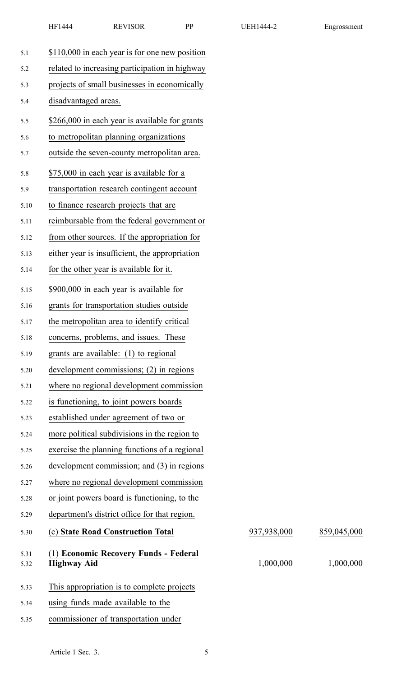| 5.1          | \$110,000 in each year is for one new position              |             |             |
|--------------|-------------------------------------------------------------|-------------|-------------|
| 5.2          | related to increasing participation in highway              |             |             |
| 5.3          | projects of small businesses in economically                |             |             |
| 5.4          | disadvantaged areas.                                        |             |             |
| 5.5          | \$266,000 in each year is available for grants              |             |             |
| 5.6          | to metropolitan planning organizations                      |             |             |
| 5.7          | outside the seven-county metropolitan area.                 |             |             |
| 5.8          | \$75,000 in each year is available for a                    |             |             |
| 5.9          | transportation research contingent account                  |             |             |
| 5.10         | to finance research projects that are                       |             |             |
| 5.11         | reimbursable from the federal government or                 |             |             |
| 5.12         | from other sources. If the appropriation for                |             |             |
| 5.13         | either year is insufficient, the appropriation              |             |             |
| 5.14         | for the other year is available for it.                     |             |             |
| 5.15         | \$900,000 in each year is available for                     |             |             |
| 5.16         | grants for transportation studies outside                   |             |             |
| 5.17         | the metropolitan area to identify critical                  |             |             |
| 5.18         | concerns, problems, and issues. These                       |             |             |
| 5.19         | grants are available: (1) to regional                       |             |             |
| 5.20         | development commissions; (2) in regions                     |             |             |
| 5.21         | where no regional development commission                    |             |             |
| 5.22         | is functioning, to joint powers boards                      |             |             |
| 5.23         | established under agreement of two or                       |             |             |
| 5.24         | more political subdivisions in the region to                |             |             |
| 5.25         | exercise the planning functions of a regional               |             |             |
| 5.26         | development commission; and (3) in regions                  |             |             |
| 5.27         | where no regional development commission                    |             |             |
| 5.28         | or joint powers board is functioning, to the                |             |             |
| 5.29         | department's district office for that region.               |             |             |
| 5.30         | (c) State Road Construction Total                           | 937,938,000 | 859,045,000 |
| 5.31<br>5.32 | (1) Economic Recovery Funds - Federal<br><b>Highway Aid</b> | 1,000,000   | 1,000,000   |
| 5.33         | This appropriation is to complete projects                  |             |             |
| 5.34         | using funds made available to the                           |             |             |
| 5.35         | commissioner of transportation under                        |             |             |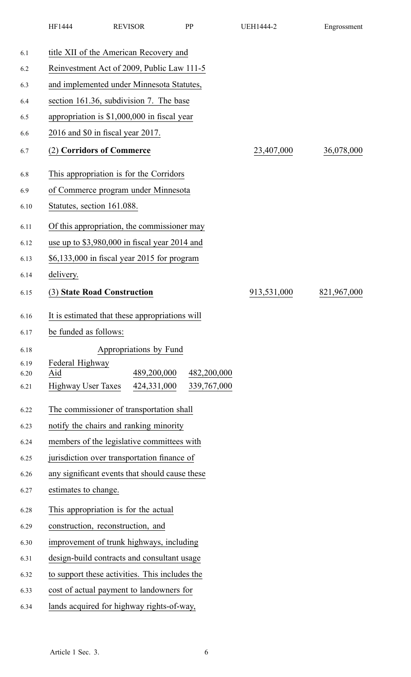|              | HF1444                                    | <b>REVISOR</b>                                 |  | PP          | <b>UEH1444-2</b> | Engrossment |  |  |
|--------------|-------------------------------------------|------------------------------------------------|--|-------------|------------------|-------------|--|--|
| 6.1          |                                           | title XII of the American Recovery and         |  |             |                  |             |  |  |
| 6.2          |                                           | Reinvestment Act of 2009, Public Law 111-5     |  |             |                  |             |  |  |
| 6.3          | and implemented under Minnesota Statutes, |                                                |  |             |                  |             |  |  |
| 6.4          |                                           | section 161.36, subdivision 7. The base        |  |             |                  |             |  |  |
| 6.5          |                                           | appropriation is \$1,000,000 in fiscal year    |  |             |                  |             |  |  |
| 6.6          | 2016 and \$0 in fiscal year 2017.         |                                                |  |             |                  |             |  |  |
| 6.7          | (2) Corridors of Commerce                 |                                                |  |             | 23,407,000       | 36,078,000  |  |  |
| 6.8          |                                           | This appropriation is for the Corridors        |  |             |                  |             |  |  |
| 6.9          |                                           | of Commerce program under Minnesota            |  |             |                  |             |  |  |
| 6.10         | Statutes, section 161.088.                |                                                |  |             |                  |             |  |  |
| 6.11         |                                           | Of this appropriation, the commissioner may    |  |             |                  |             |  |  |
| 6.12         |                                           | use up to \$3,980,000 in fiscal year 2014 and  |  |             |                  |             |  |  |
| 6.13         |                                           | \$6,133,000 in fiscal year 2015 for program    |  |             |                  |             |  |  |
| 6.14         | delivery.                                 |                                                |  |             |                  |             |  |  |
| 6.15         | (3) State Road Construction               |                                                |  |             | 913,531,000      | 821,967,000 |  |  |
| 6.16         |                                           | It is estimated that these appropriations will |  |             |                  |             |  |  |
| 6.17         | be funded as follows:                     |                                                |  |             |                  |             |  |  |
| 6.18         |                                           | Appropriations by Fund                         |  |             |                  |             |  |  |
| 6.19         | Federal Highway<br>Aid                    |                                                |  | 482,200,000 |                  |             |  |  |
| 6.20<br>6.21 | <b>Highway User Taxes</b>                 | 489,200,000<br>424,331,000                     |  | 339,767,000 |                  |             |  |  |
|              |                                           |                                                |  |             |                  |             |  |  |
| 6.22         |                                           | The commissioner of transportation shall       |  |             |                  |             |  |  |
| 6.23         |                                           | notify the chairs and ranking minority         |  |             |                  |             |  |  |
| 6.24         |                                           | members of the legislative committees with     |  |             |                  |             |  |  |
| 6.25         |                                           | jurisdiction over transportation finance of    |  |             |                  |             |  |  |
| 6.26         |                                           | any significant events that should cause these |  |             |                  |             |  |  |
| 6.27         | estimates to change.                      |                                                |  |             |                  |             |  |  |
| 6.28         |                                           | This appropriation is for the actual           |  |             |                  |             |  |  |
| 6.29         |                                           | construction, reconstruction, and              |  |             |                  |             |  |  |
| 6.30         |                                           | improvement of trunk highways, including       |  |             |                  |             |  |  |
| 6.31         |                                           | design-build contracts and consultant usage    |  |             |                  |             |  |  |
| 6.32         |                                           | to support these activities. This includes the |  |             |                  |             |  |  |
| 6.33         |                                           | cost of actual payment to landowners for       |  |             |                  |             |  |  |
| 6.34         |                                           | lands acquired for highway rights-of-way,      |  |             |                  |             |  |  |
|              |                                           |                                                |  |             |                  |             |  |  |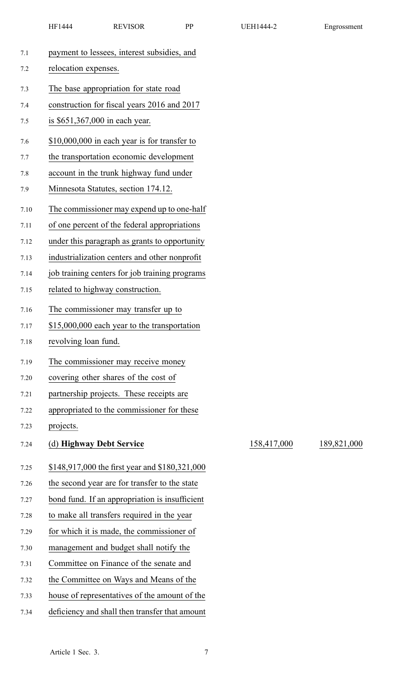|      | HF1444                                | <b>REVISOR</b>                                 | PP | <b>UEH1444-2</b> | Engrossment |  |  |  |  |
|------|---------------------------------------|------------------------------------------------|----|------------------|-------------|--|--|--|--|
| 7.1  |                                       | payment to lessees, interest subsidies, and    |    |                  |             |  |  |  |  |
| 7.2  | relocation expenses.                  |                                                |    |                  |             |  |  |  |  |
| 7.3  | The base appropriation for state road |                                                |    |                  |             |  |  |  |  |
| 7.4  |                                       | construction for fiscal years 2016 and 2017    |    |                  |             |  |  |  |  |
| 7.5  |                                       | is \$651,367,000 in each year.                 |    |                  |             |  |  |  |  |
| 7.6  |                                       | $$10,000,000$ in each year is for transfer to  |    |                  |             |  |  |  |  |
| 7.7  |                                       | the transportation economic development        |    |                  |             |  |  |  |  |
| 7.8  |                                       | account in the trunk highway fund under        |    |                  |             |  |  |  |  |
| 7.9  |                                       | Minnesota Statutes, section 174.12.            |    |                  |             |  |  |  |  |
| 7.10 |                                       | The commissioner may expend up to one-half     |    |                  |             |  |  |  |  |
| 7.11 |                                       | of one percent of the federal appropriations   |    |                  |             |  |  |  |  |
| 7.12 |                                       | under this paragraph as grants to opportunity  |    |                  |             |  |  |  |  |
| 7.13 |                                       | industrialization centers and other nonprofit  |    |                  |             |  |  |  |  |
| 7.14 |                                       | job training centers for job training programs |    |                  |             |  |  |  |  |
| 7.15 |                                       | related to highway construction.               |    |                  |             |  |  |  |  |
| 7.16 |                                       | The commissioner may transfer up to            |    |                  |             |  |  |  |  |
| 7.17 |                                       | \$15,000,000 each year to the transportation   |    |                  |             |  |  |  |  |
| 7.18 | revolving loan fund.                  |                                                |    |                  |             |  |  |  |  |
| 7.19 |                                       | The commissioner may receive money             |    |                  |             |  |  |  |  |
| 7.20 |                                       | covering other shares of the cost of           |    |                  |             |  |  |  |  |
| 7.21 |                                       | partnership projects. These receipts are       |    |                  |             |  |  |  |  |
| 7.22 |                                       | appropriated to the commissioner for these     |    |                  |             |  |  |  |  |
| 7.23 | projects.                             |                                                |    |                  |             |  |  |  |  |
| 7.24 |                                       | (d) Highway Debt Service                       |    | 158,417,000      | 189,821,000 |  |  |  |  |
| 7.25 |                                       | \$148,917,000 the first year and \$180,321,000 |    |                  |             |  |  |  |  |
| 7.26 |                                       | the second year are for transfer to the state  |    |                  |             |  |  |  |  |
| 7.27 |                                       | bond fund. If an appropriation is insufficient |    |                  |             |  |  |  |  |
| 7.28 |                                       | to make all transfers required in the year     |    |                  |             |  |  |  |  |
| 7.29 |                                       | for which it is made, the commissioner of      |    |                  |             |  |  |  |  |
| 7.30 |                                       | management and budget shall notify the         |    |                  |             |  |  |  |  |
| 7.31 |                                       | Committee on Finance of the senate and         |    |                  |             |  |  |  |  |
| 7.32 |                                       | the Committee on Ways and Means of the         |    |                  |             |  |  |  |  |
| 7.33 |                                       | house of representatives of the amount of the  |    |                  |             |  |  |  |  |
| 7.34 |                                       | deficiency and shall then transfer that amount |    |                  |             |  |  |  |  |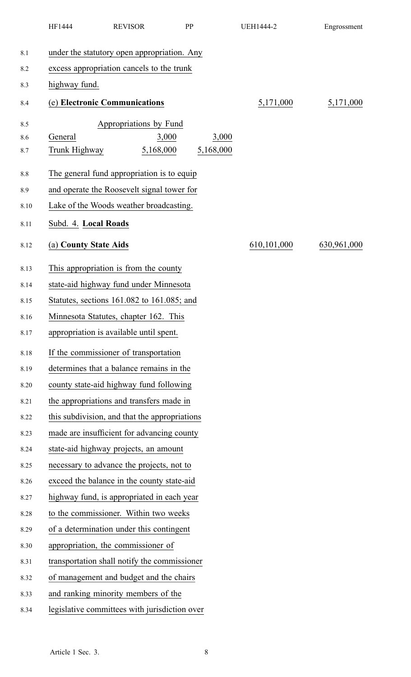|         | HF1444                | <b>REVISOR</b>                                | PP |           | <b>UEH1444-2</b> | Engrossment |
|---------|-----------------------|-----------------------------------------------|----|-----------|------------------|-------------|
| 8.1     |                       | under the statutory open appropriation. Any   |    |           |                  |             |
| 8.2     |                       | excess appropriation cancels to the trunk     |    |           |                  |             |
| 8.3     | highway fund.         |                                               |    |           |                  |             |
| 8.4     |                       | (e) Electronic Communications                 |    |           | 5,171,000        | 5,171,000   |
| 8.5     |                       | Appropriations by Fund                        |    |           |                  |             |
| 8.6     | General               | 3,000                                         |    | 3,000     |                  |             |
| 8.7     | Trunk Highway         | 5,168,000                                     |    | 5,168,000 |                  |             |
| $8.8\,$ |                       | The general fund appropriation is to equip    |    |           |                  |             |
| 8.9     |                       | and operate the Roosevelt signal tower for    |    |           |                  |             |
| 8.10    |                       | Lake of the Woods weather broadcasting.       |    |           |                  |             |
| 8.11    | Subd. 4. Local Roads  |                                               |    |           |                  |             |
| 8.12    | (a) County State Aids |                                               |    |           | 610,101,000      | 630,961,000 |
| 8.13    |                       | This appropriation is from the county         |    |           |                  |             |
| 8.14    |                       | state-aid highway fund under Minnesota        |    |           |                  |             |
| 8.15    |                       | Statutes, sections 161.082 to 161.085; and    |    |           |                  |             |
| 8.16    |                       | Minnesota Statutes, chapter 162. This         |    |           |                  |             |
| 8.17    |                       | appropriation is available until spent.       |    |           |                  |             |
| 8.18    |                       | If the commissioner of transportation         |    |           |                  |             |
| 8.19    |                       | determines that a balance remains in the      |    |           |                  |             |
| 8.20    |                       | county state-aid highway fund following       |    |           |                  |             |
| 8.21    |                       | the appropriations and transfers made in      |    |           |                  |             |
| 8.22    |                       | this subdivision, and that the appropriations |    |           |                  |             |
| 8.23    |                       | made are insufficient for advancing county    |    |           |                  |             |
| 8.24    |                       | state-aid highway projects, an amount         |    |           |                  |             |
| 8.25    |                       | necessary to advance the projects, not to     |    |           |                  |             |
| 8.26    |                       | exceed the balance in the county state-aid    |    |           |                  |             |
| 8.27    |                       | highway fund, is appropriated in each year    |    |           |                  |             |
| 8.28    |                       | to the commissioner. Within two weeks         |    |           |                  |             |
| 8.29    |                       | of a determination under this contingent      |    |           |                  |             |
| 8.30    |                       | appropriation, the commissioner of            |    |           |                  |             |
| 8.31    |                       | transportation shall notify the commissioner  |    |           |                  |             |
| 8.32    |                       | of management and budget and the chairs       |    |           |                  |             |
| 8.33    |                       | and ranking minority members of the           |    |           |                  |             |
| 8.34    |                       | legislative committees with jurisdiction over |    |           |                  |             |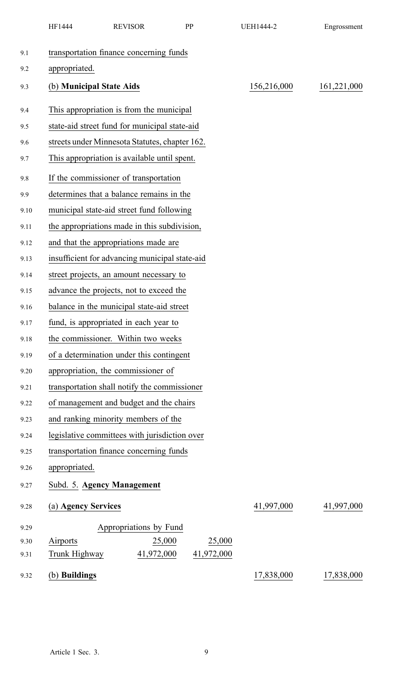|      | HF1444                   | <b>REVISOR</b>                                 | PP |            | <b>UEH1444-2</b> | Engrossment |
|------|--------------------------|------------------------------------------------|----|------------|------------------|-------------|
| 9.1  |                          | transportation finance concerning funds        |    |            |                  |             |
| 9.2  | appropriated.            |                                                |    |            |                  |             |
| 9.3  | (b) Municipal State Aids |                                                |    |            | 156,216,000      | 161,221,000 |
| 9.4  |                          | This appropriation is from the municipal       |    |            |                  |             |
| 9.5  |                          | state-aid street fund for municipal state-aid  |    |            |                  |             |
| 9.6  |                          | streets under Minnesota Statutes, chapter 162. |    |            |                  |             |
| 9.7  |                          | This appropriation is available until spent.   |    |            |                  |             |
| 9.8  |                          | If the commissioner of transportation          |    |            |                  |             |
| 9.9  |                          | determines that a balance remains in the       |    |            |                  |             |
| 9.10 |                          | municipal state-aid street fund following      |    |            |                  |             |
| 9.11 |                          | the appropriations made in this subdivision,   |    |            |                  |             |
| 9.12 |                          | and that the appropriations made are           |    |            |                  |             |
| 9.13 |                          | insufficient for advancing municipal state-aid |    |            |                  |             |
| 9.14 |                          | street projects, an amount necessary to        |    |            |                  |             |
| 9.15 |                          | advance the projects, not to exceed the        |    |            |                  |             |
| 9.16 |                          | balance in the municipal state-aid street      |    |            |                  |             |
| 9.17 |                          | fund, is appropriated in each year to          |    |            |                  |             |
| 9.18 |                          | the commissioner. Within two weeks             |    |            |                  |             |
| 9.19 |                          | of a determination under this contingent       |    |            |                  |             |
| 9.20 |                          | appropriation, the commissioner of             |    |            |                  |             |
| 9.21 |                          | transportation shall notify the commissioner   |    |            |                  |             |
| 9.22 |                          | of management and budget and the chairs        |    |            |                  |             |
| 9.23 |                          | and ranking minority members of the            |    |            |                  |             |
| 9.24 |                          | legislative committees with jurisdiction over  |    |            |                  |             |
| 9.25 |                          | transportation finance concerning funds        |    |            |                  |             |
| 9.26 | appropriated.            |                                                |    |            |                  |             |
| 9.27 |                          | Subd. 5. Agency Management                     |    |            |                  |             |
| 9.28 | (a) Agency Services      |                                                |    |            | 41,997,000       | 41,997,000  |
| 9.29 |                          | Appropriations by Fund                         |    |            |                  |             |
| 9.30 | Airports                 | 25,000                                         |    | 25,000     |                  |             |
| 9.31 | Trunk Highway            | 41,972,000                                     |    | 41,972,000 |                  |             |
| 9.32 | (b) Buildings            |                                                |    |            | 17,838,000       | 17,838,000  |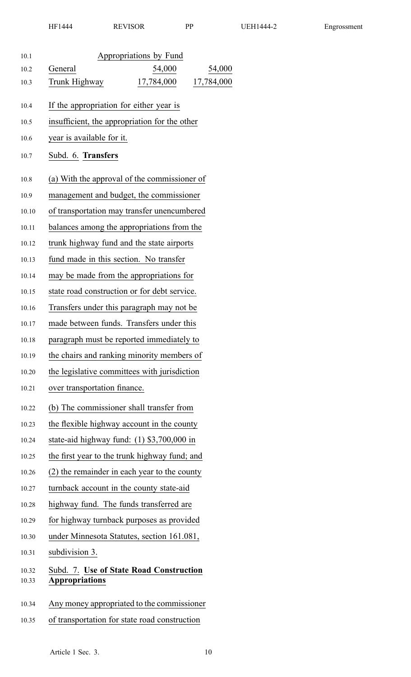| 10.1           | Appropriations by Fund                                           |
|----------------|------------------------------------------------------------------|
| 10.2           | General<br>54,000<br>54,000                                      |
| 10.3           | 17,784,000<br>Trunk Highway<br>17,784,000                        |
| 10.4           | If the appropriation for either year is                          |
| 10.5           | insufficient, the appropriation for the other                    |
| 10.6           | year is available for it.                                        |
| 10.7           | Subd. 6. Transfers                                               |
|                |                                                                  |
| 10.8           | (a) With the approval of the commissioner of                     |
| 10.9           | management and budget, the commissioner                          |
| 10.10          | of transportation may transfer unencumbered                      |
| 10.11          | balances among the appropriations from the                       |
| 10.12          | trunk highway fund and the state airports                        |
| 10.13          | fund made in this section. No transfer                           |
| 10.14          | may be made from the appropriations for                          |
| 10.15          | state road construction or for debt service.                     |
| 10.16          | Transfers under this paragraph may not be                        |
| 10.17          | made between funds. Transfers under this                         |
| 10.18          | paragraph must be reported immediately to                        |
| 10.19          | the chairs and ranking minority members of                       |
| 10.20          | the legislative committees with jurisdiction                     |
| 10.21          | over transportation finance.                                     |
| 10.22          | (b) The commissioner shall transfer from                         |
| 10.23          | the flexible highway account in the county                       |
| 10.24          | state-aid highway fund: $(1)$ \$3,700,000 in                     |
| 10.25          | the first year to the trunk highway fund; and                    |
| 10.26          | (2) the remainder in each year to the county                     |
| 10.27          | turnback account in the county state-aid                         |
| 10.28          | highway fund. The funds transferred are                          |
| 10.29          | for highway turnback purposes as provided                        |
| 10.30          | under Minnesota Statutes, section 161.081,                       |
| 10.31          | subdivision 3.                                                   |
| 10.32<br>10.33 | Subd. 7. Use of State Road Construction<br><b>Appropriations</b> |
| 10.34          | Any money appropriated to the commissioner                       |

10.35 of transportation for state road construction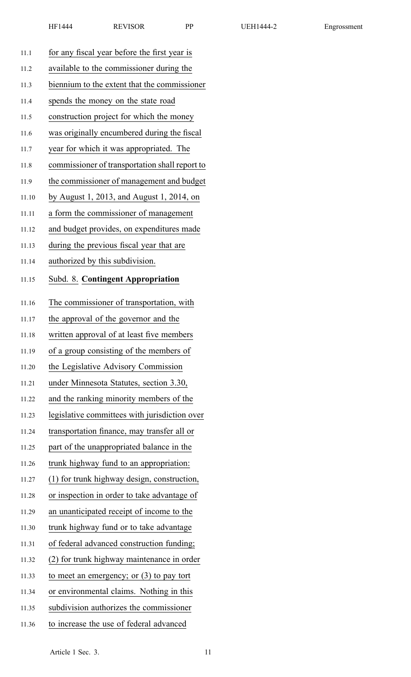| 11.1  | for any fiscal year before the first year is   |
|-------|------------------------------------------------|
| 11.2  | available to the commissioner during the       |
| 11.3  | biennium to the extent that the commissioner   |
| 11.4  | spends the money on the state road             |
| 11.5  | construction project for which the money       |
| 11.6  | was originally encumbered during the fiscal    |
| 11.7  | year for which it was appropriated. The        |
| 11.8  | commissioner of transportation shall report to |
| 11.9  | the commissioner of management and budget      |
| 11.10 | by August 1, 2013, and August 1, 2014, on      |
| 11.11 | a form the commissioner of management          |
| 11.12 | and budget provides, on expenditures made      |
| 11.13 | during the previous fiscal year that are       |
| 11.14 | authorized by this subdivision.                |
| 11.15 | <b>Subd. 8. Contingent Appropriation</b>       |
| 11.16 | The commissioner of transportation, with       |
| 11.17 | the approval of the governor and the           |
| 11.18 | written approval of at least five members      |
| 11.19 | of a group consisting of the members of        |
| 11.20 | the Legislative Advisory Commission            |
| 11.21 | under Minnesota Statutes, section 3.30,        |
| 11.22 | and the ranking minority members of the        |
| 11.23 | legislative committees with jurisdiction over  |
| 11.24 | transportation finance, may transfer all or    |
| 11.25 | part of the unappropriated balance in the      |
| 11.26 | trunk highway fund to an appropriation:        |
| 11.27 | (1) for trunk highway design, construction,    |
| 11.28 | or inspection in order to take advantage of    |
| 11.29 | an unanticipated receipt of income to the      |
| 11.30 | trunk highway fund or to take advantage        |
| 11.31 | of federal advanced construction funding;      |
| 11.32 | (2) for trunk highway maintenance in order     |
| 11.33 | to meet an emergency; or $(3)$ to pay tort     |
| 11.34 | or environmental claims. Nothing in this       |
| 11.35 | subdivision authorizes the commissioner        |
| 11.36 | to increase the use of federal advanced        |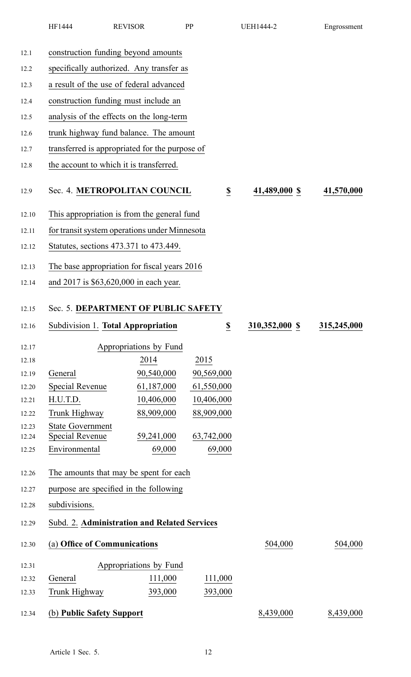| HF1444 | <b>REVISOR</b> | DD | JEH1444-2 | Engrossment |
|--------|----------------|----|-----------|-------------|
|        |                |    |           |             |

| 12.1           | construction funding beyond amounts            |                        |                              |                |             |  |  |  |
|----------------|------------------------------------------------|------------------------|------------------------------|----------------|-------------|--|--|--|
| 12.2           | specifically authorized. Any transfer as       |                        |                              |                |             |  |  |  |
| 12.3           | a result of the use of federal advanced        |                        |                              |                |             |  |  |  |
| 12.4           | construction funding must include an           |                        |                              |                |             |  |  |  |
| 12.5           | analysis of the effects on the long-term       |                        |                              |                |             |  |  |  |
| 12.6           | trunk highway fund balance. The amount         |                        |                              |                |             |  |  |  |
| 12.7           | transferred is appropriated for the purpose of |                        |                              |                |             |  |  |  |
| 12.8           | the account to which it is transferred.        |                        |                              |                |             |  |  |  |
| 12.9           | Sec. 4. METROPOLITAN COUNCIL                   |                        | $\underline{\underline{\$}}$ | 41,489,000 \$  | 41,570,000  |  |  |  |
| 12.10          | This appropriation is from the general fund    |                        |                              |                |             |  |  |  |
| 12.11          | for transit system operations under Minnesota  |                        |                              |                |             |  |  |  |
| 12.12          | Statutes, sections 473.371 to 473.449.         |                        |                              |                |             |  |  |  |
| 12.13          | The base appropriation for fiscal years 2016   |                        |                              |                |             |  |  |  |
| 12.14          | and 2017 is \$63,620,000 in each year.         |                        |                              |                |             |  |  |  |
|                |                                                |                        |                              |                |             |  |  |  |
| 12.15          | Sec. 5. DEPARTMENT OF PUBLIC SAFETY            |                        |                              |                |             |  |  |  |
| 12.16          | Subdivision 1. Total Appropriation             |                        | $\underline{\$}$             | 310,352,000 \$ | 315,245,000 |  |  |  |
| 12.17          |                                                | Appropriations by Fund |                              |                |             |  |  |  |
| 12.18          |                                                | 2014                   | 2015                         |                |             |  |  |  |
| 12.19          | General                                        | 90,540,000             | 90,569,000                   |                |             |  |  |  |
| 12.20          | <b>Special Revenue</b>                         | 61,187,000             | 61,550,000                   |                |             |  |  |  |
| 12.21          | H.U.T.D.                                       | 10,406,000             | 10,406,000                   |                |             |  |  |  |
| 12.22          | Trunk Highway                                  | 88,909,000             | 88,909,000                   |                |             |  |  |  |
| 12.23          | <b>State Government</b>                        | 59,241,000             | 63,742,000                   |                |             |  |  |  |
| 12.24<br>12.25 | <b>Special Revenue</b><br>Environmental        | 69,000                 | 69,000                       |                |             |  |  |  |
|                |                                                |                        |                              |                |             |  |  |  |
| 12.26          | The amounts that may be spent for each         |                        |                              |                |             |  |  |  |
| 12.27          | purpose are specified in the following         |                        |                              |                |             |  |  |  |
| 12.28          | subdivisions.                                  |                        |                              |                |             |  |  |  |
| 12.29          | Subd. 2. Administration and Related Services   |                        |                              |                |             |  |  |  |
| 12.30          | (a) Office of Communications                   |                        |                              | 504,000        | 504,000     |  |  |  |
| 12.31          |                                                | Appropriations by Fund |                              |                |             |  |  |  |
| 12.32          | General                                        | 111,000                | 111,000                      |                |             |  |  |  |
| 12.33          | Trunk Highway                                  | 393,000                | 393,000                      |                |             |  |  |  |
| 12.34          | (b) Public Safety Support                      |                        |                              | 8,439,000      | 8,439,000   |  |  |  |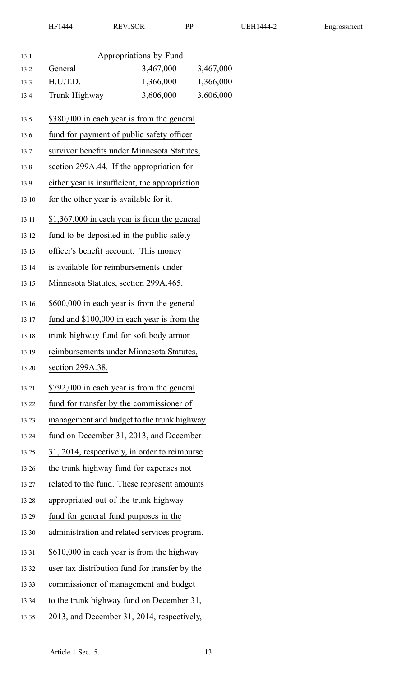| 13.1  |                                         | Appropriations by Fund                         |           |
|-------|-----------------------------------------|------------------------------------------------|-----------|
| 13.2  | General                                 | 3,467,000                                      | 3,467,000 |
| 13.3  | H.U.T.D.                                | 1,366,000                                      | 1,366,000 |
| 13.4  | Trunk Highway                           | 3,606,000                                      | 3,606,000 |
| 13.5  |                                         | \$380,000 in each year is from the general     |           |
| 13.6  |                                         | fund for payment of public safety officer      |           |
| 13.7  |                                         | survivor benefits under Minnesota Statutes,    |           |
| 13.8  |                                         | section 299A.44. If the appropriation for      |           |
| 13.9  |                                         | either year is insufficient, the appropriation |           |
| 13.10 | for the other year is available for it. |                                                |           |
| 13.11 |                                         | $$1,367,000$ in each year is from the general  |           |
| 13.12 |                                         | fund to be deposited in the public safety      |           |
| 13.13 | officer's benefit account. This money   |                                                |           |
| 13.14 | is available for reimbursements under   |                                                |           |
| 13.15 | Minnesota Statutes, section 299A.465.   |                                                |           |
| 13.16 |                                         | \$600,000 in each year is from the general     |           |
| 13.17 |                                         | fund and \$100,000 in each year is from the    |           |
| 13.18 |                                         | trunk highway fund for soft body armor         |           |
| 13.19 |                                         | reimbursements under Minnesota Statutes,       |           |
| 13.20 | section 299A.38.                        |                                                |           |
| 13.21 |                                         | \$792,000 in each year is from the general     |           |
| 13.22 |                                         | fund for transfer by the commissioner of       |           |
| 13.23 |                                         | management and budget to the trunk highway     |           |
| 13.24 |                                         | fund on December 31, 2013, and December        |           |
| 13.25 |                                         | 31, 2014, respectively, in order to reimburse  |           |
| 13.26 |                                         | the trunk highway fund for expenses not        |           |
| 13.27 |                                         | related to the fund. These represent amounts   |           |
| 13.28 | appropriated out of the trunk highway   |                                                |           |
| 13.29 | fund for general fund purposes in the   |                                                |           |
| 13.30 |                                         | administration and related services program.   |           |
| 13.31 |                                         | \$610,000 in each year is from the highway     |           |
| 13.32 |                                         | user tax distribution fund for transfer by the |           |
| 13.33 |                                         | commissioner of management and budget          |           |
| 13.34 |                                         | to the trunk highway fund on December 31,      |           |
| 13.35 |                                         | 2013, and December 31, 2014, respectively,     |           |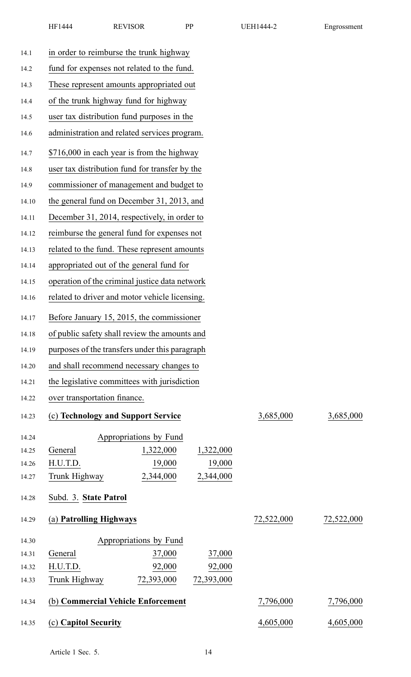| 14.1           | in order to reimburse the trunk highway                     |            |            |  |  |  |
|----------------|-------------------------------------------------------------|------------|------------|--|--|--|
| 14.2           | fund for expenses not related to the fund.                  |            |            |  |  |  |
| 14.3           | These represent amounts appropriated out                    |            |            |  |  |  |
| 14.4           | of the trunk highway fund for highway                       |            |            |  |  |  |
| 14.5           | user tax distribution fund purposes in the                  |            |            |  |  |  |
| 14.6           | administration and related services program.                |            |            |  |  |  |
| 14.7           | \$716,000 in each year is from the highway                  |            |            |  |  |  |
| 14.8           | user tax distribution fund for transfer by the              |            |            |  |  |  |
| 14.9           | commissioner of management and budget to                    |            |            |  |  |  |
| 14.10          | the general fund on December 31, 2013, and                  |            |            |  |  |  |
| 14.11          | December 31, 2014, respectively, in order to                |            |            |  |  |  |
| 14.12          | reimburse the general fund for expenses not                 |            |            |  |  |  |
| 14.13          | related to the fund. These represent amounts                |            |            |  |  |  |
| 14.14          | appropriated out of the general fund for                    |            |            |  |  |  |
| 14.15          | operation of the criminal justice data network              |            |            |  |  |  |
| 14.16          | related to driver and motor vehicle licensing.              |            |            |  |  |  |
| 14.17          | Before January 15, 2015, the commissioner                   |            |            |  |  |  |
| 14.18          | of public safety shall review the amounts and               |            |            |  |  |  |
| 14.19          | purposes of the transfers under this paragraph              |            |            |  |  |  |
| 14.20          | and shall recommend necessary changes to                    |            |            |  |  |  |
| 14.21          | the legislative committees with jurisdiction                |            |            |  |  |  |
| 14.22          | over transportation finance.                                |            |            |  |  |  |
| 14.23          | (c) Technology and Support Service                          | 3,685,000  | 3,685,000  |  |  |  |
|                |                                                             |            |            |  |  |  |
| 14.24<br>14.25 | Appropriations by Fund<br>General<br>1,322,000<br>1,322,000 |            |            |  |  |  |
| 14.26          | 19,000<br>19,000<br>H.U.T.D.                                |            |            |  |  |  |
| 14.27          | 2,344,000<br>2,344,000<br>Trunk Highway                     |            |            |  |  |  |
| 14.28          | Subd. 3. State Patrol                                       |            |            |  |  |  |
|                |                                                             |            |            |  |  |  |
| 14.29          | (a) Patrolling Highways                                     | 72,522,000 | 72,522,000 |  |  |  |
| 14.30          | Appropriations by Fund                                      |            |            |  |  |  |
| 14.31          | 37,000<br>General<br>37,000                                 |            |            |  |  |  |
| 14.32          | 92,000<br>H.U.T.D.<br>92,000                                |            |            |  |  |  |
| 14.33          | 72,393,000<br>72,393,000<br>Trunk Highway                   |            |            |  |  |  |
| 14.34          | (b) Commercial Vehicle Enforcement                          | 7,796,000  | 7,796,000  |  |  |  |
| 14.35          | (c) Capitol Security                                        | 4,605,000  | 4,605,000  |  |  |  |
|                |                                                             |            |            |  |  |  |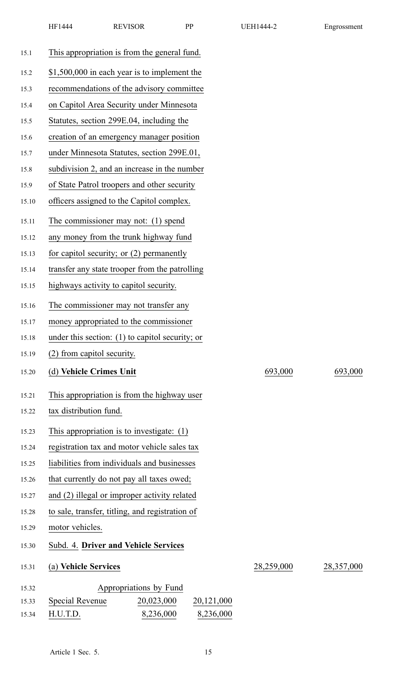| 15.1  | This appropriation is from the general fund.      |            |            |
|-------|---------------------------------------------------|------------|------------|
| 15.2  | \$1,500,000 in each year is to implement the      |            |            |
| 15.3  | recommendations of the advisory committee         |            |            |
| 15.4  | on Capitol Area Security under Minnesota          |            |            |
| 15.5  | Statutes, section 299E.04, including the          |            |            |
| 15.6  | creation of an emergency manager position         |            |            |
| 15.7  | under Minnesota Statutes, section 299E.01,        |            |            |
| 15.8  | subdivision 2, and an increase in the number      |            |            |
| 15.9  | of State Patrol troopers and other security       |            |            |
| 15.10 | officers assigned to the Capitol complex.         |            |            |
| 15.11 | The commissioner may not: (1) spend               |            |            |
| 15.12 | any money from the trunk highway fund             |            |            |
| 15.13 | for capitol security; or $(2)$ permanently        |            |            |
| 15.14 | transfer any state trooper from the patrolling    |            |            |
| 15.15 | highways activity to capitol security.            |            |            |
| 15.16 | The commissioner may not transfer any             |            |            |
| 15.17 | money appropriated to the commissioner            |            |            |
| 15.18 | under this section: $(1)$ to capitol security; or |            |            |
| 15.19 | (2) from capitol security.                        |            |            |
| 15.20 | (d) Vehicle Crimes Unit                           | 693,000    | 693,000    |
| 15.21 | This appropriation is from the highway user       |            |            |
| 15.22 | tax distribution fund.                            |            |            |
| 15.23 | This appropriation is to investigate: $(1)$       |            |            |
| 15.24 | registration tax and motor vehicle sales tax      |            |            |
| 15.25 | liabilities from individuals and businesses       |            |            |
| 15.26 | that currently do not pay all taxes owed;         |            |            |
| 15.27 | and (2) illegal or improper activity related      |            |            |
| 15.28 | to sale, transfer, titling, and registration of   |            |            |
| 15.29 | motor vehicles.                                   |            |            |
| 15.30 | Subd. 4. Driver and Vehicle Services              |            |            |
| 15.31 | (a) Vehicle Services                              | 28,259,000 | 28,357,000 |
| 15.32 | Appropriations by Fund                            |            |            |
| 15.33 | Special Revenue<br>20,023,000<br>20,121,000       |            |            |

HF1444 REVISOR PP UEH1444-2 Engrossment

15.34 H.U.T.D. 8,236,000 8,236,000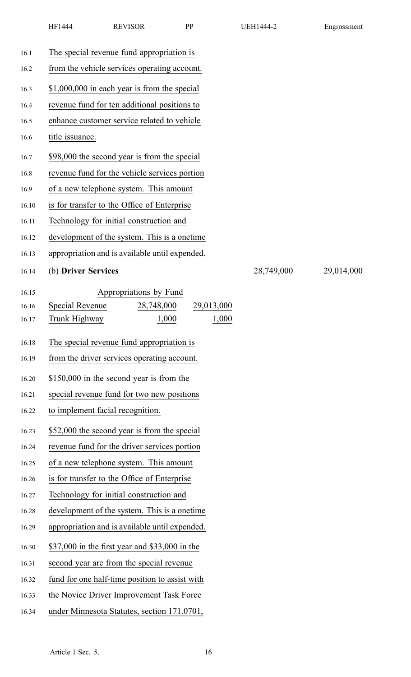| 16.1           | The special revenue fund appropriation is                                                     |            |            |
|----------------|-----------------------------------------------------------------------------------------------|------------|------------|
| 16.2           | from the vehicle services operating account.                                                  |            |            |
| 16.3           | \$1,000,000 in each year is from the special                                                  |            |            |
| 16.4           | revenue fund for ten additional positions to                                                  |            |            |
| 16.5           | enhance customer service related to vehicle                                                   |            |            |
| 16.6           | title issuance.                                                                               |            |            |
|                |                                                                                               |            |            |
| 16.7           | \$98,000 the second year is from the special<br>revenue fund for the vehicle services portion |            |            |
| 16.8<br>16.9   | of a new telephone system. This amount                                                        |            |            |
| 16.10          | is for transfer to the Office of Enterprise                                                   |            |            |
| 16.11          | Technology for initial construction and                                                       |            |            |
| 16.12          | development of the system. This is a onetime                                                  |            |            |
| 16.13          | appropriation and is available until expended.                                                |            |            |
| 16.14          | (b) Driver Services                                                                           | 28,749,000 | 29,014,000 |
|                |                                                                                               |            |            |
| 16.15          | Appropriations by Fund                                                                        |            |            |
| 16.16<br>16.17 | 28,748,000<br><b>Special Revenue</b><br>29,013,000<br>1,000<br>Trunk Highway<br>1,000         |            |            |
|                |                                                                                               |            |            |
| 16.18          | The special revenue fund appropriation is                                                     |            |            |
| 16.19          | from the driver services operating account.                                                   |            |            |
| 16.20          | \$150,000 in the second year is from the                                                      |            |            |
| 16.21          | special revenue fund for two new positions                                                    |            |            |
| 16.22          | to implement facial recognition.                                                              |            |            |
| 16.23          | \$52,000 the second year is from the special                                                  |            |            |
| 16.24          | revenue fund for the driver services portion                                                  |            |            |
| 16.25          | of a new telephone system. This amount                                                        |            |            |
| 16.26          | is for transfer to the Office of Enterprise                                                   |            |            |
| 16.27          | Technology for initial construction and                                                       |            |            |
| 16.28          | development of the system. This is a onetime                                                  |            |            |
| 16.29          | appropriation and is available until expended.                                                |            |            |
| 16.30          | \$37,000 in the first year and \$33,000 in the                                                |            |            |
| 16.31          | second year are from the special revenue                                                      |            |            |
| 16.32          | fund for one half-time position to assist with                                                |            |            |
| 16.33          | the Novice Driver Improvement Task Force                                                      |            |            |
| 16.34          | under Minnesota Statutes, section 171.0701,                                                   |            |            |
|                |                                                                                               |            |            |

HF1444 REVISOR PP UEH1444-2 Engrossment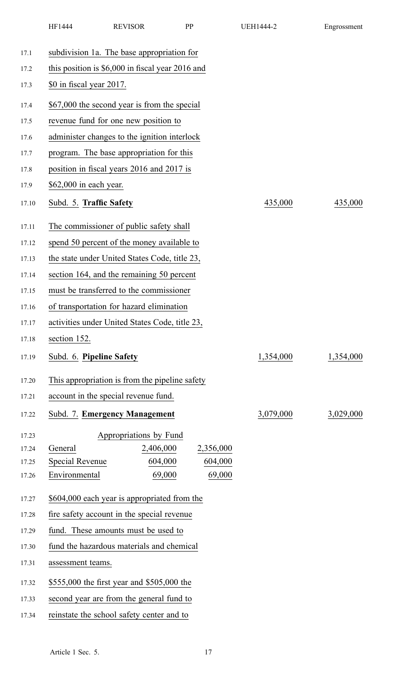|       | HF1444                                            | <b>REVISOR</b>                                 | PP        |           | <b>UEH1444-2</b> | Engrossment |  |  |  |  |
|-------|---------------------------------------------------|------------------------------------------------|-----------|-----------|------------------|-------------|--|--|--|--|
| 17.1  |                                                   | subdivision 1a. The base appropriation for     |           |           |                  |             |  |  |  |  |
| 17.2  | this position is $$6,000$ in fiscal year 2016 and |                                                |           |           |                  |             |  |  |  |  |
| 17.3  | \$0 in fiscal year 2017.                          |                                                |           |           |                  |             |  |  |  |  |
| 17.4  | \$67,000 the second year is from the special      |                                                |           |           |                  |             |  |  |  |  |
| 17.5  |                                                   | revenue fund for one new position to           |           |           |                  |             |  |  |  |  |
| 17.6  |                                                   | administer changes to the ignition interlock   |           |           |                  |             |  |  |  |  |
| 17.7  |                                                   | program. The base appropriation for this       |           |           |                  |             |  |  |  |  |
| 17.8  |                                                   | position in fiscal years 2016 and 2017 is      |           |           |                  |             |  |  |  |  |
| 17.9  | \$62,000 in each year.                            |                                                |           |           |                  |             |  |  |  |  |
| 17.10 | Subd. 5. Traffic Safety                           |                                                |           |           | 435,000          | 435,000     |  |  |  |  |
| 17.11 |                                                   | The commissioner of public safety shall        |           |           |                  |             |  |  |  |  |
| 17.12 |                                                   | spend 50 percent of the money available to     |           |           |                  |             |  |  |  |  |
| 17.13 |                                                   | the state under United States Code, title 23,  |           |           |                  |             |  |  |  |  |
| 17.14 |                                                   | section 164, and the remaining 50 percent      |           |           |                  |             |  |  |  |  |
| 17.15 |                                                   | must be transferred to the commissioner        |           |           |                  |             |  |  |  |  |
| 17.16 |                                                   | of transportation for hazard elimination       |           |           |                  |             |  |  |  |  |
| 17.17 |                                                   | activities under United States Code, title 23. |           |           |                  |             |  |  |  |  |
| 17.18 | section 152.                                      |                                                |           |           |                  |             |  |  |  |  |
| 17.19 | Subd. 6. Pipeline Safety                          |                                                |           |           | 1,354,000        | 1,354,000   |  |  |  |  |
| 17.20 |                                                   | This appropriation is from the pipeline safety |           |           |                  |             |  |  |  |  |
| 17.21 |                                                   | account in the special revenue fund.           |           |           |                  |             |  |  |  |  |
| 17.22 |                                                   | Subd. 7. Emergency Management                  |           |           | 3,079,000        | 3,029,000   |  |  |  |  |
| 17.23 |                                                   | Appropriations by Fund                         |           |           |                  |             |  |  |  |  |
| 17.24 | General                                           |                                                | 2,406,000 | 2,356,000 |                  |             |  |  |  |  |
| 17.25 | <b>Special Revenue</b>                            | 604,000                                        |           | 604,000   |                  |             |  |  |  |  |
| 17.26 | Environmental                                     | 69,000                                         |           | 69,000    |                  |             |  |  |  |  |
| 17.27 |                                                   | \$604,000 each year is appropriated from the   |           |           |                  |             |  |  |  |  |
| 17.28 | fire safety account in the special revenue        |                                                |           |           |                  |             |  |  |  |  |
| 17.29 |                                                   | fund. These amounts must be used to            |           |           |                  |             |  |  |  |  |
| 17.30 |                                                   | fund the hazardous materials and chemical      |           |           |                  |             |  |  |  |  |
| 17.31 | assessment teams.                                 |                                                |           |           |                  |             |  |  |  |  |
| 17.32 |                                                   | \$555,000 the first year and \$505,000 the     |           |           |                  |             |  |  |  |  |
| 17.33 |                                                   | second year are from the general fund to       |           |           |                  |             |  |  |  |  |
| 17.34 | reinstate the school safety center and to         |                                                |           |           |                  |             |  |  |  |  |
|       |                                                   |                                                |           |           |                  |             |  |  |  |  |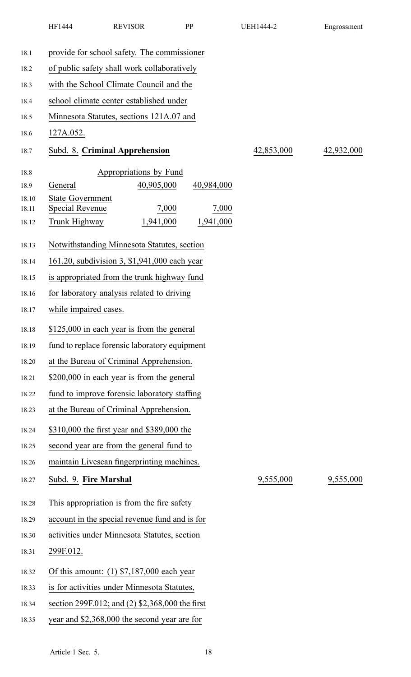|       | HF1444                                      | <b>REVISOR</b>                                  | <b>PP</b> | UEH1444-2  | Engrossment |  |  |  |  |
|-------|---------------------------------------------|-------------------------------------------------|-----------|------------|-------------|--|--|--|--|
| 18.1  |                                             | provide for school safety. The commissioner     |           |            |             |  |  |  |  |
| 18.2  | of public safety shall work collaboratively |                                                 |           |            |             |  |  |  |  |
| 18.3  | with the School Climate Council and the     |                                                 |           |            |             |  |  |  |  |
| 18.4  | school climate center established under     |                                                 |           |            |             |  |  |  |  |
| 18.5  |                                             | Minnesota Statutes, sections 121A.07 and        |           |            |             |  |  |  |  |
| 18.6  | 127A.052.                                   |                                                 |           |            |             |  |  |  |  |
| 18.7  |                                             | Subd. 8. Criminal Apprehension                  |           | 42,853,000 | 42,932,000  |  |  |  |  |
| 18.8  |                                             | Appropriations by Fund                          |           |            |             |  |  |  |  |
| 18.9  | General                                     | 40,905,000                                      |           | 40,984,000 |             |  |  |  |  |
| 18.10 | <b>State Government</b>                     |                                                 |           |            |             |  |  |  |  |
| 18.11 | <b>Special Revenue</b>                      | 7,000                                           |           | 7,000      |             |  |  |  |  |
| 18.12 | Trunk Highway                               | 1,941,000                                       |           | 1,941,000  |             |  |  |  |  |
| 18.13 |                                             | Notwithstanding Minnesota Statutes, section     |           |            |             |  |  |  |  |
| 18.14 |                                             | 161.20, subdivision 3, \$1,941,000 each year    |           |            |             |  |  |  |  |
| 18.15 |                                             | is appropriated from the trunk highway fund     |           |            |             |  |  |  |  |
| 18.16 |                                             | for laboratory analysis related to driving      |           |            |             |  |  |  |  |
| 18.17 | while impaired cases.                       |                                                 |           |            |             |  |  |  |  |
| 18.18 |                                             | \$125,000 in each year is from the general      |           |            |             |  |  |  |  |
| 18.19 |                                             | fund to replace forensic laboratory equipment   |           |            |             |  |  |  |  |
| 18.20 |                                             | at the Bureau of Criminal Apprehension.         |           |            |             |  |  |  |  |
| 18.21 |                                             | \$200,000 in each year is from the general      |           |            |             |  |  |  |  |
| 18.22 |                                             | fund to improve forensic laboratory staffing    |           |            |             |  |  |  |  |
| 18.23 |                                             | at the Bureau of Criminal Apprehension.         |           |            |             |  |  |  |  |
| 18.24 |                                             | \$310,000 the first year and \$389,000 the      |           |            |             |  |  |  |  |
| 18.25 |                                             | second year are from the general fund to        |           |            |             |  |  |  |  |
| 18.26 |                                             | maintain Livescan fingerprinting machines.      |           |            |             |  |  |  |  |
| 18.27 | Subd. 9. Fire Marshal                       |                                                 |           | 9,555,000  | 9,555,000   |  |  |  |  |
| 18.28 |                                             | This appropriation is from the fire safety      |           |            |             |  |  |  |  |
| 18.29 |                                             | account in the special revenue fund and is for  |           |            |             |  |  |  |  |
| 18.30 |                                             | activities under Minnesota Statutes, section    |           |            |             |  |  |  |  |
| 18.31 | 299F.012.                                   |                                                 |           |            |             |  |  |  |  |
| 18.32 |                                             | Of this amount: $(1)$ \$7,187,000 each year     |           |            |             |  |  |  |  |
| 18.33 |                                             | is for activities under Minnesota Statutes,     |           |            |             |  |  |  |  |
| 18.34 |                                             | section 299F.012; and (2) \$2,368,000 the first |           |            |             |  |  |  |  |
| 18.35 |                                             | year and \$2,368,000 the second year are for    |           |            |             |  |  |  |  |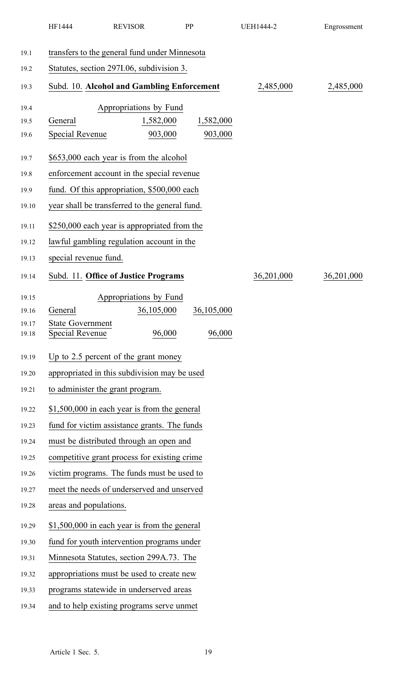|                | HF1444                                            | <b>REVISOR</b>                                 |                        | PP         | <b>UEH1444-2</b> | Engrossment |  |  |
|----------------|---------------------------------------------------|------------------------------------------------|------------------------|------------|------------------|-------------|--|--|
| 19.1           |                                                   | transfers to the general fund under Minnesota  |                        |            |                  |             |  |  |
| 19.2           | Statutes, section 297I.06, subdivision 3.         |                                                |                        |            |                  |             |  |  |
| 19.3           |                                                   | Subd. 10. Alcohol and Gambling Enforcement     |                        |            | 2,485,000        | 2,485,000   |  |  |
|                |                                                   |                                                |                        |            |                  |             |  |  |
| 19.4           |                                                   |                                                | Appropriations by Fund |            |                  |             |  |  |
| 19.5           | General                                           |                                                | 1,582,000<br>903,000   | 1,582,000  |                  |             |  |  |
| 19.6           | <b>Special Revenue</b>                            |                                                |                        | 903,000    |                  |             |  |  |
| 19.7           |                                                   | \$653,000 each year is from the alcohol        |                        |            |                  |             |  |  |
| 19.8           |                                                   | enforcement account in the special revenue     |                        |            |                  |             |  |  |
| 19.9           |                                                   | fund. Of this appropriation, \$500,000 each    |                        |            |                  |             |  |  |
| 19.10          |                                                   | year shall be transferred to the general fund. |                        |            |                  |             |  |  |
| 19.11          |                                                   | \$250,000 each year is appropriated from the   |                        |            |                  |             |  |  |
| 19.12          |                                                   | lawful gambling regulation account in the      |                        |            |                  |             |  |  |
| 19.13          | special revenue fund.                             |                                                |                        |            |                  |             |  |  |
| 19.14          |                                                   | Subd. 11. Office of Justice Programs           |                        |            | 36,201,000       | 36,201,000  |  |  |
| 19.15          |                                                   |                                                | Appropriations by Fund |            |                  |             |  |  |
| 19.16          | General                                           |                                                | 36,105,000             | 36,105,000 |                  |             |  |  |
| 19.17<br>19.18 | <b>State Government</b><br><b>Special Revenue</b> |                                                | 96,000                 | 96,000     |                  |             |  |  |
| 19.19          |                                                   | Up to 2.5 percent of the grant money           |                        |            |                  |             |  |  |
| 19.20          |                                                   | appropriated in this subdivision may be used   |                        |            |                  |             |  |  |
| 19.21          |                                                   | to administer the grant program.               |                        |            |                  |             |  |  |
| 19.22          |                                                   | \$1,500,000 in each year is from the general   |                        |            |                  |             |  |  |
| 19.23          |                                                   | fund for victim assistance grants. The funds   |                        |            |                  |             |  |  |
| 19.24          |                                                   | must be distributed through an open and        |                        |            |                  |             |  |  |
| 19.25          |                                                   | competitive grant process for existing crime   |                        |            |                  |             |  |  |
| 19.26          |                                                   | victim programs. The funds must be used to     |                        |            |                  |             |  |  |
| 19.27          |                                                   | meet the needs of underserved and unserved     |                        |            |                  |             |  |  |
| 19.28          | areas and populations.                            |                                                |                        |            |                  |             |  |  |
| 19.29          |                                                   | \$1,500,000 in each year is from the general   |                        |            |                  |             |  |  |
| 19.30          |                                                   | fund for youth intervention programs under     |                        |            |                  |             |  |  |
| 19.31          |                                                   | Minnesota Statutes, section 299A.73. The       |                        |            |                  |             |  |  |
| 19.32          |                                                   | appropriations must be used to create new      |                        |            |                  |             |  |  |
| 19.33          |                                                   | programs statewide in underserved areas        |                        |            |                  |             |  |  |
| 19.34          |                                                   | and to help existing programs serve unmet      |                        |            |                  |             |  |  |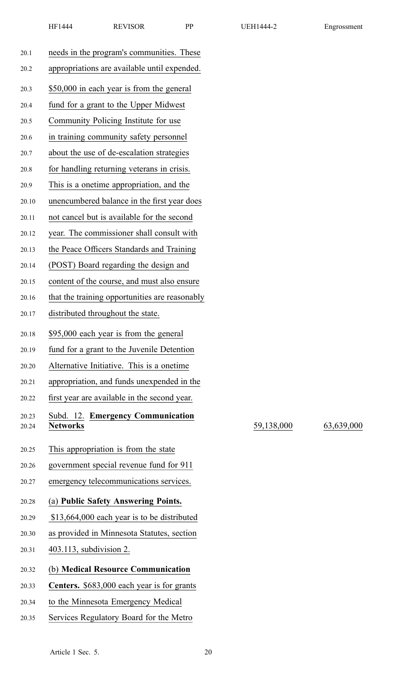| 20.1  | needs in the program's communities. These      |
|-------|------------------------------------------------|
| 20.2  | appropriations are available until expended.   |
| 20.3  | \$50,000 in each year is from the general      |
| 20.4  | fund for a grant to the Upper Midwest          |
| 20.5  | Community Policing Institute for use           |
| 20.6  | in training community safety personnel         |
| 20.7  | about the use of de-escalation strategies      |
| 20.8  | for handling returning veterans in crisis.     |
| 20.9  | This is a onetime appropriation, and the       |
| 20.10 | unencumbered balance in the first year does    |
| 20.11 | not cancel but is available for the second     |
| 20.12 | year. The commissioner shall consult with      |
| 20.13 | the Peace Officers Standards and Training      |
| 20.14 | (POST) Board regarding the design and          |
| 20.15 | content of the course, and must also ensure    |
| 20.16 | that the training opportunities are reasonably |
| 20.17 | distributed throughout the state.              |
| 20.18 | \$95,000 each year is from the general         |
| 20.19 | fund for a grant to the Juvenile Detention     |
| 20.20 | Alternative Initiative. This is a onetime      |
| 20.21 | appropriation, and funds unexpended in the     |
| 20.22 | first year are available in the second year.   |
| 20.23 | Subd. 12. Emergency Communication              |
| 20.24 | <b>Networks</b>                                |
| 20.25 | This appropriation is from the state           |
| 20.26 | government special revenue fund for 911        |
| 20.27 | emergency telecommunications services.         |
| 20.28 | (a) Public Safety Answering Points.            |
| 20.29 |                                                |
|       | \$13,664,000 each year is to be distributed    |
| 20.30 | as provided in Minnesota Statutes, section     |
| 20.31 | 403.113, subdivision 2.                        |
| 20.32 | (b) Medical Resource Communication             |
| 20.33 | Centers. \$683,000 each year is for grants     |
| 20.34 | to the Minnesota Emergency Medical             |

20.35 Services Regulatory Board for the Metro

20.24 **Networks** 59,138,000 63,639,000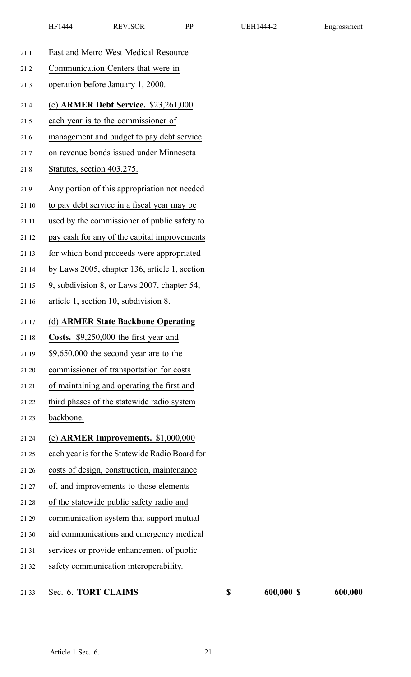| 21.1  | East and Metro West Medical Resource           |
|-------|------------------------------------------------|
| 21.2  | Communication Centers that were in             |
| 21.3  | operation before January 1, 2000.              |
| 21.4  | (c) ARMER Debt Service. \$23,261,000           |
| 21.5  | each year is to the commissioner of            |
| 21.6  | management and budget to pay debt service      |
| 21.7  | on revenue bonds issued under Minnesota        |
| 21.8  | Statutes, section 403.275.                     |
| 21.9  | Any portion of this appropriation not needed   |
| 21.10 | to pay debt service in a fiscal year may be    |
| 21.11 | used by the commissioner of public safety to   |
| 21.12 | pay cash for any of the capital improvements   |
| 21.13 | for which bond proceeds were appropriated      |
| 21.14 | by Laws 2005, chapter 136, article 1, section  |
| 21.15 | 9, subdivision 8, or Laws 2007, chapter 54,    |
| 21.16 | article 1, section 10, subdivision 8.          |
|       |                                                |
| 21.17 | (d) ARMER State Backbone Operating             |
| 21.18 | Costs. \$9,250,000 the first year and          |
| 21.19 | \$9,650,000 the second year are to the         |
| 21.20 | commissioner of transportation for costs       |
| 21.21 | of maintaining and operating the first and     |
| 21.22 | third phases of the statewide radio system     |
| 21.23 | backbone.                                      |
| 21.24 | (e) ARMER Improvements. $$1,000,000$           |
| 21.25 | each year is for the Statewide Radio Board for |
| 21.26 | costs of design, construction, maintenance     |
| 21.27 | of, and improvements to those elements         |
| 21.28 | of the statewide public safety radio and       |
| 21.29 | communication system that support mutual       |
| 21.30 | aid communications and emergency medical       |
| 21.31 | services or provide enhancement of public      |

21.33 Sec. 6. **TORT CLAIMS \$ 600,000 \$ 600,000**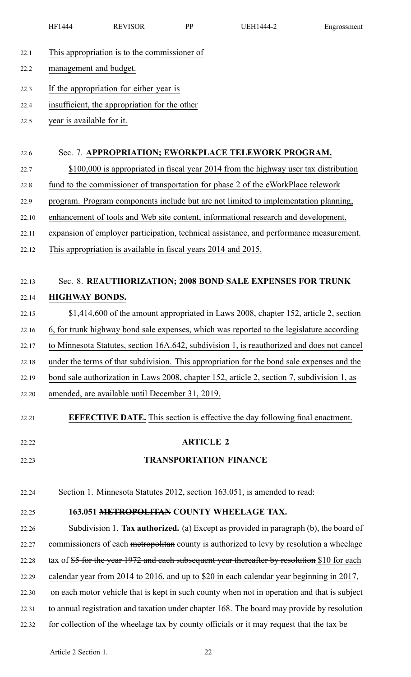|       | HF1444                    | <b>REVISOR</b>                                                 | PP               | <b>UEH1444-2</b>                                                                             | Engrossment |
|-------|---------------------------|----------------------------------------------------------------|------------------|----------------------------------------------------------------------------------------------|-------------|
| 22.1  |                           | This appropriation is to the commissioner of                   |                  |                                                                                              |             |
| 22.2  | management and budget.    |                                                                |                  |                                                                                              |             |
| 22.3  |                           | If the appropriation for either year is                        |                  |                                                                                              |             |
| 22.4  |                           | insufficient, the appropriation for the other                  |                  |                                                                                              |             |
| 22.5  | year is available for it. |                                                                |                  |                                                                                              |             |
|       |                           |                                                                |                  |                                                                                              |             |
| 22.6  |                           |                                                                |                  | Sec. 7. APPROPRIATION; EWORKPLACE TELEWORK PROGRAM.                                          |             |
| 22.7  |                           |                                                                |                  | \$100,000 is appropriated in fiscal year 2014 from the highway user tax distribution         |             |
| 22.8  |                           |                                                                |                  | fund to the commissioner of transportation for phase 2 of the eWorkPlace telework            |             |
| 22.9  |                           |                                                                |                  | program. Program components include but are not limited to implementation planning,          |             |
| 22.10 |                           |                                                                |                  | enhancement of tools and Web site content, informational research and development,           |             |
| 22.11 |                           |                                                                |                  | expansion of employer participation, technical assistance, and performance measurement.      |             |
| 22.12 |                           | This appropriation is available in fiscal years 2014 and 2015. |                  |                                                                                              |             |
|       |                           |                                                                |                  |                                                                                              |             |
| 22.13 |                           |                                                                |                  | Sec. 8. REAUTHORIZATION; 2008 BOND SALE EXPENSES FOR TRUNK                                   |             |
| 22.14 | <b>HIGHWAY BONDS</b>      |                                                                |                  |                                                                                              |             |
| 22.15 |                           |                                                                |                  | \$1,414,600 of the amount appropriated in Laws 2008, chapter 152, article 2, section         |             |
| 22.16 |                           |                                                                |                  | 6, for trunk highway bond sale expenses, which was reported to the legislature according     |             |
| 22.17 |                           |                                                                |                  | to Minnesota Statutes, section 16A.642, subdivision 1, is reauthorized and does not cancel   |             |
| 22.18 |                           |                                                                |                  | under the terms of that subdivision. This appropriation for the bond sale expenses and the   |             |
| 22.19 |                           |                                                                |                  | bond sale authorization in Laws 2008, chapter 152, article 2, section 7, subdivision 1, as   |             |
| 22.20 |                           | amended, are available until December 31, 2019.                |                  |                                                                                              |             |
| 22.21 |                           |                                                                |                  | <b>EFFECTIVE DATE.</b> This section is effective the day following final enactment.          |             |
| 22.22 |                           |                                                                | <b>ARTICLE 2</b> |                                                                                              |             |
| 22.23 |                           |                                                                |                  | <b>TRANSPORTATION FINANCE</b>                                                                |             |
|       |                           |                                                                |                  |                                                                                              |             |
| 22.24 |                           |                                                                |                  | Section 1. Minnesota Statutes 2012, section 163.051, is amended to read:                     |             |
| 22.25 |                           |                                                                |                  | 163.051 METROPOLITAN COUNTY WHEELAGE TAX.                                                    |             |
| 22.26 |                           |                                                                |                  | Subdivision 1. Tax authorized. (a) Except as provided in paragraph (b), the board of         |             |
| 22.27 |                           |                                                                |                  | commissioners of each metropolitan county is authorized to levy by resolution a wheelage     |             |
| 22.28 |                           |                                                                |                  | tax of \$5 for the year 1972 and each subsequent year thereafter by resolution \$10 for each |             |
| 22.29 |                           |                                                                |                  | calendar year from 2014 to 2016, and up to \$20 in each calendar year beginning in 2017,     |             |
| 22.30 |                           |                                                                |                  | on each motor vehicle that is kept in such county when not in operation and that is subject  |             |
| 22.31 |                           |                                                                |                  | to annual registration and taxation under chapter 168. The board may provide by resolution   |             |
|       |                           |                                                                |                  |                                                                                              |             |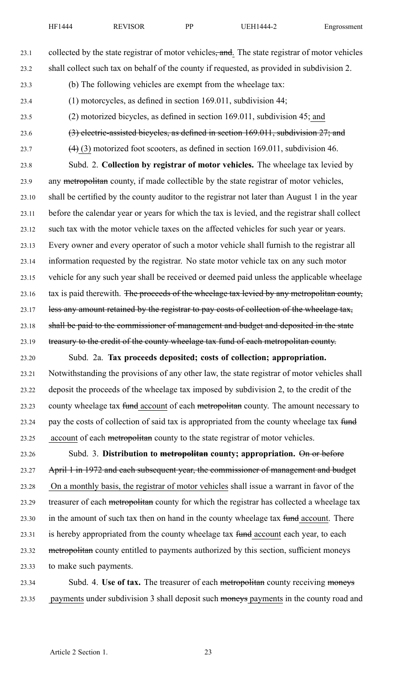23.1 collected by the state registrar of motor vehicles, and. The state registrar of motor vehicles 23.2 shall collect such tax on behalf of the county if requested, as provided in subdivision 2.

- 23.3 (b) The following vehicles are exemp<sup>t</sup> from the wheelage tax:
- 23.4 (1) motorcycles, as defined in section 169.011, subdivision 44;
- 23.5 (2) motorized bicycles, as defined in section 169.011, subdivision 45; and
- 23.6 (3) electric-assisted bicycles, as defined in section 169.011, subdivision 27; and
- 23.7  $(4)$  (3) motorized foot scooters, as defined in section 169.011, subdivision 46.

23.8 Subd. 2. **Collection by registrar of motor vehicles.** The wheelage tax levied by 23.9 any metropolitan county, if made collectible by the state registrar of motor vehicles, 23.10 shall be certified by the county auditor to the registrar not later than August 1 in the year 23.11 before the calendar year or years for which the tax is levied, and the registrar shall collect 23.12 such tax with the motor vehicle taxes on the affected vehicles for such year or years. 23.13 Every owner and every operator of such <sup>a</sup> motor vehicle shall furnish to the registrar all 23.14 information requested by the registrar. No state motor vehicle tax on any such motor 23.15 vehicle for any such year shall be received or deemed paid unless the applicable wheelage 23.16 tax is paid therewith. The proceeds of the wheelage tax levied by any metropolitan county, 23.17 less any amount retained by the registrar to pay costs of collection of the wheelage tax, 23.18 shall be paid to the commissioner of management and budget and deposited in the state 23.19 treasury to the credit of the county wheelage tax fund of each metropolitan county.

23.20 Subd. 2a. **Tax proceeds deposited; costs of collection; appropriation.** 23.21 Notwithstanding the provisions of any other law, the state registrar of motor vehicles shall 23.22 deposit the proceeds of the wheelage tax imposed by subdivision 2, to the credit of the 23.23 county wheelage tax fund account of each metropolitan county. The amount necessary to 23.24 pay the costs of collection of said tax is appropriated from the county wheelage tax fund 23.25 account of each metropolitan county to the state registrar of motor vehicles.

23.26 Subd. 3. **Distribution to metropolitan county; appropriation.** On or before 23.27 April 1 in 1972 and each subsequent year, the commissioner of management and budget 23.28 On <sup>a</sup> monthly basis, the registrar of motor vehicles shall issue <sup>a</sup> warrant in favor of the 23.29 treasurer of each metropolitan county for which the registrar has collected a wheelage tax 23.30 in the amount of such tax then on hand in the county wheelage tax fund account. There 23.31 is hereby appropriated from the county wheelage tax fund account each year, to each 23.32 metropolitan county entitled to payments authorized by this section, sufficient moneys 23.33 to make such payments.

23.34 Subd. 4. **Use of tax.** The treasurer of each metropolitan county receiving moneys 23.35 payments under subdivision 3 shall deposit such moneys payments in the county road and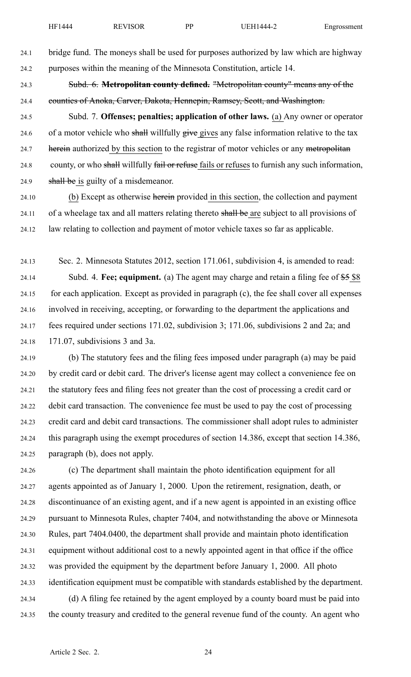24.1 bridge fund. The moneys shall be used for purposes authorized by law which are highway 24.2 purposes within the meaning of the Minnesota Constitution, article 14.

24.3 Subd. 6. **Metropolitan county defined.** "Metropolitan county" means any of the 24.4 counties of Anoka, Carver, Dakota, Hennepin, Ramsey, Scott, and Washington.

24.5 Subd. 7. **Offenses; penalties; application of other laws.** (a) Any owner or operator 24.6 of a motor vehicle who shall willfully give gives any false information relative to the tax 24.7 herein authorized by this section to the registrar of motor vehicles or any metropolitan 24.8 county, or who shall willfully fail or refuse fails or refuses to furnish any such information, 24.9 shall be is guilty of a misdemeanor.

24.10 (b) Except as otherwise herein provided in this section, the collection and payment 24.11 of a wheelage tax and all matters relating thereto shall be are subject to all provisions of 24.12 law relating to collection and paymen<sup>t</sup> of motor vehicle taxes so far as applicable.

24.13 Sec. 2. Minnesota Statutes 2012, section 171.061, subdivision 4, is amended to read: 24.14 Subd. 4. **Fee; equipment.** (a) The agen<sup>t</sup> may charge and retain <sup>a</sup> filing fee of \$5 \$8 24.15 for each application. Except as provided in paragraph (c), the fee shall cover all expenses 24.16 involved in receiving, accepting, or forwarding to the department the applications and 24.17 fees required under sections 171.02, subdivision 3; 171.06, subdivisions 2 and 2a; and 24.18 171.07, subdivisions 3 and 3a.

24.19 (b) The statutory fees and the filing fees imposed under paragraph (a) may be paid 24.20 by credit card or debit card. The driver's license agen<sup>t</sup> may collect <sup>a</sup> convenience fee on 24.21 the statutory fees and filing fees not greater than the cost of processing <sup>a</sup> credit card or 24.22 debit card transaction. The convenience fee must be used to pay the cost of processing 24.23 credit card and debit card transactions. The commissioner shall adopt rules to administer 24.24 this paragraph using the exemp<sup>t</sup> procedures of section 14.386, excep<sup>t</sup> that section 14.386, 24.25 paragraph (b), does not apply.

24.26 (c) The department shall maintain the photo identification equipment for all 24.27 agents appointed as of January 1, 2000. Upon the retirement, resignation, death, or 24.28 discontinuance of an existing agent, and if <sup>a</sup> new agen<sup>t</sup> is appointed in an existing office 24.29 pursuan<sup>t</sup> to Minnesota Rules, chapter 7404, and notwithstanding the above or Minnesota 24.30 Rules, par<sup>t</sup> 7404.0400, the department shall provide and maintain photo identification 24.31 equipment without additional cost to <sup>a</sup> newly appointed agen<sup>t</sup> in that office if the office 24.32 was provided the equipment by the department before January 1, 2000. All photo 24.33 identification equipment must be compatible with standards established by the department. 24.34 (d) A filing fee retained by the agen<sup>t</sup> employed by <sup>a</sup> county board must be paid into

24.35 the county treasury and credited to the general revenue fund of the county. An agen<sup>t</sup> who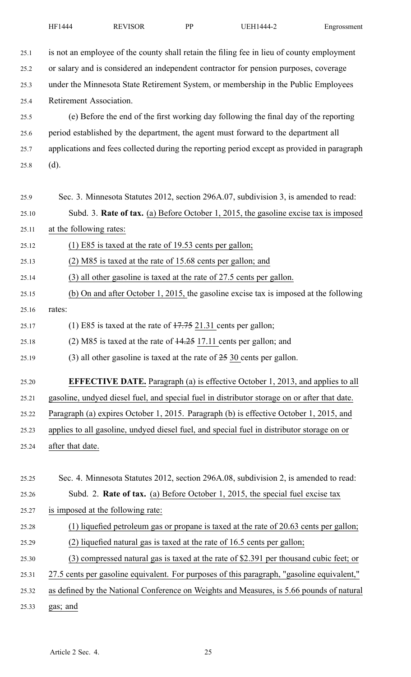| 25.1  | is not an employee of the county shall retain the filing fee in lieu of county employment    |
|-------|----------------------------------------------------------------------------------------------|
| 25.2  | or salary and is considered an independent contractor for pension purposes, coverage         |
| 25.3  | under the Minnesota State Retirement System, or membership in the Public Employees           |
| 25.4  | Retirement Association.                                                                      |
| 25.5  | (e) Before the end of the first working day following the final day of the reporting         |
| 25.6  | period established by the department, the agent must forward to the department all           |
| 25.7  | applications and fees collected during the reporting period except as provided in paragraph  |
| 25.8  | (d).                                                                                         |
|       |                                                                                              |
| 25.9  | Sec. 3. Minnesota Statutes 2012, section 296A.07, subdivision 3, is amended to read:         |
| 25.10 | Subd. 3. Rate of tax. (a) Before October 1, 2015, the gasoline excise tax is imposed         |
| 25.11 | at the following rates:                                                                      |
| 25.12 | $(1)$ E85 is taxed at the rate of 19.53 cents per gallon;                                    |
| 25.13 | (2) M85 is taxed at the rate of 15.68 cents per gallon; and                                  |
| 25.14 | (3) all other gasoline is taxed at the rate of 27.5 cents per gallon.                        |
| 25.15 | (b) On and after October 1, 2015, the gasoline excise tax is imposed at the following        |
| 25.16 | rates:                                                                                       |
| 25.17 | (1) E85 is taxed at the rate of $17.75$ 21.31 cents per gallon;                              |
| 25.18 | $(2)$ M85 is taxed at the rate of $\frac{14.25}{17.11}$ cents per gallon; and                |
| 25.19 | $(3)$ all other gasoline is taxed at the rate of $25$ 30 cents per gallon.                   |
| 25.20 | <b>EFFECTIVE DATE.</b> Paragraph (a) is effective October 1, 2013, and applies to all        |
| 25.21 | gasoline, undyed diesel fuel, and special fuel in distributor storage on or after that date. |
| 25.22 | Paragraph (a) expires October 1, 2015. Paragraph (b) is effective October 1, 2015, and       |
| 25.23 | applies to all gasoline, undyed diesel fuel, and special fuel in distributor storage on or   |
| 25.24 | after that date.                                                                             |
|       |                                                                                              |
| 25.25 | Sec. 4. Minnesota Statutes 2012, section 296A.08, subdivision 2, is amended to read:         |
| 25.26 | Subd. 2. Rate of tax. (a) Before October 1, 2015, the special fuel excise tax                |
| 25.27 | is imposed at the following rate:                                                            |
| 25.28 | (1) liquefied petroleum gas or propane is taxed at the rate of 20.63 cents per gallon;       |
| 25.29 | (2) liquefied natural gas is taxed at the rate of 16.5 cents per gallon;                     |
| 25.30 | (3) compressed natural gas is taxed at the rate of \$2.391 per thousand cubic feet; or       |
| 25.31 | 27.5 cents per gasoline equivalent. For purposes of this paragraph, "gasoline equivalent,"   |
| 25.32 | as defined by the National Conference on Weights and Measures, is 5.66 pounds of natural     |
| 25.33 | gas; and                                                                                     |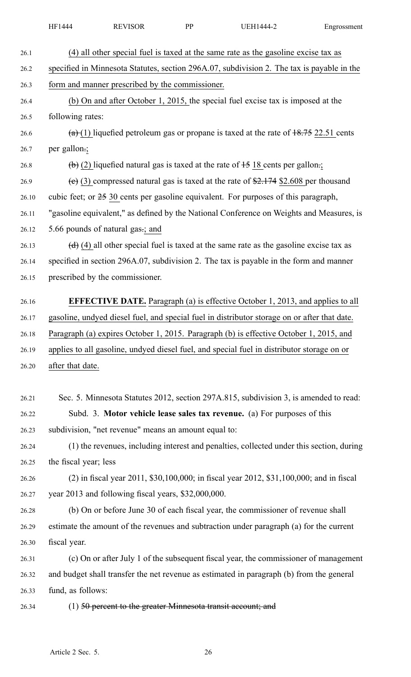| <b>REVISOR</b><br>HF1444<br>DD<br>JEH1444-2<br>Engrossment |
|------------------------------------------------------------|
|------------------------------------------------------------|

26.1 (4) all other special fuel is taxed at the same rate as the gasoline excise tax as 26.2 specified in Minnesota Statutes, section 296A.07, subdivision 2. The tax is payable in the 26.3 form and manner prescribed by the commissioner. 26.4 (b) On and after October 1, 2015, the special fuel excise tax is imposed at the 26.5 following rates: 26.6  $\left(\frac{a}{b}\right)$  liquefied petroleum gas or propane is taxed at the rate of  $\frac{18.75}{22.51}$  cents 26.7 per gallon.; 26.8 (b) (2) liquefied natural gas is taxed at the rate of  $\pm$ 5 18 cents per gallon.; 26.9 (e) (3) compressed natural gas is taxed at the rate of  $\frac{2.174}{2.608}$  per thousand 26.10 cubic feet; or 25 30 cents per gasoline equivalent. For purposes of this paragraph, 26.11 "gasoline equivalent," as defined by the National Conference on Weights and Measures, is 26.12 5.66 pounds of natural gas.; and 26.13 (d) (4) all other special fuel is taxed at the same rate as the gasoline excise tax as 26.14 specified in section 296A.07, subdivision 2. The tax is payable in the form and manner 26.15 prescribed by the commissioner. 26.16 **EFFECTIVE DATE.** Paragraph (a) is effective October 1, 2013, and applies to all 26.17 gasoline, undyed diesel fuel, and special fuel in distributor storage on or after that date. 26.18 Paragraph (a) expires October 1, 2015. Paragraph (b) is effective October 1, 2015, and 26.19 applies to all gasoline, undyed diesel fuel, and special fuel in distributor storage on or 26.20 after that date. 26.21 Sec. 5. Minnesota Statutes 2012, section 297A.815, subdivision 3, is amended to read: 26.22 Subd. 3. **Motor vehicle lease sales tax revenue.** (a) For purposes of this 26.23 subdivision, "net revenue" means an amount equal to: 26.24 (1) the revenues, including interest and penalties, collected under this section, during 26.25 the fiscal year; less 26.26 (2) in fiscal year 2011, \$30,100,000; in fiscal year 2012, \$31,100,000; and in fiscal 26.27 year 2013 and following fiscal years, \$32,000,000. 26.28 (b) On or before June 30 of each fiscal year, the commissioner of revenue shall 26.29 estimate the amount of the revenues and subtraction under paragraph (a) for the current 26.30 fiscal year. 26.31 (c) On or after July 1 of the subsequent fiscal year, the commissioner of managemen<sup>t</sup> 26.32 and budget shall transfer the net revenue as estimated in paragraph (b) from the general 26.33 fund, as follows: 26.34 (1) 50 percent to the greater Minnesota transit account; and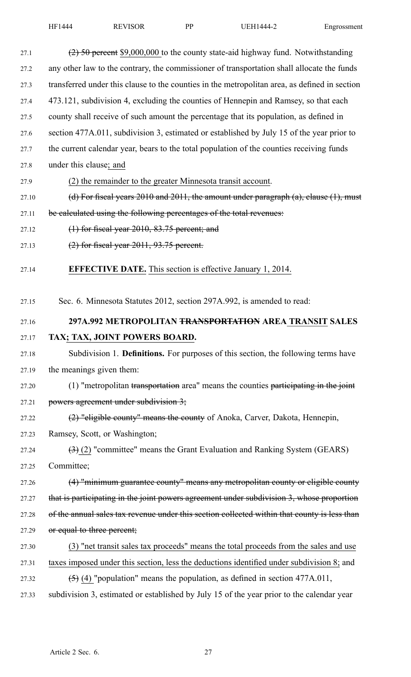| 27.1  | $(2)$ 50 percent \$9,000,000 to the county state-aid highway fund. Notwithstanding               |
|-------|--------------------------------------------------------------------------------------------------|
| 27.2  | any other law to the contrary, the commissioner of transportation shall allocate the funds       |
| 27.3  | transferred under this clause to the counties in the metropolitan area, as defined in section    |
| 27.4  | 473.121, subdivision 4, excluding the counties of Hennepin and Ramsey, so that each              |
| 27.5  | county shall receive of such amount the percentage that its population, as defined in            |
| 27.6  | section 477A.011, subdivision 3, estimated or established by July 15 of the year prior to        |
| 27.7  | the current calendar year, bears to the total population of the counties receiving funds         |
| 27.8  | under this clause; and                                                                           |
| 27.9  | (2) the remainder to the greater Minnesota transit account.                                      |
| 27.10 | (d) For fiscal years $2010$ and $2011$ , the amount under paragraph (a), clause (1), must        |
| 27.11 | be calculated using the following percentages of the total revenues:                             |
| 27.12 | $(1)$ for fiscal year 2010, 83.75 percent; and                                                   |
| 27.13 | $(2)$ for fiscal year 2011, 93.75 percent.                                                       |
| 27.14 | <b>EFFECTIVE DATE.</b> This section is effective January 1, 2014.                                |
| 27.15 | Sec. 6. Minnesota Statutes 2012, section 297A.992, is amended to read:                           |
| 27.16 | 297A.992 METROPOLITAN <del>TRANSPORTATION</del> AREA TRANSIT SALES                               |
| 27.17 | TAX; TAX, JOINT POWERS BOARD.                                                                    |
| 27.18 | Subdivision 1. Definitions. For purposes of this section, the following terms have               |
| 27.19 | the meanings given them:                                                                         |
| 27.20 | $(1)$ "metropolitan transportation area" means the counties participating in the joint           |
| 27.21 | powers agreement under subdivision 3;                                                            |
| 27.22 | (2) "eligible county" means the county of Anoka, Carver, Dakota, Hennepin,                       |
| 27.23 | Ramsey, Scott, or Washington;                                                                    |
| 27.24 | $\left(\frac{1}{2}\right)$ (2) "committee" means the Grant Evaluation and Ranking System (GEARS) |
| 27.25 | Committee;                                                                                       |
| 27.26 | (4) "minimum guarantee county" means any metropolitan county or eligible county                  |
| 27.27 | that is participating in the joint powers agreement under subdivision 3, whose proportion        |
| 27.28 | of the annual sales tax revenue under this section collected within that county is less than     |
| 27.29 | or equal to three percent;                                                                       |
| 27.30 | (3) "net transit sales tax proceeds" means the total proceeds from the sales and use             |
| 27.31 | taxes imposed under this section, less the deductions identified under subdivision 8; and        |
| 27.32 | $(5)$ (4) "population" means the population, as defined in section 477A.011,                     |
| 27.33 | subdivision 3, estimated or established by July 15 of the year prior to the calendar year        |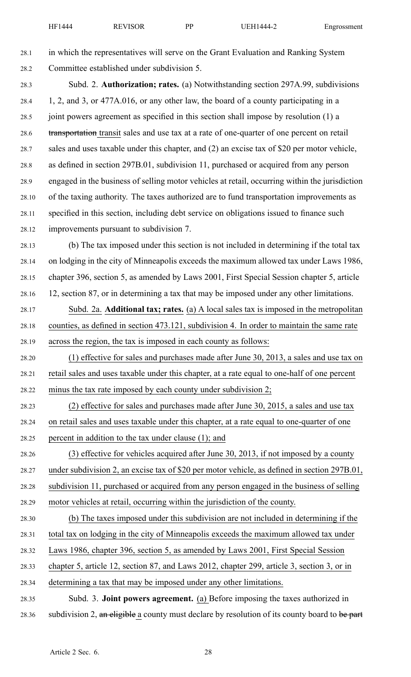28.1 in which the representatives will serve on the Grant Evaluation and Ranking System 28.2 Committee established under subdivision 5.

28.3 Subd. 2. **Authorization; rates.** (a) Notwithstanding section 297A.99, subdivisions 28.4 1, 2, and 3, or 477A.016, or any other law, the board of <sup>a</sup> county participating in <sup>a</sup> 28.5 joint powers agreemen<sup>t</sup> as specified in this section shall impose by resolution (1) <sup>a</sup> 28.6 transportation transit sales and use tax at a rate of one-quarter of one percent on retail 28.7 sales and uses taxable under this chapter, and (2) an excise tax of \$20 per motor vehicle, 28.8 as defined in section 297B.01, subdivision 11, purchased or acquired from any person 28.9 engaged in the business of selling motor vehicles at retail, occurring within the jurisdiction 28.10 of the taxing authority. The taxes authorized are to fund transportation improvements as 28.11 specified in this section, including debt service on obligations issued to finance such 28.12 improvements pursuan<sup>t</sup> to subdivision 7.

28.13 (b) The tax imposed under this section is not included in determining if the total tax 28.14 on lodging in the city of Minneapolis exceeds the maximum allowed tax under Laws 1986, 28.15 chapter 396, section 5, as amended by Laws 2001, First Special Session chapter 5, article 28.16 12, section 87, or in determining <sup>a</sup> tax that may be imposed under any other limitations.

28.17 Subd. 2a. **Additional tax; rates.** (a) A local sales tax is imposed in the metropolitan 28.18 counties, as defined in section 473.121, subdivision 4. In order to maintain the same rate 28.19 across the region, the tax is imposed in each county as follows:

28.20 (1) effective for sales and purchases made after June 30, 2013, <sup>a</sup> sales and use tax on 28.21 retail sales and uses taxable under this chapter, at <sup>a</sup> rate equal to one-half of one percen<sup>t</sup> 28.22 minus the tax rate imposed by each county under subdivision 2;

28.23 (2) effective for sales and purchases made after June 30, 2015, <sup>a</sup> sales and use tax 28.24 on retail sales and uses taxable under this chapter, at <sup>a</sup> rate equal to one-quarter of one 28.25 percen<sup>t</sup> in addition to the tax under clause (1); and

28.26 (3) effective for vehicles acquired after June 30, 2013, if not imposed by <sup>a</sup> county 28.27 under subdivision 2, an excise tax of \$20 per motor vehicle, as defined in section 297B.01, 28.28 subdivision 11, purchased or acquired from any person engaged in the business of selling 28.29 motor vehicles at retail, occurring within the jurisdiction of the county.

28.30 (b) The taxes imposed under this subdivision are not included in determining if the 28.31 total tax on lodging in the city of Minneapolis exceeds the maximum allowed tax under 28.32 Laws 1986, chapter 396, section 5, as amended by Laws 2001, First Special Session 28.33 chapter 5, article 12, section 87, and Laws 2012, chapter 299, article 3, section 3, or in

28.34 determining <sup>a</sup> tax that may be imposed under any other limitations.

28.35 Subd. 3. **Joint powers agreement.** (a) Before imposing the taxes authorized in 28.36 subdivision 2, an eligible a county must declare by resolution of its county board to be part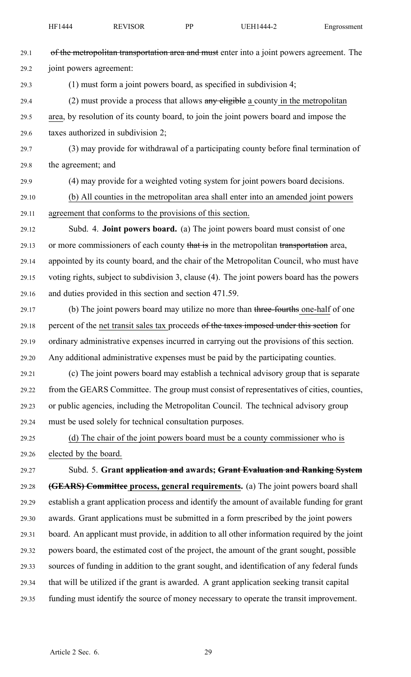| 29.1  | of the metropolitan transportation area and must enter into a joint powers agreement. The    |
|-------|----------------------------------------------------------------------------------------------|
| 29.2  | joint powers agreement:                                                                      |
| 29.3  | $(1)$ must form a joint powers board, as specified in subdivision 4;                         |
| 29.4  | $(2)$ must provide a process that allows any eligible a county in the metropolitan           |
| 29.5  | area, by resolution of its county board, to join the joint powers board and impose the       |
| 29.6  | taxes authorized in subdivision 2;                                                           |
| 29.7  | (3) may provide for withdrawal of a participating county before final termination of         |
| 29.8  | the agreement; and                                                                           |
| 29.9  | (4) may provide for a weighted voting system for joint powers board decisions.               |
| 29.10 | (b) All counties in the metropolitan area shall enter into an amended joint powers           |
| 29.11 | agreement that conforms to the provisions of this section.                                   |
| 29.12 | Subd. 4. <b>Joint powers board.</b> (a) The joint powers board must consist of one           |
| 29.13 | or more commissioners of each county that is in the metropolitan transportation area,        |
| 29.14 | appointed by its county board, and the chair of the Metropolitan Council, who must have      |
| 29.15 | voting rights, subject to subdivision 3, clause (4). The joint powers board has the powers   |
| 29.16 | and duties provided in this section and section 471.59.                                      |
| 29.17 | (b) The joint powers board may utilize no more than three-fourths one-half of one            |
| 29.18 | percent of the net transit sales tax proceeds of the taxes imposed under this section for    |
| 29.19 | ordinary administrative expenses incurred in carrying out the provisions of this section.    |
| 29.20 | Any additional administrative expenses must be paid by the participating counties.           |
| 29.21 | (c) The joint powers board may establish a technical advisory group that is separate         |
| 29.22 | from the GEARS Committee. The group must consist of representatives of cities, counties,     |
| 29.23 | or public agencies, including the Metropolitan Council. The technical advisory group         |
| 29.24 | must be used solely for technical consultation purposes.                                     |
| 29.25 | (d) The chair of the joint powers board must be a county commissioner who is                 |
| 29.26 | elected by the board.                                                                        |
| 29.27 | Subd. 5. Grant application and awards; Grant Evaluation and Ranking System                   |
| 29.28 | (GEARS) Committee process, general requirements. (a) The joint powers board shall            |
| 29.29 | establish a grant application process and identify the amount of available funding for grant |
| 29.30 | awards. Grant applications must be submitted in a form prescribed by the joint powers        |
| 29.31 | board. An applicant must provide, in addition to all other information required by the joint |
| 29.32 | powers board, the estimated cost of the project, the amount of the grant sought, possible    |
| 29.33 | sources of funding in addition to the grant sought, and identification of any federal funds  |
| 29.34 | that will be utilized if the grant is awarded. A grant application seeking transit capital   |
| 29.35 | funding must identify the source of money necessary to operate the transit improvement.      |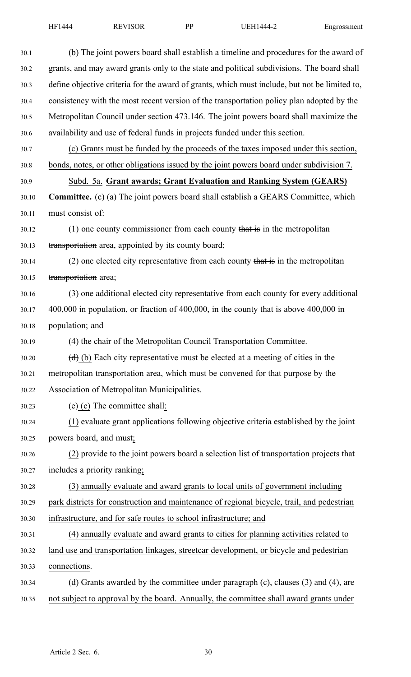| 30.1  | (b) The joint powers board shall establish a timeline and procedures for the award of         |
|-------|-----------------------------------------------------------------------------------------------|
| 30.2  | grants, and may award grants only to the state and political subdivisions. The board shall    |
| 30.3  | define objective criteria for the award of grants, which must include, but not be limited to, |
| 30.4  | consistency with the most recent version of the transportation policy plan adopted by the     |
| 30.5  | Metropolitan Council under section 473.146. The joint powers board shall maximize the         |
| 30.6  | availability and use of federal funds in projects funded under this section.                  |
| 30.7  | (c) Grants must be funded by the proceeds of the taxes imposed under this section,            |
| 30.8  | bonds, notes, or other obligations issued by the joint powers board under subdivision 7.      |
| 30.9  | Subd. 5a. Grant awards; Grant Evaluation and Ranking System (GEARS)                           |
| 30.10 | <b>Committee.</b> (e) (a) The joint powers board shall establish a GEARS Committee, which     |
| 30.11 | must consist of:                                                                              |
| 30.12 | $(1)$ one county commissioner from each county that is in the metropolitan                    |
| 30.13 | transportation area, appointed by its county board;                                           |
| 30.14 | $(2)$ one elected city representative from each county that is in the metropolitan            |
| 30.15 | transportation area;                                                                          |
| 30.16 | (3) one additional elected city representative from each county for every additional          |
| 30.17 | $400,000$ in population, or fraction of $400,000$ , in the county that is above $400,000$ in  |
| 30.18 | population; and                                                                               |
| 30.19 | (4) the chair of the Metropolitan Council Transportation Committee.                           |
| 30.20 | $(d)$ (b) Each city representative must be elected at a meeting of cities in the              |
| 30.21 | metropolitan transportation area, which must be convened for that purpose by the              |
| 30.22 | Association of Metropolitan Municipalities.                                                   |
| 30.23 | $(e)$ (c) The committee shall:                                                                |
| 30.24 | (1) evaluate grant applications following objective criteria established by the joint         |
| 30.25 | powers board <del>, and must</del> ;                                                          |
| 30.26 | (2) provide to the joint powers board a selection list of transportation projects that        |
| 30.27 | includes a priority ranking;                                                                  |
| 30.28 | (3) annually evaluate and award grants to local units of government including                 |
| 30.29 | park districts for construction and maintenance of regional bicycle, trail, and pedestrian    |
| 30.30 | infrastructure, and for safe routes to school infrastructure; and                             |
| 30.31 | (4) annually evaluate and award grants to cities for planning activities related to           |
| 30.32 | land use and transportation linkages, streetcar development, or bicycle and pedestrian        |
| 30.33 | connections.                                                                                  |
| 30.34 | (d) Grants awarded by the committee under paragraph (c), clauses (3) and (4), are             |
| 30.35 | not subject to approval by the board. Annually, the committee shall award grants under        |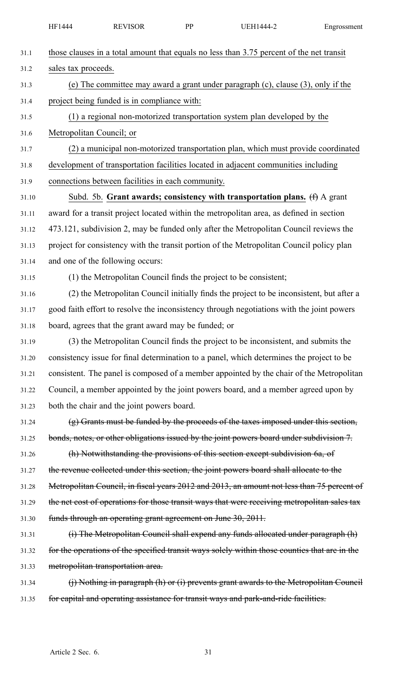|       | HF1444                                                                                 | <b>REVISOR</b>                                               | PP | <b>UEH1444-2</b>                                                                              | Engrossment |  |  |
|-------|----------------------------------------------------------------------------------------|--------------------------------------------------------------|----|-----------------------------------------------------------------------------------------------|-------------|--|--|
| 31.1  |                                                                                        |                                                              |    | those clauses in a total amount that equals no less than 3.75 percent of the net transit      |             |  |  |
| 31.2  | sales tax proceeds.                                                                    |                                                              |    |                                                                                               |             |  |  |
| 31.3  | (e) The committee may award a grant under paragraph $(c)$ , clause $(3)$ , only if the |                                                              |    |                                                                                               |             |  |  |
| 31.4  |                                                                                        | project being funded is in compliance with:                  |    |                                                                                               |             |  |  |
| 31.5  | (1) a regional non-motorized transportation system plan developed by the               |                                                              |    |                                                                                               |             |  |  |
| 31.6  | Metropolitan Council; or                                                               |                                                              |    |                                                                                               |             |  |  |
| 31.7  |                                                                                        |                                                              |    | (2) a municipal non-motorized transportation plan, which must provide coordinated             |             |  |  |
| 31.8  |                                                                                        |                                                              |    | development of transportation facilities located in adjacent communities including            |             |  |  |
| 31.9  |                                                                                        | connections between facilities in each community.            |    |                                                                                               |             |  |  |
| 31.10 |                                                                                        |                                                              |    | Subd. 5b. Grant awards; consistency with transportation plans. (f) A grant                    |             |  |  |
| 31.11 |                                                                                        |                                                              |    | award for a transit project located within the metropolitan area, as defined in section       |             |  |  |
| 31.12 |                                                                                        |                                                              |    | 473.121, subdivision 2, may be funded only after the Metropolitan Council reviews the         |             |  |  |
| 31.13 |                                                                                        |                                                              |    | project for consistency with the transit portion of the Metropolitan Council policy plan      |             |  |  |
| 31.14 |                                                                                        | and one of the following occurs:                             |    |                                                                                               |             |  |  |
| 31.15 |                                                                                        |                                                              |    | (1) the Metropolitan Council finds the project to be consistent;                              |             |  |  |
| 31.16 |                                                                                        |                                                              |    | (2) the Metropolitan Council initially finds the project to be inconsistent, but after a      |             |  |  |
| 31.17 |                                                                                        |                                                              |    | good faith effort to resolve the inconsistency through negotiations with the joint powers     |             |  |  |
| 31.18 |                                                                                        | board, agrees that the grant award may be funded; or         |    |                                                                                               |             |  |  |
| 31.19 |                                                                                        |                                                              |    | (3) the Metropolitan Council finds the project to be inconsistent, and submits the            |             |  |  |
| 31.20 |                                                                                        |                                                              |    | consistency issue for final determination to a panel, which determines the project to be      |             |  |  |
| 31.21 |                                                                                        |                                                              |    | consistent. The panel is composed of a member appointed by the chair of the Metropolitan      |             |  |  |
| 31.22 |                                                                                        |                                                              |    | Council, a member appointed by the joint powers board, and a member agreed upon by            |             |  |  |
| 31.23 |                                                                                        | both the chair and the joint powers board.                   |    |                                                                                               |             |  |  |
| 31.24 |                                                                                        |                                                              |    | $(g)$ Grants must be funded by the proceeds of the taxes imposed under this section,          |             |  |  |
| 31.25 |                                                                                        |                                                              |    | bonds, notes, or other obligations issued by the joint powers board under subdivision 7.      |             |  |  |
| 31.26 |                                                                                        |                                                              |    | (h) Notwithstanding the provisions of this section except subdivision 6a, of                  |             |  |  |
| 31.27 |                                                                                        |                                                              |    | the revenue collected under this section, the joint powers board shall allocate to the        |             |  |  |
| 31.28 |                                                                                        |                                                              |    | Metropolitan Council, in fiscal years 2012 and 2013, an amount not less than 75 percent of    |             |  |  |
| 31.29 |                                                                                        |                                                              |    | the net cost of operations for those transit ways that were receiving metropolitan sales tax  |             |  |  |
| 31.30 |                                                                                        | funds through an operating grant agreement on June 30, 2011. |    |                                                                                               |             |  |  |
| 31.31 |                                                                                        |                                                              |    | (i) The Metropolitan Council shall expend any funds allocated under paragraph (h)             |             |  |  |
| 31.32 |                                                                                        |                                                              |    | for the operations of the specified transit ways solely within those counties that are in the |             |  |  |
| 31.33 |                                                                                        | metropolitan transportation area.                            |    |                                                                                               |             |  |  |
| 31.34 |                                                                                        |                                                              |    | $(i)$ Nothing in paragraph (h) or (i) prevents grant awards to the Metropolitan Council       |             |  |  |
| 31.35 |                                                                                        |                                                              |    | for capital and operating assistance for transit ways and park-and-ride facilities.           |             |  |  |
|       |                                                                                        |                                                              |    |                                                                                               |             |  |  |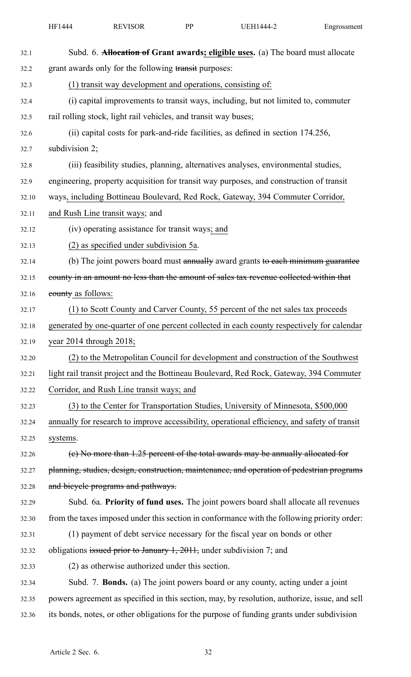|       | HF1444                                                                            | <b>REVISOR</b>                                  | PP | <b>UEH1444-2</b>                                                                              | Engrossment |  |  |
|-------|-----------------------------------------------------------------------------------|-------------------------------------------------|----|-----------------------------------------------------------------------------------------------|-------------|--|--|
| 32.1  |                                                                                   |                                                 |    | Subd. 6. <b>Allocation of Grant awards; eligible uses.</b> (a) The board must allocate        |             |  |  |
| 32.2  | grant awards only for the following transit purposes:                             |                                                 |    |                                                                                               |             |  |  |
| 32.3  | (1) transit way development and operations, consisting of:                        |                                                 |    |                                                                                               |             |  |  |
| 32.4  | (i) capital improvements to transit ways, including, but not limited to, commuter |                                                 |    |                                                                                               |             |  |  |
| 32.5  | rail rolling stock, light rail vehicles, and transit way buses;                   |                                                 |    |                                                                                               |             |  |  |
| 32.6  | (ii) capital costs for park-and-ride facilities, as defined in section 174.256,   |                                                 |    |                                                                                               |             |  |  |
| 32.7  | subdivision 2;                                                                    |                                                 |    |                                                                                               |             |  |  |
| 32.8  |                                                                                   |                                                 |    | (iii) feasibility studies, planning, alternatives analyses, environmental studies,            |             |  |  |
| 32.9  |                                                                                   |                                                 |    | engineering, property acquisition for transit way purposes, and construction of transit       |             |  |  |
| 32.10 |                                                                                   |                                                 |    | ways, including Bottineau Boulevard, Red Rock, Gateway, 394 Commuter Corridor,                |             |  |  |
| 32.11 |                                                                                   | and Rush Line transit ways; and                 |    |                                                                                               |             |  |  |
| 32.12 |                                                                                   | (iv) operating assistance for transit ways; and |    |                                                                                               |             |  |  |
| 32.13 |                                                                                   | (2) as specified under subdivision 5a.          |    |                                                                                               |             |  |  |
| 32.14 |                                                                                   |                                                 |    | (b) The joint powers board must annually award grants to each minimum guarantee               |             |  |  |
| 32.15 |                                                                                   |                                                 |    | county in an amount no less than the amount of sales tax revenue collected within that        |             |  |  |
| 32.16 | eounty as follows:                                                                |                                                 |    |                                                                                               |             |  |  |
| 32.17 |                                                                                   |                                                 |    | (1) to Scott County and Carver County, 55 percent of the net sales tax proceeds               |             |  |  |
| 32.18 |                                                                                   |                                                 |    | generated by one-quarter of one percent collected in each county respectively for calendar    |             |  |  |
| 32.19 | year 2014 through 2018;                                                           |                                                 |    |                                                                                               |             |  |  |
| 32.20 |                                                                                   |                                                 |    | (2) to the Metropolitan Council for development and construction of the Southwest             |             |  |  |
| 32.21 |                                                                                   |                                                 |    | light rail transit project and the Bottineau Boulevard, Red Rock, Gateway, 394 Commuter       |             |  |  |
| 32.22 |                                                                                   | Corridor, and Rush Line transit ways; and       |    |                                                                                               |             |  |  |
| 32.23 |                                                                                   |                                                 |    | (3) to the Center for Transportation Studies, University of Minnesota, \$500,000              |             |  |  |
| 32.24 |                                                                                   |                                                 |    | annually for research to improve accessibility, operational efficiency, and safety of transit |             |  |  |
| 32.25 | systems.                                                                          |                                                 |    |                                                                                               |             |  |  |
| 32.26 |                                                                                   |                                                 |    | (e) No more than 1.25 percent of the total awards may be annually allocated for               |             |  |  |
| 32.27 |                                                                                   |                                                 |    | planning, studies, design, construction, maintenance, and operation of pedestrian programs    |             |  |  |
| 32.28 |                                                                                   | and bicycle programs and pathways.              |    |                                                                                               |             |  |  |
| 32.29 |                                                                                   |                                                 |    | Subd. 6a. Priority of fund uses. The joint powers board shall allocate all revenues           |             |  |  |
| 32.30 |                                                                                   |                                                 |    | from the taxes imposed under this section in conformance with the following priority order:   |             |  |  |
| 32.31 |                                                                                   |                                                 |    | (1) payment of debt service necessary for the fiscal year on bonds or other                   |             |  |  |
| 32.32 |                                                                                   |                                                 |    | obligations issued prior to January 1, 2011, under subdivision 7; and                         |             |  |  |
| 32.33 |                                                                                   | (2) as otherwise authorized under this section. |    |                                                                                               |             |  |  |
| 32.34 |                                                                                   |                                                 |    | Subd. 7. Bonds. (a) The joint powers board or any county, acting under a joint                |             |  |  |
| 32.35 |                                                                                   |                                                 |    | powers agreement as specified in this section, may, by resolution, authorize, issue, and sell |             |  |  |
| 32.36 |                                                                                   |                                                 |    | its bonds, notes, or other obligations for the purpose of funding grants under subdivision    |             |  |  |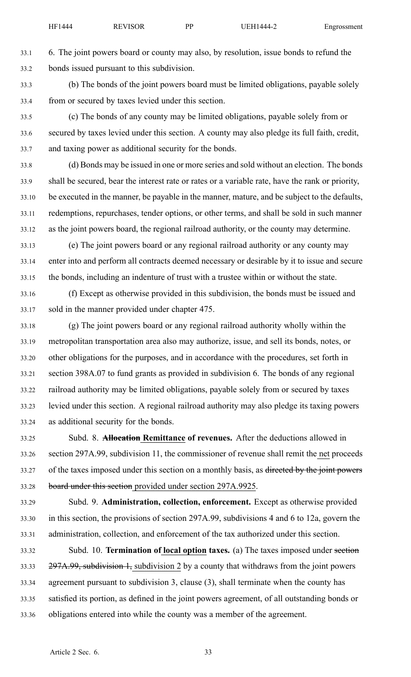33.1 6. The joint powers board or county may also, by resolution, issue bonds to refund the 33.2 bonds issued pursuan<sup>t</sup> to this subdivision.

- 33.3 (b) The bonds of the joint powers board must be limited obligations, payable solely 33.4 from or secured by taxes levied under this section.
- 33.5 (c) The bonds of any county may be limited obligations, payable solely from or 33.6 secured by taxes levied under this section. A county may also pledge its full faith, credit, 33.7 and taxing power as additional security for the bonds.
- 33.8 (d) Bonds may be issued in one or more series and sold without an election. The bonds 33.9 shall be secured, bear the interest rate or rates or <sup>a</sup> variable rate, have the rank or priority, 33.10 be executed in the manner, be payable in the manner, mature, and be subject to the defaults, 33.11 redemptions, repurchases, tender options, or other terms, and shall be sold in such manner 33.12 as the joint powers board, the regional railroad authority, or the county may determine.
- 33.13 (e) The joint powers board or any regional railroad authority or any county may 33.14 enter into and perform all contracts deemed necessary or desirable by it to issue and secure 33.15 the bonds, including an indenture of trust with <sup>a</sup> trustee within or without the state.
- 33.16 (f) Except as otherwise provided in this subdivision, the bonds must be issued and 33.17 sold in the manner provided under chapter 475.
- 33.18 (g) The joint powers board or any regional railroad authority wholly within the 33.19 metropolitan transportation area also may authorize, issue, and sell its bonds, notes, or 33.20 other obligations for the purposes, and in accordance with the procedures, set forth in 33.21 section 398A.07 to fund grants as provided in subdivision 6. The bonds of any regional 33.22 railroad authority may be limited obligations, payable solely from or secured by taxes 33.23 levied under this section. A regional railroad authority may also pledge its taxing powers 33.24 as additional security for the bonds.
- 33.25 Subd. 8. **Allocation Remittance of revenues.** After the deductions allowed in 33.26 section 297A.99, subdivision 11, the commissioner of revenue shall remit the net proceeds 33.27 of the taxes imposed under this section on a monthly basis, as directed by the joint powers 33.28 board under this section provided under section 297A.9925.
- 33.29 Subd. 9. **Administration, collection, enforcement.** Except as otherwise provided 33.30 in this section, the provisions of section 297A.99, subdivisions 4 and 6 to 12a, govern the 33.31 administration, collection, and enforcement of the tax authorized under this section.
- 33.32 Subd. 10. **Termination of local option taxes.** (a) The taxes imposed under section 33.33 297A.99, subdivision 1, subdivision 2 by a county that withdraws from the joint powers 33.34 agreemen<sup>t</sup> pursuan<sup>t</sup> to subdivision 3, clause (3), shall terminate when the county has 33.35 satisfied its portion, as defined in the joint powers agreement, of all outstanding bonds or 33.36 obligations entered into while the county was <sup>a</sup> member of the agreement.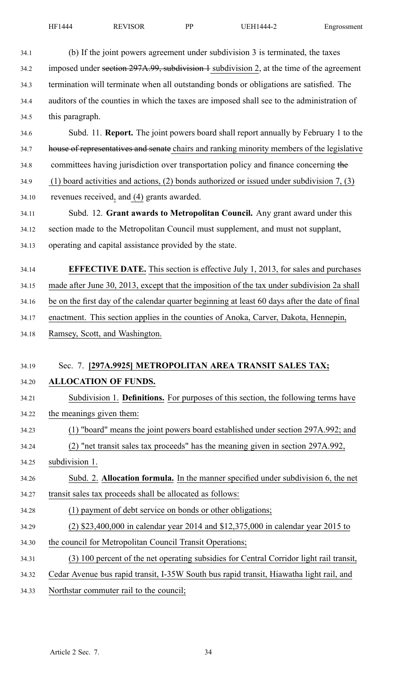| 34.1  | (b) If the joint powers agreement under subdivision 3 is terminated, the taxes                 |
|-------|------------------------------------------------------------------------------------------------|
| 34.2  | imposed under section 297A.99, subdivision 1 subdivision 2, at the time of the agreement       |
| 34.3  | termination will terminate when all outstanding bonds or obligations are satisfied. The        |
| 34.4  | auditors of the counties in which the taxes are imposed shall see to the administration of     |
| 34.5  | this paragraph.                                                                                |
| 34.6  | Subd. 11. <b>Report.</b> The joint powers board shall report annually by February 1 to the     |
| 34.7  | house of representatives and senate chairs and ranking minority members of the legislative     |
| 34.8  | committees having jurisdiction over transportation policy and finance concerning the           |
| 34.9  | (1) board activities and actions, (2) bonds authorized or issued under subdivision 7, (3)      |
| 34.10 | revenues received, and (4) grants awarded.                                                     |
| 34.11 | Subd. 12. Grant awards to Metropolitan Council. Any grant award under this                     |
| 34.12 | section made to the Metropolitan Council must supplement, and must not supplant,               |
| 34.13 | operating and capital assistance provided by the state.                                        |
| 34.14 | <b>EFFECTIVE DATE.</b> This section is effective July 1, 2013, for sales and purchases         |
| 34.15 | made after June 30, 2013, except that the imposition of the tax under subdivision 2a shall     |
| 34.16 | be on the first day of the calendar quarter beginning at least 60 days after the date of final |
| 34.17 | enactment. This section applies in the counties of Anoka, Carver, Dakota, Hennepin,            |
| 34.18 | Ramsey, Scott, and Washington.                                                                 |
|       |                                                                                                |
| 34.19 | Sec. 7. [297A.9925] METROPOLITAN AREA TRANSIT SALES TAX;                                       |
| 34.20 | <b>ALLOCATION OF FUNDS.</b>                                                                    |
| 34.21 | Subdivision 1. Definitions. For purposes of this section, the following terms have             |
| 34.22 | the meanings given them:                                                                       |
| 34.23 | (1) "board" means the joint powers board established under section 297A.992; and               |
| 34.24 | (2) "net transit sales tax proceeds" has the meaning given in section 297A.992,                |
| 34.25 | subdivision 1.                                                                                 |
| 34.26 | Subd. 2. Allocation formula. In the manner specified under subdivision 6, the net              |
| 34.27 | transit sales tax proceeds shall be allocated as follows:                                      |
| 34.28 | (1) payment of debt service on bonds or other obligations;                                     |
| 34.29 | $(2)$ \$23,400,000 in calendar year 2014 and \$12,375,000 in calendar year 2015 to             |
| 34.30 | the council for Metropolitan Council Transit Operations;                                       |
| 34.31 | (3) 100 percent of the net operating subsidies for Central Corridor light rail transit,        |
| 34.32 | Cedar Avenue bus rapid transit, I-35W South bus rapid transit, Hiawatha light rail, and        |
| 34.33 | Northstar commuter rail to the council;                                                        |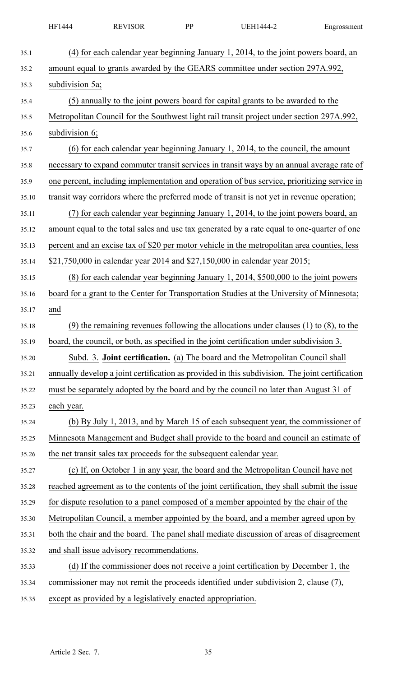|       | HF1444          | <b>REVISOR</b>                                                       | PP | <b>UEH1444-2</b>                                                                                | Engrossment |
|-------|-----------------|----------------------------------------------------------------------|----|-------------------------------------------------------------------------------------------------|-------------|
| 35.1  |                 |                                                                      |    | (4) for each calendar year beginning January 1, 2014, to the joint powers board, an             |             |
| 35.2  |                 |                                                                      |    | amount equal to grants awarded by the GEARS committee under section 297A.992,                   |             |
| 35.3  | subdivision 5a; |                                                                      |    |                                                                                                 |             |
| 35.4  |                 |                                                                      |    | (5) annually to the joint powers board for capital grants to be awarded to the                  |             |
| 35.5  |                 |                                                                      |    | Metropolitan Council for the Southwest light rail transit project under section 297A.992,       |             |
| 35.6  | subdivision 6;  |                                                                      |    |                                                                                                 |             |
| 35.7  |                 |                                                                      |    | (6) for each calendar year beginning January 1, 2014, to the council, the amount                |             |
| 35.8  |                 |                                                                      |    | necessary to expand commuter transit services in transit ways by an annual average rate of      |             |
| 35.9  |                 |                                                                      |    | one percent, including implementation and operation of bus service, prioritizing service in     |             |
| 35.10 |                 |                                                                      |    | transit way corridors where the preferred mode of transit is not yet in revenue operation;      |             |
| 35.11 |                 |                                                                      |    | (7) for each calendar year beginning January 1, 2014, to the joint powers board, an             |             |
| 35.12 |                 |                                                                      |    | amount equal to the total sales and use tax generated by a rate equal to one-quarter of one     |             |
| 35.13 |                 |                                                                      |    | percent and an excise tax of \$20 per motor vehicle in the metropolitan area counties, less     |             |
| 35.14 |                 |                                                                      |    | \$21,750,000 in calendar year 2014 and \$27,150,000 in calendar year 2015;                      |             |
| 35.15 |                 |                                                                      |    | (8) for each calendar year beginning January 1, 2014, \$500,000 to the joint powers             |             |
| 35.16 |                 |                                                                      |    | board for a grant to the Center for Transportation Studies at the University of Minnesota;      |             |
| 35.17 | and             |                                                                      |    |                                                                                                 |             |
| 35.18 |                 |                                                                      |    | $(9)$ the remaining revenues following the allocations under clauses (1) to (8), to the         |             |
| 35.19 |                 |                                                                      |    | board, the council, or both, as specified in the joint certification under subdivision 3.       |             |
| 35.20 |                 |                                                                      |    | Subd. 3. Joint certification. (a) The board and the Metropolitan Council shall                  |             |
| 35.21 |                 |                                                                      |    | annually develop a joint certification as provided in this subdivision. The joint certification |             |
| 35.22 |                 |                                                                      |    | must be separately adopted by the board and by the council no later than August 31 of           |             |
| 35.23 | each year.      |                                                                      |    |                                                                                                 |             |
| 35.24 |                 |                                                                      |    | (b) By July 1, 2013, and by March 15 of each subsequent year, the commissioner of               |             |
| 35.25 |                 |                                                                      |    | Minnesota Management and Budget shall provide to the board and council an estimate of           |             |
| 35.26 |                 | the net transit sales tax proceeds for the subsequent calendar year. |    |                                                                                                 |             |
| 35.27 |                 |                                                                      |    | (c) If, on October 1 in any year, the board and the Metropolitan Council have not               |             |
| 35.28 |                 |                                                                      |    | reached agreement as to the contents of the joint certification, they shall submit the issue    |             |
| 35.29 |                 |                                                                      |    | for dispute resolution to a panel composed of a member appointed by the chair of the            |             |
| 35.30 |                 |                                                                      |    | Metropolitan Council, a member appointed by the board, and a member agreed upon by              |             |
| 35.31 |                 |                                                                      |    | both the chair and the board. The panel shall mediate discussion of areas of disagreement       |             |
| 35.32 |                 | and shall issue advisory recommendations.                            |    |                                                                                                 |             |
| 35.33 |                 |                                                                      |    | (d) If the commissioner does not receive a joint certification by December 1, the               |             |
| 35.34 |                 |                                                                      |    | commissioner may not remit the proceeds identified under subdivision 2, clause (7),             |             |
| 35.35 |                 | except as provided by a legislatively enacted appropriation.         |    |                                                                                                 |             |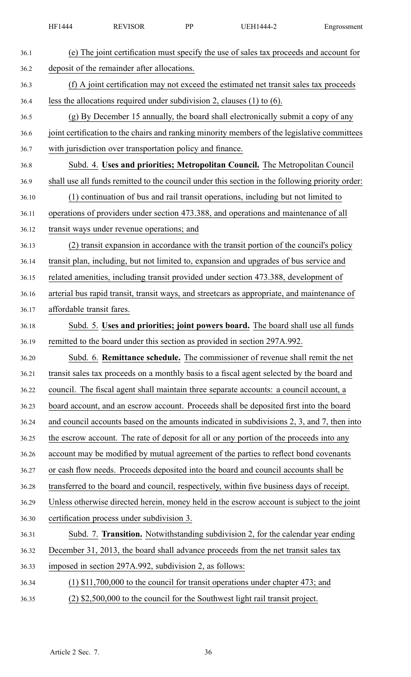| 36.1  | (e) The joint certification must specify the use of sales tax proceeds and account for          |
|-------|-------------------------------------------------------------------------------------------------|
| 36.2  | deposit of the remainder after allocations.                                                     |
| 36.3  | (f) A joint certification may not exceed the estimated net transit sales tax proceeds           |
| 36.4  | less the allocations required under subdivision 2, clauses $(1)$ to $(6)$ .                     |
| 36.5  | (g) By December 15 annually, the board shall electronically submit a copy of any                |
| 36.6  | joint certification to the chairs and ranking minority members of the legislative committees    |
| 36.7  | with jurisdiction over transportation policy and finance.                                       |
| 36.8  | Subd. 4. Uses and priorities; Metropolitan Council. The Metropolitan Council                    |
| 36.9  | shall use all funds remitted to the council under this section in the following priority order: |
| 36.10 | (1) continuation of bus and rail transit operations, including but not limited to               |
| 36.11 | operations of providers under section 473.388, and operations and maintenance of all            |
| 36.12 | transit ways under revenue operations; and                                                      |
| 36.13 | (2) transit expansion in accordance with the transit portion of the council's policy            |
| 36.14 | transit plan, including, but not limited to, expansion and upgrades of bus service and          |
| 36.15 | related amenities, including transit provided under section 473.388, development of             |
| 36.16 | arterial bus rapid transit, transit ways, and streetcars as appropriate, and maintenance of     |
| 36.17 | affordable transit fares.                                                                       |
| 36.18 | Subd. 5. Uses and priorities; joint powers board. The board shall use all funds                 |
| 36.19 | remitted to the board under this section as provided in section 297A.992.                       |
| 36.20 | Subd. 6. <b>Remittance schedule.</b> The commissioner of revenue shall remit the net            |
| 36.21 | transit sales tax proceeds on a monthly basis to a fiscal agent selected by the board and       |
| 36.22 | council. The fiscal agent shall maintain three separate accounts: a council account, a          |
| 36.23 | board account, and an escrow account. Proceeds shall be deposited first into the board          |
| 36.24 | and council accounts based on the amounts indicated in subdivisions 2, 3, and 7, then into      |
| 36.25 | the escrow account. The rate of deposit for all or any portion of the proceeds into any         |
| 36.26 | account may be modified by mutual agreement of the parties to reflect bond covenants            |
| 36.27 | or cash flow needs. Proceeds deposited into the board and council accounts shall be             |
| 36.28 | transferred to the board and council, respectively, within five business days of receipt.       |
| 36.29 | Unless otherwise directed herein, money held in the escrow account is subject to the joint      |
| 36.30 | certification process under subdivision 3.                                                      |
| 36.31 | Subd. 7. Transition. Notwithstanding subdivision 2, for the calendar year ending                |
| 36.32 | December 31, 2013, the board shall advance proceeds from the net transit sales tax              |
| 36.33 | imposed in section 297A.992, subdivision 2, as follows:                                         |
| 36.34 | $(1)$ \$11,700,000 to the council for transit operations under chapter 473; and                 |
| 36.35 | (2) \$2,500,000 to the council for the Southwest light rail transit project.                    |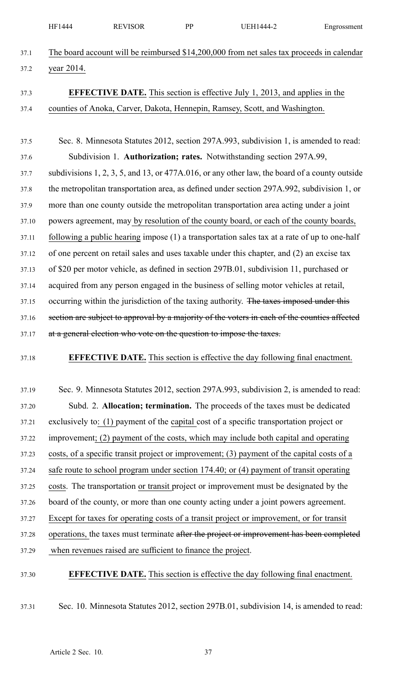|       | HF1444     | <b>REVISOR</b>                                                      | PP | <b>UEH1444-2</b>                                                                                       | Engrossment |
|-------|------------|---------------------------------------------------------------------|----|--------------------------------------------------------------------------------------------------------|-------------|
| 37.1  |            |                                                                     |    | The board account will be reimbursed \$14,200,000 from net sales tax proceeds in calendar              |             |
| 37.2  | year 2014. |                                                                     |    |                                                                                                        |             |
| 37.3  |            |                                                                     |    | <b>EFFECTIVE DATE.</b> This section is effective July 1, 2013, and applies in the                      |             |
| 37.4  |            |                                                                     |    | counties of Anoka, Carver, Dakota, Hennepin, Ramsey, Scott, and Washington.                            |             |
|       |            |                                                                     |    |                                                                                                        |             |
| 37.5  |            |                                                                     |    | Sec. 8. Minnesota Statutes 2012, section 297A.993, subdivision 1, is amended to read:                  |             |
| 37.6  |            |                                                                     |    | Subdivision 1. Authorization; rates. Notwithstanding section 297A.99,                                  |             |
| 37.7  |            |                                                                     |    | subdivisions $1, 2, 3, 5$ , and $13$ , or $477A.016$ , or any other law, the board of a county outside |             |
| 37.8  |            |                                                                     |    | the metropolitan transportation area, as defined under section 297A.992, subdivision 1, or             |             |
| 37.9  |            |                                                                     |    | more than one county outside the metropolitan transportation area acting under a joint                 |             |
| 37.10 |            |                                                                     |    | powers agreement, may by resolution of the county board, or each of the county boards,                 |             |
| 37.11 |            |                                                                     |    | following a public hearing impose $(1)$ a transportation sales tax at a rate of up to one-half         |             |
| 37.12 |            |                                                                     |    | of one percent on retail sales and uses taxable under this chapter, and (2) an excise tax              |             |
| 37.13 |            |                                                                     |    | of \$20 per motor vehicle, as defined in section 297B.01, subdivision 11, purchased or                 |             |
| 37.14 |            |                                                                     |    | acquired from any person engaged in the business of selling motor vehicles at retail,                  |             |
| 37.15 |            |                                                                     |    | occurring within the jurisdiction of the taxing authority. The taxes imposed under this                |             |
| 37.16 |            |                                                                     |    | section are subject to approval by a majority of the voters in each of the counties affected           |             |
| 37.17 |            | at a general election who vote on the question to impose the taxes. |    |                                                                                                        |             |
| 37.18 |            |                                                                     |    | <b>EFFECTIVE DATE.</b> This section is effective the day following final enactment.                    |             |
| 37.19 |            |                                                                     |    | Sec. 9. Minnesota Statutes 2012, section 297A.993, subdivision 2, is amended to read:                  |             |
| 37.20 |            |                                                                     |    | Subd. 2. Allocation; termination. The proceeds of the taxes must be dedicated                          |             |
| 37.21 |            |                                                                     |    | exclusively to: (1) payment of the capital cost of a specific transportation project or                |             |
| 37.22 |            |                                                                     |    | improvement; (2) payment of the costs, which may include both capital and operating                    |             |
| 37.23 |            |                                                                     |    | costs, of a specific transit project or improvement; (3) payment of the capital costs of a             |             |
| 37.24 |            |                                                                     |    | safe route to school program under section 174.40; or (4) payment of transit operating                 |             |
| 37.25 |            |                                                                     |    | costs. The transportation or transit project or improvement must be designated by the                  |             |
| 37.26 |            |                                                                     |    | board of the county, or more than one county acting under a joint powers agreement.                    |             |
| 37.27 |            |                                                                     |    | Except for taxes for operating costs of a transit project or improvement, or for transit               |             |
| 37.28 |            |                                                                     |    | operations, the taxes must terminate after the project or improvement has been completed               |             |
| 37.29 |            | when revenues raised are sufficient to finance the project.         |    |                                                                                                        |             |
| 37.30 |            |                                                                     |    | <b>EFFECTIVE DATE.</b> This section is effective the day following final enactment.                    |             |

37.31 Sec. 10. Minnesota Statutes 2012, section 297B.01, subdivision 14, is amended to read: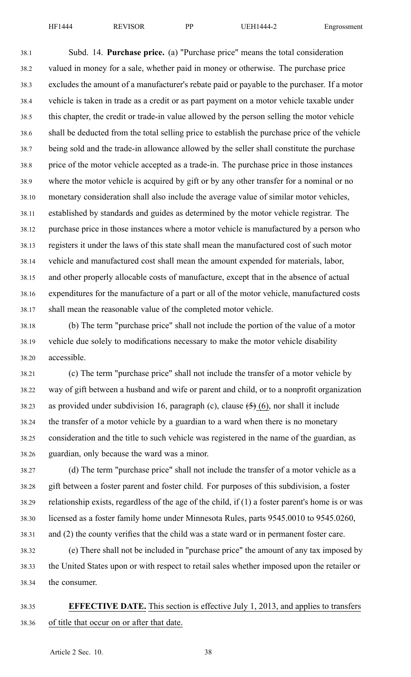38.1 Subd. 14. **Purchase price.** (a) "Purchase price" means the total consideration 38.2 valued in money for <sup>a</sup> sale, whether paid in money or otherwise. The purchase price 38.3 excludes the amount of <sup>a</sup> manufacturer's rebate paid or payable to the purchaser. If <sup>a</sup> motor 38.4 vehicle is taken in trade as <sup>a</sup> credit or as par<sup>t</sup> paymen<sup>t</sup> on <sup>a</sup> motor vehicle taxable under 38.5 this chapter, the credit or trade-in value allowed by the person selling the motor vehicle 38.6 shall be deducted from the total selling price to establish the purchase price of the vehicle 38.7 being sold and the trade-in allowance allowed by the seller shall constitute the purchase 38.8 price of the motor vehicle accepted as <sup>a</sup> trade-in. The purchase price in those instances 38.9 where the motor vehicle is acquired by gift or by any other transfer for <sup>a</sup> nominal or no 38.10 monetary consideration shall also include the average value of similar motor vehicles, 38.11 established by standards and guides as determined by the motor vehicle registrar. The 38.12 purchase price in those instances where <sup>a</sup> motor vehicle is manufactured by <sup>a</sup> person who 38.13 registers it under the laws of this state shall mean the manufactured cost of such motor 38.14 vehicle and manufactured cost shall mean the amount expended for materials, labor, 38.15 and other properly allocable costs of manufacture, excep<sup>t</sup> that in the absence of actual 38.16 expenditures for the manufacture of <sup>a</sup> par<sup>t</sup> or all of the motor vehicle, manufactured costs 38.17 shall mean the reasonable value of the completed motor vehicle.

38.18 (b) The term "purchase price" shall not include the portion of the value of <sup>a</sup> motor 38.19 vehicle due solely to modifications necessary to make the motor vehicle disability 38.20 accessible.

38.21 (c) The term "purchase price" shall not include the transfer of <sup>a</sup> motor vehicle by 38.22 way of gift between <sup>a</sup> husband and wife or paren<sup>t</sup> and child, or to <sup>a</sup> nonprofit organization 38.23 as provided under subdivision 16, paragraph (c), clause  $(5)$  (6), nor shall it include 38.24 the transfer of <sup>a</sup> motor vehicle by <sup>a</sup> guardian to <sup>a</sup> ward when there is no monetary 38.25 consideration and the title to such vehicle was registered in the name of the guardian, as 38.26 guardian, only because the ward was <sup>a</sup> minor.

38.27 (d) The term "purchase price" shall not include the transfer of <sup>a</sup> motor vehicle as <sup>a</sup> 38.28 gift between <sup>a</sup> foster paren<sup>t</sup> and foster child. For purposes of this subdivision, <sup>a</sup> foster 38.29 relationship exists, regardless of the age of the child, if (1) <sup>a</sup> foster parent's home is or was 38.30 licensed as <sup>a</sup> foster family home under Minnesota Rules, parts 9545.0010 to 9545.0260, 38.31 and (2) the county verifies that the child was <sup>a</sup> state ward or in permanen<sup>t</sup> foster care.

38.32 (e) There shall not be included in "purchase price" the amount of any tax imposed by 38.33 the United States upon or with respec<sup>t</sup> to retail sales whether imposed upon the retailer or 38.34 the consumer.

# 38.35 **EFFECTIVE DATE.** This section is effective July 1, 2013, and applies to transfers 38.36 of title that occur on or after that date.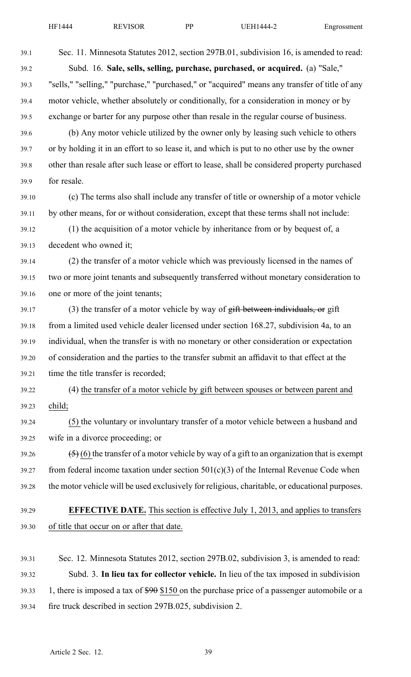39.1 Sec. 11. Minnesota Statutes 2012, section 297B.01, subdivision 16, is amended to read: 39.2 Subd. 16. **Sale, sells, selling, purchase, purchased, or acquired.** (a) "Sale," 39.3 "sells," "selling," "purchase," "purchased," or "acquired" means any transfer of title of any 39.4 motor vehicle, whether absolutely or conditionally, for <sup>a</sup> consideration in money or by 39.5 exchange or barter for any purpose other than resale in the regular course of business. 39.6 (b) Any motor vehicle utilized by the owner only by leasing such vehicle to others 39.7 or by holding it in an effort to so lease it, and which is pu<sup>t</sup> to no other use by the owner 39.8 other than resale after such lease or effort to lease, shall be considered property purchased 39.9 for resale. 39.10 (c) The terms also shall include any transfer of title or ownership of <sup>a</sup> motor vehicle 39.11 by other means, for or without consideration, excep<sup>t</sup> that these terms shall not include: 39.12 (1) the acquisition of <sup>a</sup> motor vehicle by inheritance from or by bequest of, <sup>a</sup> 39.13 decedent who owned it; 39.14 (2) the transfer of <sup>a</sup> motor vehicle which was previously licensed in the names of 39.15 two or more joint tenants and subsequently transferred without monetary consideration to 39.16 one or more of the joint tenants;  $39.17$  (3) the transfer of a motor vehicle by way of  $g$ ift between individuals, or gift 39.18 from <sup>a</sup> limited used vehicle dealer licensed under section 168.27, subdivision 4a, to an 39.19 individual, when the transfer is with no monetary or other consideration or expectation 39.20 of consideration and the parties to the transfer submit an affidavit to that effect at the 39.21 time the title transfer is recorded; 39.22 (4) the transfer of <sup>a</sup> motor vehicle by gift between spouses or between paren<sup>t</sup> and 39.23 child; 39.24 (5) the voluntary or involuntary transfer of <sup>a</sup> motor vehicle between <sup>a</sup> husband and 39.25 wife in <sup>a</sup> divorce proceeding; or 39.26  $(5)(6)$  the transfer of a motor vehicle by way of a gift to an organization that is exempt 39.27 from federal income taxation under section  $501(c)(3)$  of the Internal Revenue Code when 39.28 the motor vehicle will be used exclusively for religious, charitable, or educational purposes. 39.29 **EFFECTIVE DATE.** This section is effective July 1, 2013, and applies to transfers 39.30 of title that occur on or after that date. 39.31 Sec. 12. Minnesota Statutes 2012, section 297B.02, subdivision 3, is amended to read: 39.32 Subd. 3. **In lieu tax for collector vehicle.** In lieu of the tax imposed in subdivision 39.33 1, there is imposed <sup>a</sup> tax of \$90 \$150 on the purchase price of <sup>a</sup> passenger automobile or <sup>a</sup>

39.34 fire truck described in section 297B.025, subdivision 2.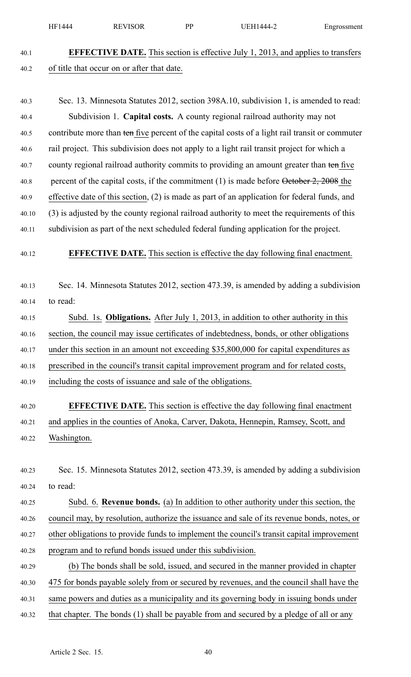|       | HF1444      | <b>REVISOR</b>                                               | PP | UEH1444-2                                                                                        | Engrossment |
|-------|-------------|--------------------------------------------------------------|----|--------------------------------------------------------------------------------------------------|-------------|
| 40.1  |             |                                                              |    | <b>EFFECTIVE DATE.</b> This section is effective July 1, 2013, and applies to transfers          |             |
| 40.2  |             | of title that occur on or after that date.                   |    |                                                                                                  |             |
| 40.3  |             |                                                              |    | Sec. 13. Minnesota Statutes 2012, section 398A.10, subdivision 1, is amended to read:            |             |
| 40.4  |             |                                                              |    | Subdivision 1. Capital costs. A county regional railroad authority may not                       |             |
| 40.5  |             |                                                              |    | contribute more than ten five percent of the capital costs of a light rail transit or commuter   |             |
| 40.6  |             |                                                              |    | rail project. This subdivision does not apply to a light rail transit project for which a        |             |
| 40.7  |             |                                                              |    | county regional railroad authority commits to providing an amount greater than ten five          |             |
| 40.8  |             |                                                              |    | percent of the capital costs, if the commitment $(1)$ is made before $\theta$ etober 2, 2008 the |             |
| 40.9  |             |                                                              |    | effective date of this section, (2) is made as part of an application for federal funds, and     |             |
| 40.10 |             |                                                              |    | (3) is adjusted by the county regional railroad authority to meet the requirements of this       |             |
| 40.11 |             |                                                              |    | subdivision as part of the next scheduled federal funding application for the project.           |             |
|       |             |                                                              |    |                                                                                                  |             |
| 40.12 |             |                                                              |    | <b>EFFECTIVE DATE.</b> This section is effective the day following final enactment.              |             |
| 40.13 |             |                                                              |    | Sec. 14. Minnesota Statutes 2012, section 473.39, is amended by adding a subdivision             |             |
| 40.14 | to read:    |                                                              |    |                                                                                                  |             |
| 40.15 |             |                                                              |    | Subd. 1s. Obligations. After July 1, 2013, in addition to other authority in this                |             |
| 40.16 |             |                                                              |    | section, the council may issue certificates of indebtedness, bonds, or other obligations         |             |
| 40.17 |             |                                                              |    | under this section in an amount not exceeding \$35,800,000 for capital expenditures as           |             |
| 40.18 |             |                                                              |    | prescribed in the council's transit capital improvement program and for related costs,           |             |
| 40.19 |             | including the costs of issuance and sale of the obligations. |    |                                                                                                  |             |
| 40.20 |             |                                                              |    | <b>EFFECTIVE DATE.</b> This section is effective the day following final enactment               |             |
| 40.21 |             |                                                              |    | and applies in the counties of Anoka, Carver, Dakota, Hennepin, Ramsey, Scott, and               |             |
| 40.22 | Washington. |                                                              |    |                                                                                                  |             |
|       |             |                                                              |    |                                                                                                  |             |
| 40.23 |             |                                                              |    | Sec. 15. Minnesota Statutes 2012, section 473.39, is amended by adding a subdivision             |             |
| 40.24 | to read:    |                                                              |    |                                                                                                  |             |
| 40.25 |             |                                                              |    | Subd. 6. Revenue bonds. (a) In addition to other authority under this section, the               |             |
| 40.26 |             |                                                              |    | council may, by resolution, authorize the issuance and sale of its revenue bonds, notes, or      |             |
| 40.27 |             |                                                              |    | other obligations to provide funds to implement the council's transit capital improvement        |             |
| 40.28 |             | program and to refund bonds issued under this subdivision.   |    |                                                                                                  |             |
| 40.29 |             |                                                              |    | (b) The bonds shall be sold, issued, and secured in the manner provided in chapter               |             |
| 40.30 |             |                                                              |    | 475 for bonds payable solely from or secured by revenues, and the council shall have the         |             |

40.31 same powers and duties as <sup>a</sup> municipality and its governing body in issuing bonds under

40.32 that chapter. The bonds (1) shall be payable from and secured by a pledge of all or any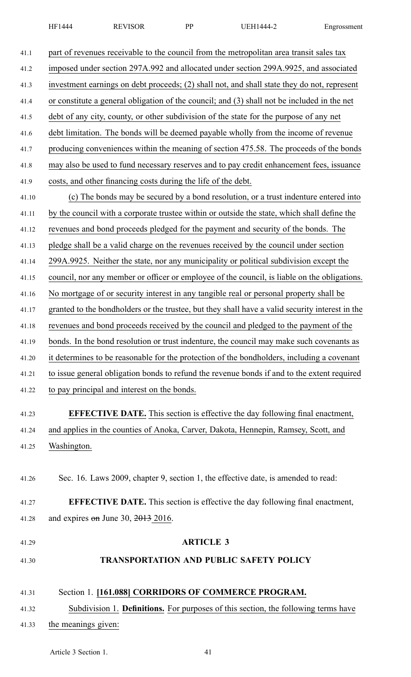| 41.1  | part of revenues receivable to the council from the metropolitan area transit sales tax         |
|-------|-------------------------------------------------------------------------------------------------|
| 41.2  | imposed under section 297A.992 and allocated under section 299A.9925, and associated            |
| 41.3  | investment earnings on debt proceeds; (2) shall not, and shall state they do not, represent     |
| 41.4  | or constitute a general obligation of the council; and (3) shall not be included in the net     |
| 41.5  | debt of any city, county, or other subdivision of the state for the purpose of any net          |
| 41.6  | debt limitation. The bonds will be deemed payable wholly from the income of revenue             |
| 41.7  | producing conveniences within the meaning of section 475.58. The proceeds of the bonds          |
| 41.8  | may also be used to fund necessary reserves and to pay credit enhancement fees, issuance        |
| 41.9  | costs, and other financing costs during the life of the debt.                                   |
| 41.10 | (c) The bonds may be secured by a bond resolution, or a trust indenture entered into            |
| 41.11 | by the council with a corporate trustee within or outside the state, which shall define the     |
| 41.12 | revenues and bond proceeds pledged for the payment and security of the bonds. The               |
| 41.13 | pledge shall be a valid charge on the revenues received by the council under section            |
| 41.14 | 299A.9925. Neither the state, nor any municipality or political subdivision except the          |
| 41.15 | council, nor any member or officer or employee of the council, is liable on the obligations.    |
| 41.16 | No mortgage of or security interest in any tangible real or personal property shall be          |
| 41.17 | granted to the bondholders or the trustee, but they shall have a valid security interest in the |
| 41.18 | revenues and bond proceeds received by the council and pledged to the payment of the            |
| 41.19 | bonds. In the bond resolution or trust indenture, the council may make such covenants as        |
| 41.20 | it determines to be reasonable for the protection of the bondholders, including a covenant      |
| 41.21 | to issue general obligation bonds to refund the revenue bonds if and to the extent required     |
| 41.22 | to pay principal and interest on the bonds.                                                     |
|       |                                                                                                 |
| 41.23 | <b>EFFECTIVE DATE.</b> This section is effective the day following final enactment,             |
| 41.24 | and applies in the counties of Anoka, Carver, Dakota, Hennepin, Ramsey, Scott, and              |
| 41.25 | Washington.                                                                                     |
|       |                                                                                                 |
| 41.26 | Sec. 16. Laws 2009, chapter 9, section 1, the effective date, is amended to read:               |
| 41.27 | <b>EFFECTIVE DATE.</b> This section is effective the day following final enactment,             |
| 41.28 | and expires $\theta$ m June 30, 2013 2016.                                                      |
|       |                                                                                                 |
| 41.29 | <b>ARTICLE 3</b>                                                                                |
| 41.30 | <b>TRANSPORTATION AND PUBLIC SAFETY POLICY</b>                                                  |
|       |                                                                                                 |
| 41.31 | Section 1. [161.088] CORRIDORS OF COMMERCE PROGRAM.                                             |
| 41.32 | Subdivision 1. Definitions. For purposes of this section, the following terms have              |
| 41.33 | the meanings given:                                                                             |
|       |                                                                                                 |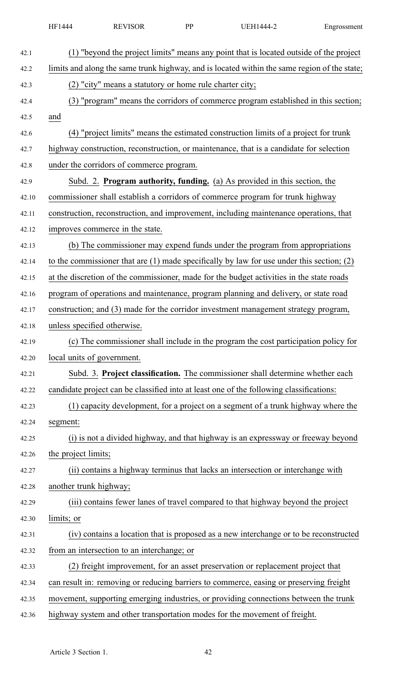|       | HF1444                 | <b>REVISOR</b>                                          | PP | <b>UEH1444-2</b>                                                                              | Engrossment |
|-------|------------------------|---------------------------------------------------------|----|-----------------------------------------------------------------------------------------------|-------------|
| 42.1  |                        |                                                         |    | (1) "beyond the project limits" means any point that is located outside of the project        |             |
| 42.2  |                        |                                                         |    | limits and along the same trunk highway, and is located within the same region of the state;  |             |
| 42.3  |                        | (2) "city" means a statutory or home rule charter city; |    |                                                                                               |             |
| 42.4  |                        |                                                         |    | (3) "program" means the corridors of commerce program established in this section;            |             |
| 42.5  | and                    |                                                         |    |                                                                                               |             |
| 42.6  |                        |                                                         |    | (4) "project limits" means the estimated construction limits of a project for trunk           |             |
| 42.7  |                        |                                                         |    | highway construction, reconstruction, or maintenance, that is a candidate for selection       |             |
| 42.8  |                        | under the corridors of commerce program.                |    |                                                                                               |             |
| 42.9  |                        |                                                         |    | Subd. 2. Program authority, funding. (a) As provided in this section, the                     |             |
| 42.10 |                        |                                                         |    | commissioner shall establish a corridors of commerce program for trunk highway                |             |
| 42.11 |                        |                                                         |    | construction, reconstruction, and improvement, including maintenance operations, that         |             |
| 42.12 |                        | improves commerce in the state.                         |    |                                                                                               |             |
| 42.13 |                        |                                                         |    | (b) The commissioner may expend funds under the program from appropriations                   |             |
| 42.14 |                        |                                                         |    | to the commissioner that are $(1)$ made specifically by law for use under this section; $(2)$ |             |
| 42.15 |                        |                                                         |    | at the discretion of the commissioner, made for the budget activities in the state roads      |             |
| 42.16 |                        |                                                         |    | program of operations and maintenance, program planning and delivery, or state road           |             |
| 42.17 |                        |                                                         |    | construction; and (3) made for the corridor investment management strategy program,           |             |
| 42.18 |                        | unless specified otherwise.                             |    |                                                                                               |             |
| 42.19 |                        |                                                         |    | (c) The commissioner shall include in the program the cost participation policy for           |             |
| 42.20 |                        | local units of government.                              |    |                                                                                               |             |
| 42.21 |                        |                                                         |    | Subd. 3. Project classification. The commissioner shall determine whether each                |             |
| 42.22 |                        |                                                         |    | candidate project can be classified into at least one of the following classifications:       |             |
| 42.23 |                        |                                                         |    | (1) capacity development, for a project on a segment of a trunk highway where the             |             |
| 42.24 | segment:               |                                                         |    |                                                                                               |             |
| 42.25 |                        |                                                         |    | (i) is not a divided highway, and that highway is an expressway or freeway beyond             |             |
| 42.26 | the project limits;    |                                                         |    |                                                                                               |             |
| 42.27 |                        |                                                         |    | (ii) contains a highway terminus that lacks an intersection or interchange with               |             |
| 42.28 | another trunk highway; |                                                         |    |                                                                                               |             |
| 42.29 |                        |                                                         |    | (iii) contains fewer lanes of travel compared to that highway beyond the project              |             |
| 42.30 | limits; or             |                                                         |    |                                                                                               |             |
| 42.31 |                        |                                                         |    | (iv) contains a location that is proposed as a new interchange or to be reconstructed         |             |
| 42.32 |                        | from an intersection to an interchange; or              |    |                                                                                               |             |
| 42.33 |                        |                                                         |    | (2) freight improvement, for an asset preservation or replacement project that                |             |
| 42.34 |                        |                                                         |    | can result in: removing or reducing barriers to commerce, easing or preserving freight        |             |
| 42.35 |                        |                                                         |    | movement, supporting emerging industries, or providing connections between the trunk          |             |
| 42.36 |                        |                                                         |    | highway system and other transportation modes for the movement of freight.                    |             |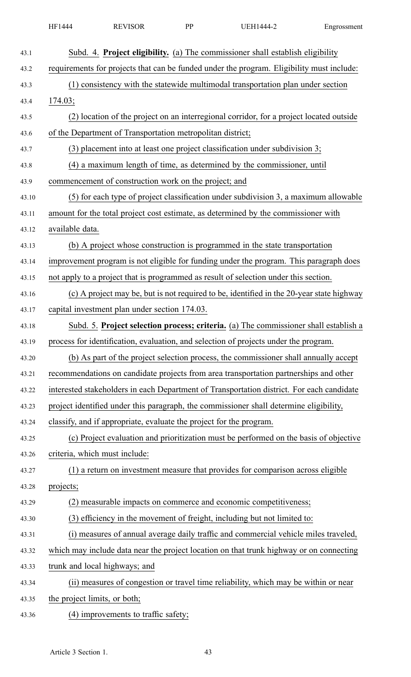|       | HF1444          | <b>REVISOR</b>                                                      | PP | <b>UEH1444-2</b>                                                                          | Engrossment |
|-------|-----------------|---------------------------------------------------------------------|----|-------------------------------------------------------------------------------------------|-------------|
| 43.1  |                 |                                                                     |    | Subd. 4. Project eligibility. (a) The commissioner shall establish eligibility            |             |
| 43.2  |                 |                                                                     |    | requirements for projects that can be funded under the program. Eligibility must include: |             |
| 43.3  |                 |                                                                     |    | (1) consistency with the statewide multimodal transportation plan under section           |             |
| 43.4  | 174.03;         |                                                                     |    |                                                                                           |             |
| 43.5  |                 |                                                                     |    | (2) location of the project on an interregional corridor, for a project located outside   |             |
| 43.6  |                 | of the Department of Transportation metropolitan district;          |    |                                                                                           |             |
| 43.7  |                 |                                                                     |    | (3) placement into at least one project classification under subdivision 3;               |             |
| 43.8  |                 |                                                                     |    | (4) a maximum length of time, as determined by the commissioner, until                    |             |
| 43.9  |                 | commencement of construction work on the project; and               |    |                                                                                           |             |
| 43.10 |                 |                                                                     |    | (5) for each type of project classification under subdivision 3, a maximum allowable      |             |
| 43.11 |                 |                                                                     |    | amount for the total project cost estimate, as determined by the commissioner with        |             |
| 43.12 | available data. |                                                                     |    |                                                                                           |             |
| 43.13 |                 |                                                                     |    | (b) A project whose construction is programmed in the state transportation                |             |
| 43.14 |                 |                                                                     |    | improvement program is not eligible for funding under the program. This paragraph does    |             |
| 43.15 |                 |                                                                     |    | not apply to a project that is programmed as result of selection under this section.      |             |
| 43.16 |                 |                                                                     |    | (c) A project may be, but is not required to be, identified in the 20-year state highway  |             |
| 43.17 |                 | capital investment plan under section 174.03.                       |    |                                                                                           |             |
| 43.18 |                 |                                                                     |    | Subd. 5. Project selection process; criteria. (a) The commissioner shall establish a      |             |
| 43.19 |                 |                                                                     |    | process for identification, evaluation, and selection of projects under the program.      |             |
| 43.20 |                 |                                                                     |    | (b) As part of the project selection process, the commissioner shall annually accept      |             |
| 43.21 |                 |                                                                     |    | recommendations on candidate projects from area transportation partnerships and other     |             |
| 43.22 |                 |                                                                     |    | interested stakeholders in each Department of Transportation district. For each candidate |             |
| 43.23 |                 |                                                                     |    | project identified under this paragraph, the commissioner shall determine eligibility,    |             |
| 43.24 |                 | classify, and if appropriate, evaluate the project for the program. |    |                                                                                           |             |
| 43.25 |                 |                                                                     |    | (c) Project evaluation and prioritization must be performed on the basis of objective     |             |
| 43.26 |                 | criteria, which must include:                                       |    |                                                                                           |             |
| 43.27 |                 |                                                                     |    | (1) a return on investment measure that provides for comparison across eligible           |             |
| 43.28 | projects;       |                                                                     |    |                                                                                           |             |
| 43.29 |                 |                                                                     |    | measurable impacts on commerce and economic competitiveness;                              |             |
| 43.30 |                 |                                                                     |    | (3) efficiency in the movement of freight, including but not limited to:                  |             |
| 43.31 |                 |                                                                     |    | (i) measures of annual average daily traffic and commercial vehicle miles traveled,       |             |
| 43.32 |                 |                                                                     |    | which may include data near the project location on that trunk highway or on connecting   |             |
| 43.33 |                 | trunk and local highways; and                                       |    |                                                                                           |             |
| 43.34 |                 |                                                                     |    | (ii) measures of congestion or travel time reliability, which may be within or near       |             |
| 43.35 |                 | the project limits, or both;                                        |    |                                                                                           |             |
| 43.36 |                 | (4) improvements to traffic safety;                                 |    |                                                                                           |             |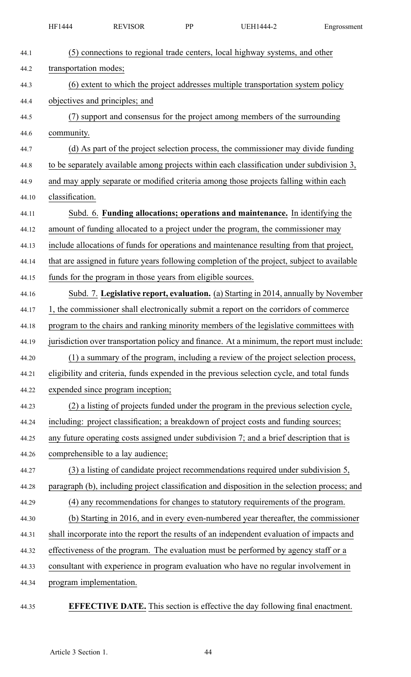|       | HF1444                  | <b>REVISOR</b>                                              | PP | UEH1444-2                                                                                     | Engrossment |
|-------|-------------------------|-------------------------------------------------------------|----|-----------------------------------------------------------------------------------------------|-------------|
| 44.1  |                         |                                                             |    | (5) connections to regional trade centers, local highway systems, and other                   |             |
| 44.2  | transportation modes;   |                                                             |    |                                                                                               |             |
| 44.3  |                         |                                                             |    | (6) extent to which the project addresses multiple transportation system policy               |             |
| 44.4  |                         | objectives and principles; and                              |    |                                                                                               |             |
| 44.5  |                         |                                                             |    | (7) support and consensus for the project among members of the surrounding                    |             |
| 44.6  | community.              |                                                             |    |                                                                                               |             |
| 44.7  |                         |                                                             |    | (d) As part of the project selection process, the commissioner may divide funding             |             |
| 44.8  |                         |                                                             |    | to be separately available among projects within each classification under subdivision 3,     |             |
| 44.9  |                         |                                                             |    | and may apply separate or modified criteria among those projects falling within each          |             |
| 44.10 | classification.         |                                                             |    |                                                                                               |             |
| 44.11 |                         |                                                             |    | Subd. 6. Funding allocations; operations and maintenance. In identifying the                  |             |
| 44.12 |                         |                                                             |    | amount of funding allocated to a project under the program, the commissioner may              |             |
| 44.13 |                         |                                                             |    | include allocations of funds for operations and maintenance resulting from that project,      |             |
| 44.14 |                         |                                                             |    | that are assigned in future years following completion of the project, subject to available   |             |
| 44.15 |                         | funds for the program in those years from eligible sources. |    |                                                                                               |             |
| 44.16 |                         |                                                             |    | Subd. 7. Legislative report, evaluation. (a) Starting in 2014, annually by November           |             |
| 44.17 |                         |                                                             |    | 1, the commissioner shall electronically submit a report on the corridors of commerce         |             |
| 44.18 |                         |                                                             |    | program to the chairs and ranking minority members of the legislative committees with         |             |
| 44.19 |                         |                                                             |    | jurisdiction over transportation policy and finance. At a minimum, the report must include:   |             |
| 44.20 |                         |                                                             |    | (1) a summary of the program, including a review of the project selection process,            |             |
| 44.21 |                         |                                                             |    | eligibility and criteria, funds expended in the previous selection cycle, and total funds     |             |
| 44.22 |                         | expended since program inception;                           |    |                                                                                               |             |
| 44.23 |                         |                                                             |    | (2) a listing of projects funded under the program in the previous selection cycle,           |             |
| 44.24 |                         |                                                             |    | including: project classification; a breakdown of project costs and funding sources;          |             |
| 44.25 |                         |                                                             |    | any future operating costs assigned under subdivision 7; and a brief description that is      |             |
| 44.26 |                         | comprehensible to a lay audience;                           |    |                                                                                               |             |
| 44.27 |                         |                                                             |    | (3) a listing of candidate project recommendations required under subdivision 5,              |             |
| 44.28 |                         |                                                             |    | paragraph (b), including project classification and disposition in the selection process; and |             |
| 44.29 |                         |                                                             |    | (4) any recommendations for changes to statutory requirements of the program.                 |             |
| 44.30 |                         |                                                             |    | (b) Starting in 2016, and in every even-numbered year thereafter, the commissioner            |             |
| 44.31 |                         |                                                             |    | shall incorporate into the report the results of an independent evaluation of impacts and     |             |
| 44.32 |                         |                                                             |    | effectiveness of the program. The evaluation must be performed by agency staff or a           |             |
| 44.33 |                         |                                                             |    | consultant with experience in program evaluation who have no regular involvement in           |             |
| 44.34 | program implementation. |                                                             |    |                                                                                               |             |
| 44.35 |                         |                                                             |    | <b>EFFECTIVE DATE.</b> This section is effective the day following final enactment.           |             |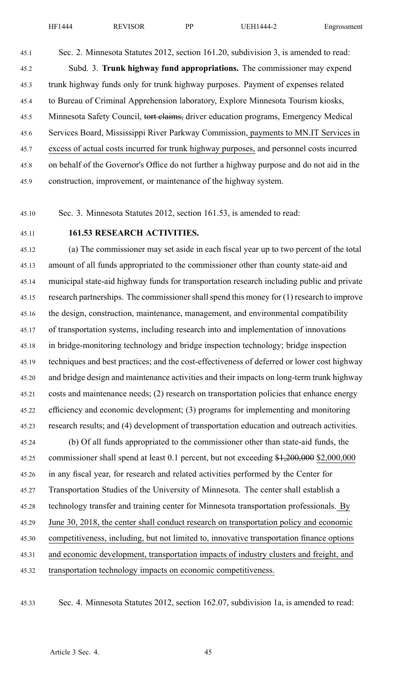45.1 Sec. 2. Minnesota Statutes 2012, section 161.20, subdivision 3, is amended to read: 45.2 Subd. 3. **Trunk highway fund appropriations.** The commissioner may expend 45.3 trunk highway funds only for trunk highway purposes. Payment of expenses related 45.4 to Bureau of Criminal Apprehension laboratory, Explore Minnesota Tourism kiosks, 45.5 Minnesota Safety Council, tort claims, driver education programs, Emergency Medical 45.6 Services Board, Mississippi River Parkway Commission, payments to MN.IT Services in 45.7 excess of actual costs incurred for trunk highway purposes, and personnel costs incurred 45.8 on behalf of the Governor's Office do not further <sup>a</sup> highway purpose and do not aid in the 45.9 construction, improvement, or maintenance of the highway system.

45.10 Sec. 3. Minnesota Statutes 2012, section 161.53, is amended to read:

### 45.11 **161.53 RESEARCH ACTIVITIES.**

45.12 (a) The commissioner may set aside in each fiscal year up to two percen<sup>t</sup> of the total 45.13 amount of all funds appropriated to the commissioner other than county state-aid and 45.14 municipal state-aid highway funds for transportation research including public and private 45.15 research partnerships. The commissioner shall spend this money for (1) research to improve 45.16 the design, construction, maintenance, management, and environmental compatibility 45.17 of transportation systems, including research into and implementation of innovations 45.18 in bridge-monitoring technology and bridge inspection technology; bridge inspection 45.19 techniques and best practices; and the cost-effectiveness of deferred or lower cost highway 45.20 and bridge design and maintenance activities and their impacts on long-term trunk highway 45.21 costs and maintenance needs; (2) research on transportation policies that enhance energy 45.22 efficiency and economic development; (3) programs for implementing and monitoring 45.23 research results; and (4) development of transportation education and outreach activities.

45.24 (b) Of all funds appropriated to the commissioner other than state-aid funds, the 45.25 commissioner shall spend at least 0.1 percent, but not exceeding \$1,200,000 \$2,000,000 45.26 in any fiscal year, for research and related activities performed by the Center for 45.27 Transportation Studies of the University of Minnesota. The center shall establish <sup>a</sup> 45.28 technology transfer and training center for Minnesota transportation professionals. By 45.29 June 30, 2018, the center shall conduct research on transportation policy and economic 45.30 competitiveness, including, but not limited to, innovative transportation finance options 45.31 and economic development, transportation impacts of industry clusters and freight, and 45.32 transportation technology impacts on economic competitiveness.

45.33 Sec. 4. Minnesota Statutes 2012, section 162.07, subdivision 1a, is amended to read: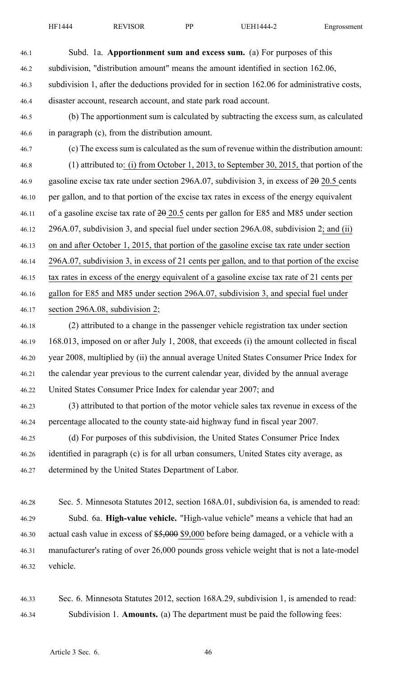46.1 Subd. 1a. **Apportionment sum and excess sum.** (a) For purposes of this 46.2 subdivision, "distribution amount" means the amount identified in section 162.06, 46.3 subdivision 1, after the deductions provided for in section 162.06 for administrative costs, 46.4 disaster account, research account, and state park road account.

- 46.5 (b) The apportionment sum is calculated by subtracting the excess sum, as calculated 46.6 in paragraph (c), from the distribution amount.
- 46.7 (c) The excess sum is calculated as the sum of revenue within the distribution amount: 46.8 (1) attributed to: (i) from October 1, 2013, to September 30, 2015, that portion of the 46.9 gasoline excise tax rate under section 296A.07, subdivision 3, in excess of 20 20.5 cents 46.10 per gallon, and to that portion of the excise tax rates in excess of the energy equivalent 46.11 of <sup>a</sup> gasoline excise tax rate of 20 20.5 cents per gallon for E85 and M85 under section 46.12 296A.07, subdivision 3, and special fuel under section 296A.08, subdivision 2; and (ii) 46.13 on and after October 1, 2015, that portion of the gasoline excise tax rate under section 46.14 296A.07, subdivision 3, in excess of 21 cents per gallon, and to that portion of the excise 46.15 tax rates in excess of the energy equivalent of <sup>a</sup> gasoline excise tax rate of 21 cents per 46.16 gallon for E85 and M85 under section 296A.07, subdivision 3, and special fuel under 46.17 section 296A.08, subdivision 2;
- 46.18 (2) attributed to <sup>a</sup> change in the passenger vehicle registration tax under section 46.19 168.013, imposed on or after July 1, 2008, that exceeds (i) the amount collected in fiscal 46.20 year 2008, multiplied by (ii) the annual average United States Consumer Price Index for 46.21 the calendar year previous to the current calendar year, divided by the annual average 46.22 United States Consumer Price Index for calendar year 2007; and
- 46.23 (3) attributed to that portion of the motor vehicle sales tax revenue in excess of the 46.24 percentage allocated to the county state-aid highway fund in fiscal year 2007.
- 46.25 (d) For purposes of this subdivision, the United States Consumer Price Index 46.26 identified in paragraph (c) is for all urban consumers, United States city average, as 46.27 determined by the United States Department of Labor.
- 46.28 Sec. 5. Minnesota Statutes 2012, section 168A.01, subdivision 6a, is amended to read: 46.29 Subd. 6a. **High-value vehicle.** "High-value vehicle" means <sup>a</sup> vehicle that had an 46.30 actual cash value in excess of \$5,000 \$9,000 before being damaged, or a vehicle with a 46.31 manufacturer's rating of over 26,000 pounds gross vehicle weight that is not <sup>a</sup> late-model 46.32 vehicle.
- 46.33 Sec. 6. Minnesota Statutes 2012, section 168A.29, subdivision 1, is amended to read: 46.34 Subdivision 1. **Amounts.** (a) The department must be paid the following fees: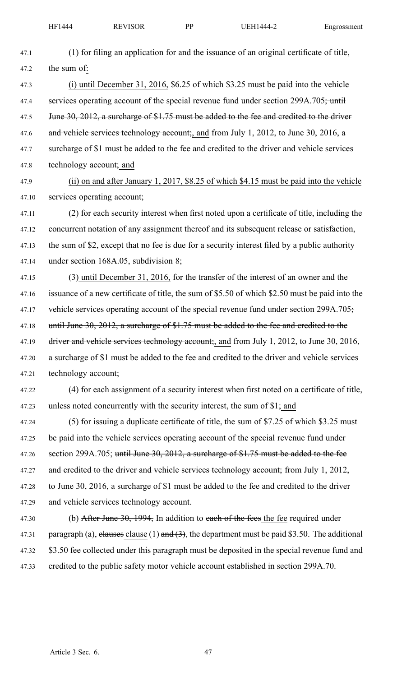| 47.1  | (1) for filing an application for and the issuance of an original certificate of title,         |
|-------|-------------------------------------------------------------------------------------------------|
| 47.2  | the sum of:                                                                                     |
| 47.3  | (i) until December 31, 2016, $$6.25$ of which $$3.25$ must be paid into the vehicle             |
| 47.4  | services operating account of the special revenue fund under section 299A.705; until            |
| 47.5  | June 30, 2012, a surcharge of \$1.75 must be added to the fee and credited to the driver        |
| 47.6  | and vehicle services technology account; and from July 1, 2012, to June 30, 2016, a             |
| 47.7  | surcharge of \$1 must be added to the fee and credited to the driver and vehicle services       |
| 47.8  | technology account; and                                                                         |
| 47.9  | (ii) on and after January 1, 2017, \$8.25 of which \$4.15 must be paid into the vehicle         |
| 47.10 | services operating account;                                                                     |
| 47.11 | (2) for each security interest when first noted upon a certificate of title, including the      |
| 47.12 | concurrent notation of any assignment thereof and its subsequent release or satisfaction,       |
| 47.13 | the sum of \$2, except that no fee is due for a security interest filed by a public authority   |
| 47.14 | under section $168A.05$ , subdivision 8;                                                        |
| 47.15 | (3) until December 31, 2016, for the transfer of the interest of an owner and the               |
| 47.16 | issuance of a new certificate of title, the sum of \$5.50 of which \$2.50 must be paid into the |
| 47.17 | vehicle services operating account of the special revenue fund under section 299A.705;          |
| 47.18 | until June 30, 2012, a surcharge of \$1.75 must be added to the fee and credited to the         |
| 47.19 | driver and vehicle services technology account; and from July 1, 2012, to June 30, 2016,        |
| 47.20 | a surcharge of \$1 must be added to the fee and credited to the driver and vehicle services     |
| 47.21 | technology account;                                                                             |
| 47.22 | (4) for each assignment of a security interest when first noted on a certificate of title,      |
| 47.23 | unless noted concurrently with the security interest, the sum of \$1; and                       |
| 47.24 | (5) for issuing a duplicate certificate of title, the sum of \$7.25 of which \$3.25 must        |
| 47.25 | be paid into the vehicle services operating account of the special revenue fund under           |
| 47.26 | section 299A.705; until June 30, 2012, a surcharge of \$1.75 must be added to the fee           |
| 47.27 | and credited to the driver and vehicle services technology account; from July 1, 2012,          |
| 47.28 | to June 30, 2016, a surcharge of \$1 must be added to the fee and credited to the driver        |
| 47.29 | and vehicle services technology account.                                                        |
| 47.30 | (b) After June 30, 1994, In addition to each of the fees the fee required under                 |
| 47.31 | paragraph (a), elauses clause (1) and (3), the department must be paid \$3.50. The additional   |
| 47.32 | \$3.50 fee collected under this paragraph must be deposited in the special revenue fund and     |
| 47.33 | credited to the public safety motor vehicle account established in section 299A.70.             |
|       |                                                                                                 |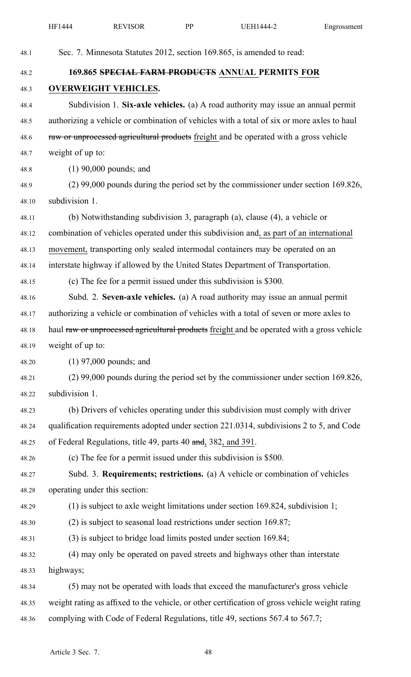|       | HF1444                        | <b>REVISOR</b>                                                | PP | <b>UEH1444-2</b>                                                                               | Engrossment |
|-------|-------------------------------|---------------------------------------------------------------|----|------------------------------------------------------------------------------------------------|-------------|
| 48.1  |                               |                                                               |    | Sec. 7. Minnesota Statutes 2012, section 169.865, is amended to read:                          |             |
| 48.2  |                               |                                                               |    | 169.865 SPECIAL FARM PRODUCTS ANNUAL PERMITS FOR                                               |             |
| 48.3  |                               | <b>OVERWEIGHT VEHICLES.</b>                                   |    |                                                                                                |             |
| 48.4  |                               |                                                               |    | Subdivision 1. Six-axle vehicles. (a) A road authority may issue an annual permit              |             |
| 48.5  |                               |                                                               |    | authorizing a vehicle or combination of vehicles with a total of six or more axles to haul     |             |
| 48.6  |                               |                                                               |    | raw or unprocessed agricultural products freight and be operated with a gross vehicle          |             |
| 48.7  | weight of up to:              |                                                               |    |                                                                                                |             |
| 48.8  |                               | $(1)$ 90,000 pounds; and                                      |    |                                                                                                |             |
| 48.9  |                               |                                                               |    | $(2)$ 99,000 pounds during the period set by the commissioner under section 169.826,           |             |
| 48.10 | subdivision 1.                |                                                               |    |                                                                                                |             |
| 48.11 |                               |                                                               |    | (b) Notwithstanding subdivision 3, paragraph (a), clause (4), a vehicle or                     |             |
| 48.12 |                               |                                                               |    | combination of vehicles operated under this subdivision and, as part of an international       |             |
| 48.13 |                               |                                                               |    | movement, transporting only sealed intermodal containers may be operated on an                 |             |
| 48.14 |                               |                                                               |    | interstate highway if allowed by the United States Department of Transportation.               |             |
| 48.15 |                               |                                                               |    | (c) The fee for a permit issued under this subdivision is \$300.                               |             |
| 48.16 |                               |                                                               |    | Subd. 2. Seven-axle vehicles. (a) A road authority may issue an annual permit                  |             |
| 48.17 |                               |                                                               |    | authorizing a vehicle or combination of vehicles with a total of seven or more axles to        |             |
| 48.18 |                               |                                                               |    | haul raw or unprocessed agricultural products freight and be operated with a gross vehicle     |             |
| 48.19 | weight of up to:              |                                                               |    |                                                                                                |             |
| 48.20 |                               | $(1)$ 97,000 pounds; and                                      |    |                                                                                                |             |
| 48.21 |                               |                                                               |    | $(2)$ 99,000 pounds during the period set by the commissioner under section 169.826,           |             |
| 48.22 | subdivision 1.                |                                                               |    |                                                                                                |             |
| 48.23 |                               |                                                               |    | (b) Drivers of vehicles operating under this subdivision must comply with driver               |             |
| 48.24 |                               |                                                               |    | qualification requirements adopted under section 221.0314, subdivisions 2 to 5, and Code       |             |
| 48.25 |                               | of Federal Regulations, title 49, parts 40 and, 382, and 391. |    |                                                                                                |             |
| 48.26 |                               |                                                               |    | (c) The fee for a permit issued under this subdivision is \$500.                               |             |
| 48.27 |                               |                                                               |    | Subd. 3. Requirements; restrictions. (a) A vehicle or combination of vehicles                  |             |
| 48.28 | operating under this section: |                                                               |    |                                                                                                |             |
| 48.29 |                               |                                                               |    | $(1)$ is subject to axle weight limitations under section 169.824, subdivision 1;              |             |
| 48.30 |                               |                                                               |    | $(2)$ is subject to seasonal load restrictions under section 169.87;                           |             |
| 48.31 |                               |                                                               |    | (3) is subject to bridge load limits posted under section 169.84;                              |             |
| 48.32 |                               |                                                               |    | (4) may only be operated on paved streets and highways other than interstate                   |             |
| 48.33 | highways;                     |                                                               |    |                                                                                                |             |
| 48.34 |                               |                                                               |    | (5) may not be operated with loads that exceed the manufacturer's gross vehicle                |             |
| 48.35 |                               |                                                               |    | weight rating as affixed to the vehicle, or other certification of gross vehicle weight rating |             |
| 48.36 |                               |                                                               |    | complying with Code of Federal Regulations, title 49, sections 567.4 to 567.7;                 |             |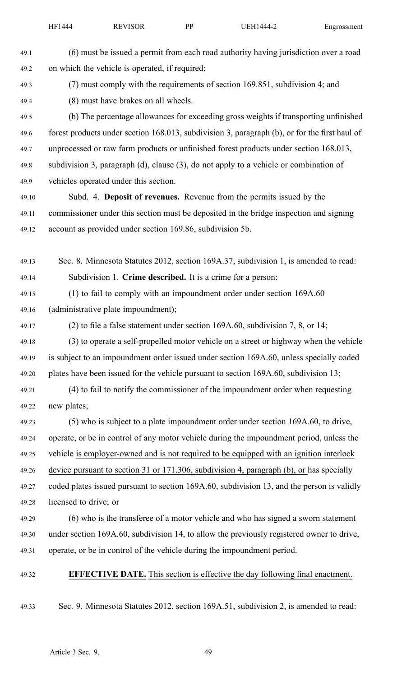| 49.1  | (6) must be issued a permit from each road authority having jurisdiction over a road          |
|-------|-----------------------------------------------------------------------------------------------|
| 49.2  | on which the vehicle is operated, if required;                                                |
| 49.3  | (7) must comply with the requirements of section 169.851, subdivision 4; and                  |
| 49.4  | (8) must have brakes on all wheels.                                                           |
| 49.5  | (b) The percentage allowances for exceeding gross weights if transporting unfinished          |
| 49.6  | forest products under section 168.013, subdivision 3, paragraph (b), or for the first haul of |
| 49.7  | unprocessed or raw farm products or unfinished forest products under section 168.013,         |
| 49.8  | subdivision 3, paragraph (d), clause (3), do not apply to a vehicle or combination of         |
| 49.9  | vehicles operated under this section.                                                         |
| 49.10 | Subd. 4. Deposit of revenues. Revenue from the permits issued by the                          |
| 49.11 | commissioner under this section must be deposited in the bridge inspection and signing        |
| 49.12 | account as provided under section 169.86, subdivision 5b.                                     |
|       |                                                                                               |
| 49.13 | Sec. 8. Minnesota Statutes 2012, section 169A.37, subdivision 1, is amended to read:          |
| 49.14 | Subdivision 1. Crime described. It is a crime for a person:                                   |
| 49.15 | (1) to fail to comply with an impoundment order under section 169A.60                         |
| 49.16 | (administrative plate impoundment);                                                           |
| 49.17 | (2) to file a false statement under section $169A.60$ , subdivision 7, 8, or 14;              |
| 49.18 | (3) to operate a self-propelled motor vehicle on a street or highway when the vehicle         |
| 49.19 | is subject to an impoundment order issued under section 169A.60, unless specially coded       |
| 49.20 | plates have been issued for the vehicle pursuant to section 169A.60, subdivision 13;          |
| 49.21 | (4) to fail to notify the commissioner of the impoundment order when requesting               |
| 49.22 | new plates;                                                                                   |
| 49.23 | (5) who is subject to a plate impoundment order under section 169A.60, to drive,              |
| 49.24 | operate, or be in control of any motor vehicle during the impoundment period, unless the      |
| 49.25 | vehicle is employer-owned and is not required to be equipped with an ignition interlock       |
| 49.26 | device pursuant to section 31 or 171.306, subdivision 4, paragraph (b), or has specially      |
| 49.27 | coded plates issued pursuant to section 169A.60, subdivision 13, and the person is validly    |
| 49.28 | licensed to drive; or                                                                         |
| 49.29 | (6) who is the transferee of a motor vehicle and who has signed a sworn statement             |
| 49.30 | under section 169A.60, subdivision 14, to allow the previously registered owner to drive,     |
| 49.31 | operate, or be in control of the vehicle during the impoundment period.                       |
| 49.32 | <b>EFFECTIVE DATE.</b> This section is effective the day following final enactment.           |
| 49.33 | Sec. 9. Minnesota Statutes 2012, section 169A.51, subdivision 2, is amended to read:          |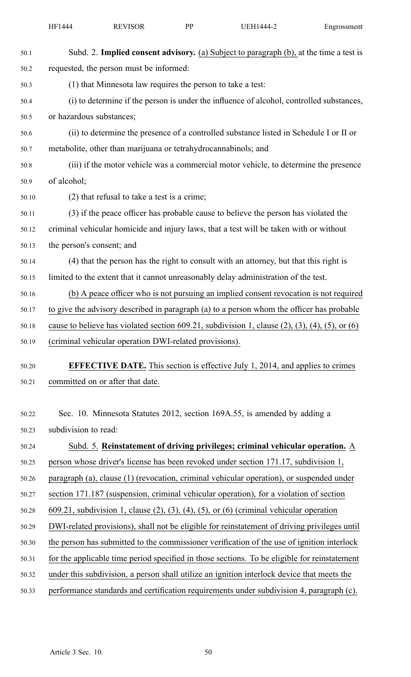| 50.1  | Subd. 2. Implied consent advisory. (a) Subject to paragraph (b), at the time a test is                       |
|-------|--------------------------------------------------------------------------------------------------------------|
| 50.2  | requested, the person must be informed:                                                                      |
| 50.3  | (1) that Minnesota law requires the person to take a test:                                                   |
| 50.4  | (i) to determine if the person is under the influence of alcohol, controlled substances,                     |
| 50.5  | or hazardous substances;                                                                                     |
| 50.6  | (ii) to determine the presence of a controlled substance listed in Schedule I or II or                       |
| 50.7  | metabolite, other than marijuana or tetrahydrocannabinols; and                                               |
| 50.8  | (iii) if the motor vehicle was a commercial motor vehicle, to determine the presence                         |
| 50.9  | of alcohol;                                                                                                  |
| 50.10 | (2) that refusal to take a test is a crime;                                                                  |
| 50.11 | (3) if the peace officer has probable cause to believe the person has violated the                           |
| 50.12 | criminal vehicular homicide and injury laws, that a test will be taken with or without                       |
| 50.13 | the person's consent; and                                                                                    |
| 50.14 | (4) that the person has the right to consult with an attorney, but that this right is                        |
| 50.15 | limited to the extent that it cannot unreasonably delay administration of the test.                          |
| 50.16 | (b) A peace officer who is not pursuing an implied consent revocation is not required                        |
| 50.17 | to give the advisory described in paragraph (a) to a person whom the officer has probable                    |
| 50.18 | cause to believe has violated section 609.21, subdivision 1, clause $(2)$ , $(3)$ , $(4)$ , $(5)$ , or $(6)$ |
| 50.19 | (criminal vehicular operation DWI-related provisions).                                                       |
| 50.20 | <b>EFFECTIVE DATE.</b> This section is effective July 1, 2014, and applies to crimes                         |
| 50.21 | committed on or after that date.                                                                             |
|       |                                                                                                              |
| 50.22 | Sec. 10. Minnesota Statutes 2012, section 169A.55, is amended by adding a                                    |
| 50.23 | subdivision to read:                                                                                         |
| 50.24 | Subd. 5. Reinstatement of driving privileges; criminal vehicular operation. A                                |
| 50.25 | person whose driver's license has been revoked under section 171.17, subdivision 1,                          |
| 50.26 | paragraph (a), clause (1) (revocation, criminal vehicular operation), or suspended under                     |
| 50.27 | section 171.187 (suspension, criminal vehicular operation), for a violation of section                       |
| 50.28 | $609.21$ , subdivision 1, clause (2), (3), (4), (5), or (6) (criminal vehicular operation                    |
| 50.29 | DWI-related provisions), shall not be eligible for reinstatement of driving privileges until                 |
| 50.30 | the person has submitted to the commissioner verification of the use of ignition interlock                   |
| 50.31 | for the applicable time period specified in those sections. To be eligible for reinstatement                 |
| 50.32 | under this subdivision, a person shall utilize an ignition interlock device that meets the                   |
| 50.33 | performance standards and certification requirements under subdivision 4, paragraph (c).                     |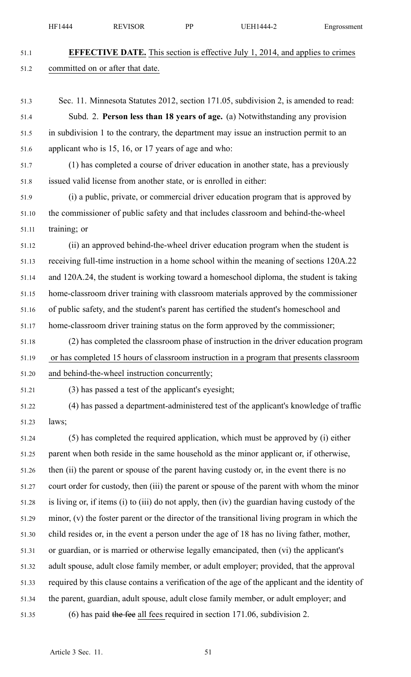HF1444 REVISOR PP UEH1444-2 Engrossment

51.8 issued valid license from another state, or is enrolled in either:

51.1 **EFFECTIVE DATE.** This section is effective July 1, 2014, and applies to crimes 51.2 committed on or after that date. 51.3 Sec. 11. Minnesota Statutes 2012, section 171.05, subdivision 2, is amended to read: 51.4 Subd. 2. **Person less than 18 years of age.** (a) Notwithstanding any provision 51.5 in subdivision 1 to the contrary, the department may issue an instruction permit to an 51.6 applicant who is 15, 16, or 17 years of age and who: 51.7 (1) has completed <sup>a</sup> course of driver education in another state, has <sup>a</sup> previously

51.9 (i) <sup>a</sup> public, private, or commercial driver education program that is approved by 51.10 the commissioner of public safety and that includes classroom and behind-the-wheel 51.11 training; or

51.12 (ii) an approved behind-the-wheel driver education program when the student is 51.13 receiving full-time instruction in <sup>a</sup> home school within the meaning of sections 120A.22 51.14 and 120A.24, the student is working toward <sup>a</sup> homeschool diploma, the student is taking 51.15 home-classroom driver training with classroom materials approved by the commissioner 51.16 of public safety, and the student's paren<sup>t</sup> has certified the student's homeschool and 51.17 home-classroom driver training status on the form approved by the commissioner;

- 51.18 (2) has completed the classroom phase of instruction in the driver education program 51.19 or has completed 15 hours of classroom instruction in <sup>a</sup> program that presents classroom 51.20 and behind-the-wheel instruction concurrently;
- 

51.21 (3) has passed <sup>a</sup> test of the applicant's eyesight;

51.22 (4) has passed <sup>a</sup> department-administered test of the applicant's knowledge of traffic 51.23 laws;

51.24 (5) has completed the required application, which must be approved by (i) either 51.25 paren<sup>t</sup> when both reside in the same household as the minor applicant or, if otherwise, 51.26 then (ii) the paren<sup>t</sup> or spouse of the paren<sup>t</sup> having custody or, in the event there is no 51.27 court order for custody, then (iii) the paren<sup>t</sup> or spouse of the paren<sup>t</sup> with whom the minor 51.28 is living or, if items (i) to (iii) do not apply, then (iv) the guardian having custody of the 51.29 minor, (v) the foster paren<sup>t</sup> or the director of the transitional living program in which the 51.30 child resides or, in the event <sup>a</sup> person under the age of 18 has no living father, mother, 51.31 or guardian, or is married or otherwise legally emancipated, then (vi) the applicant's 51.32 adult spouse, adult close family member, or adult employer; provided, that the approval 51.33 required by this clause contains <sup>a</sup> verification of the age of the applicant and the identity of 51.34 the parent, guardian, adult spouse, adult close family member, or adult employer; and 51.35 (6) has paid the fee all fees required in section 171.06, subdivision 2.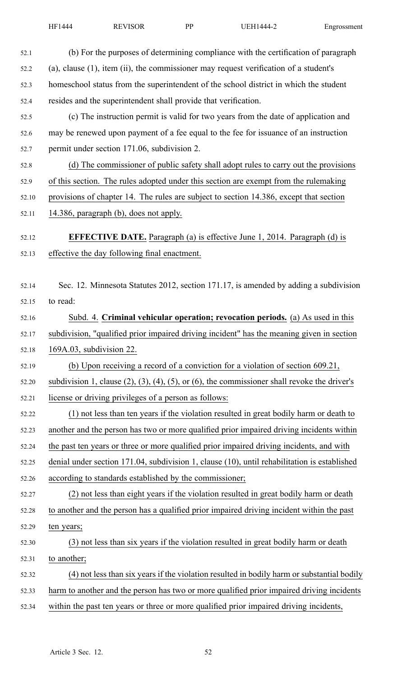| 52.1  | (b) For the purposes of determining compliance with the certification of paragraph                          |
|-------|-------------------------------------------------------------------------------------------------------------|
| 52.2  | $(a)$ , clause $(1)$ , item $(ii)$ , the commissioner may request verification of a student's               |
| 52.3  | homeschool status from the superintendent of the school district in which the student                       |
| 52.4  | resides and the superintendent shall provide that verification.                                             |
| 52.5  | (c) The instruction permit is valid for two years from the date of application and                          |
| 52.6  | may be renewed upon payment of a fee equal to the fee for issuance of an instruction                        |
| 52.7  | permit under section 171.06, subdivision 2.                                                                 |
| 52.8  | (d) The commissioner of public safety shall adopt rules to carry out the provisions                         |
| 52.9  | of this section. The rules adopted under this section are exempt from the rulemaking                        |
| 52.10 | provisions of chapter 14. The rules are subject to section 14.386, except that section                      |
| 52.11 | 14.386, paragraph (b), does not apply.                                                                      |
| 52.12 | <b>EFFECTIVE DATE.</b> Paragraph (a) is effective June 1, 2014. Paragraph (d) is                            |
| 52.13 | effective the day following final enactment.                                                                |
|       |                                                                                                             |
| 52.14 | Sec. 12. Minnesota Statutes 2012, section 171.17, is amended by adding a subdivision                        |
| 52.15 | to read:                                                                                                    |
| 52.16 | Subd. 4. Criminal vehicular operation; revocation periods. (a) As used in this                              |
| 52.17 | subdivision, "qualified prior impaired driving incident" has the meaning given in section                   |
| 52.18 | 169A.03, subdivision 22.                                                                                    |
| 52.19 | (b) Upon receiving a record of a conviction for a violation of section 609.21,                              |
| 52.20 | subdivision 1, clause $(2)$ , $(3)$ , $(4)$ , $(5)$ , or $(6)$ , the commissioner shall revoke the driver's |
| 52.21 | license or driving privileges of a person as follows:                                                       |
| 52.22 | (1) not less than ten years if the violation resulted in great bodily harm or death to                      |
| 52.23 | another and the person has two or more qualified prior impaired driving incidents within                    |
| 52.24 | the past ten years or three or more qualified prior impaired driving incidents, and with                    |
| 52.25 | denial under section 171.04, subdivision 1, clause (10), until rehabilitation is established                |
| 52.26 | according to standards established by the commissioner;                                                     |
| 52.27 | (2) not less than eight years if the violation resulted in great bodily harm or death                       |
| 52.28 | to another and the person has a qualified prior impaired driving incident within the past                   |
| 52.29 | ten years;                                                                                                  |
| 52.30 | (3) not less than six years if the violation resulted in great bodily harm or death                         |
| 52.31 | to another;                                                                                                 |
| 52.32 | (4) not less than six years if the violation resulted in bodily harm or substantial bodily                  |
| 52.33 | harm to another and the person has two or more qualified prior impaired driving incidents                   |
| 52.34 | within the past ten years or three or more qualified prior impaired driving incidents,                      |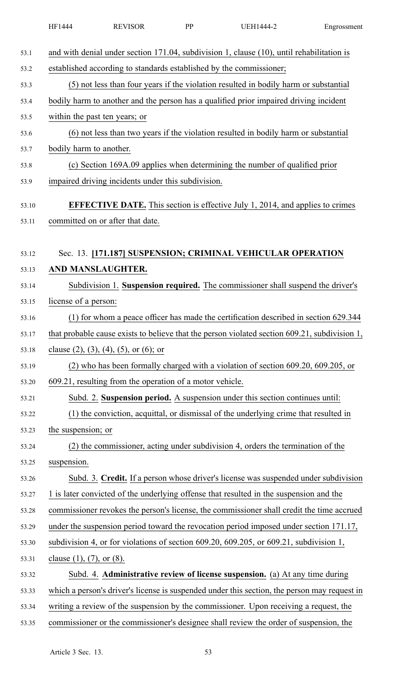|       | HF1444                                                                                          | <b>REVISOR</b>                                                                        | PP | <b>UEH1444-2</b>                                                                              | Engrossment |  |  |  |
|-------|-------------------------------------------------------------------------------------------------|---------------------------------------------------------------------------------------|----|-----------------------------------------------------------------------------------------------|-------------|--|--|--|
| 53.1  | and with denial under section $171.04$ , subdivision 1, clause $(10)$ , until rehabilitation is |                                                                                       |    |                                                                                               |             |  |  |  |
| 53.2  | established according to standards established by the commissioner;                             |                                                                                       |    |                                                                                               |             |  |  |  |
| 53.3  | (5) not less than four years if the violation resulted in bodily harm or substantial            |                                                                                       |    |                                                                                               |             |  |  |  |
| 53.4  |                                                                                                 | bodily harm to another and the person has a qualified prior impaired driving incident |    |                                                                                               |             |  |  |  |
| 53.5  |                                                                                                 | within the past ten years; or                                                         |    |                                                                                               |             |  |  |  |
| 53.6  |                                                                                                 | (6) not less than two years if the violation resulted in bodily harm or substantial   |    |                                                                                               |             |  |  |  |
| 53.7  | bodily harm to another.                                                                         |                                                                                       |    |                                                                                               |             |  |  |  |
| 53.8  |                                                                                                 |                                                                                       |    | (c) Section 169A.09 applies when determining the number of qualified prior                    |             |  |  |  |
| 53.9  |                                                                                                 | impaired driving incidents under this subdivision.                                    |    |                                                                                               |             |  |  |  |
| 53.10 |                                                                                                 |                                                                                       |    | <b>EFFECTIVE DATE.</b> This section is effective July 1, 2014, and applies to crimes          |             |  |  |  |
| 53.11 |                                                                                                 | committed on or after that date.                                                      |    |                                                                                               |             |  |  |  |
|       |                                                                                                 |                                                                                       |    |                                                                                               |             |  |  |  |
| 53.12 |                                                                                                 |                                                                                       |    | Sec. 13. [171.187] SUSPENSION; CRIMINAL VEHICULAR OPERATION                                   |             |  |  |  |
| 53.13 | AND MANSLAUGHTER.                                                                               |                                                                                       |    |                                                                                               |             |  |  |  |
| 53.14 |                                                                                                 |                                                                                       |    | Subdivision 1. Suspension required. The commissioner shall suspend the driver's               |             |  |  |  |
| 53.15 | license of a person:                                                                            |                                                                                       |    |                                                                                               |             |  |  |  |
| 53.16 |                                                                                                 |                                                                                       |    | (1) for whom a peace officer has made the certification described in section 629.344          |             |  |  |  |
| 53.17 |                                                                                                 |                                                                                       |    | that probable cause exists to believe that the person violated section 609.21, subdivision 1, |             |  |  |  |
| 53.18 |                                                                                                 | clause $(2)$ , $(3)$ , $(4)$ , $(5)$ , or $(6)$ ; or                                  |    |                                                                                               |             |  |  |  |
| 53.19 |                                                                                                 |                                                                                       |    | (2) who has been formally charged with a violation of section 609.20, 609.205, or             |             |  |  |  |
| 53.20 |                                                                                                 | 609.21, resulting from the operation of a motor vehicle.                              |    |                                                                                               |             |  |  |  |
| 53.21 |                                                                                                 |                                                                                       |    | Subd. 2. Suspension period. A suspension under this section continues until:                  |             |  |  |  |
| 53.22 |                                                                                                 |                                                                                       |    | (1) the conviction, acquittal, or dismissal of the underlying crime that resulted in          |             |  |  |  |
| 53.23 | the suspension; or                                                                              |                                                                                       |    |                                                                                               |             |  |  |  |
| 53.24 |                                                                                                 |                                                                                       |    | (2) the commissioner, acting under subdivision 4, orders the termination of the               |             |  |  |  |
| 53.25 | suspension.                                                                                     |                                                                                       |    |                                                                                               |             |  |  |  |
| 53.26 |                                                                                                 |                                                                                       |    | Subd. 3. Credit. If a person whose driver's license was suspended under subdivision           |             |  |  |  |
| 53.27 |                                                                                                 |                                                                                       |    | 1 is later convicted of the underlying offense that resulted in the suspension and the        |             |  |  |  |
| 53.28 |                                                                                                 |                                                                                       |    | commissioner revokes the person's license, the commissioner shall credit the time accrued     |             |  |  |  |
| 53.29 |                                                                                                 |                                                                                       |    | under the suspension period toward the revocation period imposed under section 171.17,        |             |  |  |  |
| 53.30 |                                                                                                 |                                                                                       |    | subdivision 4, or for violations of section 609.20, 609.205, or 609.21, subdivision 1,        |             |  |  |  |
| 53.31 | clause $(1)$ , $(7)$ , or $(8)$ .                                                               |                                                                                       |    |                                                                                               |             |  |  |  |
| 53.32 |                                                                                                 |                                                                                       |    | Subd. 4. Administrative review of license suspension. (a) At any time during                  |             |  |  |  |
| 53.33 |                                                                                                 |                                                                                       |    | which a person's driver's license is suspended under this section, the person may request in  |             |  |  |  |
| 53.34 |                                                                                                 |                                                                                       |    | writing a review of the suspension by the commissioner. Upon receiving a request, the         |             |  |  |  |
| 53.35 |                                                                                                 |                                                                                       |    | commissioner or the commissioner's designee shall review the order of suspension, the         |             |  |  |  |
|       |                                                                                                 |                                                                                       |    |                                                                                               |             |  |  |  |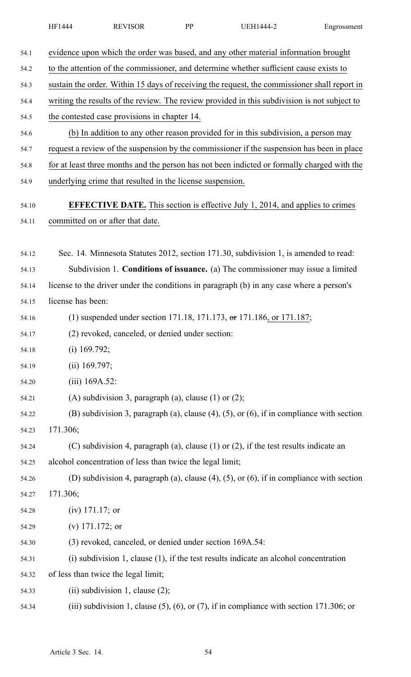|  | HF1444 | <b>REVISOR</b> | DD | JEH1444-2 | Engrossment |
|--|--------|----------------|----|-----------|-------------|
|--|--------|----------------|----|-----------|-------------|

| evidence upon which the order was based, and any other material information brought               |  |  |  |  |  |
|---------------------------------------------------------------------------------------------------|--|--|--|--|--|
| to the attention of the commissioner, and determine whether sufficient cause exists to            |  |  |  |  |  |
| sustain the order. Within 15 days of receiving the request, the commissioner shall report in      |  |  |  |  |  |
| writing the results of the review. The review provided in this subdivision is not subject to      |  |  |  |  |  |
| the contested case provisions in chapter 14.                                                      |  |  |  |  |  |
| (b) In addition to any other reason provided for in this subdivision, a person may                |  |  |  |  |  |
| request a review of the suspension by the commissioner if the suspension has been in place        |  |  |  |  |  |
| for at least three months and the person has not been indicted or formally charged with the       |  |  |  |  |  |
| underlying crime that resulted in the license suspension.                                         |  |  |  |  |  |
| <b>EFFECTIVE DATE.</b> This section is effective July 1, 2014, and applies to crimes              |  |  |  |  |  |
| committed on or after that date.                                                                  |  |  |  |  |  |
| Sec. 14. Minnesota Statutes 2012, section 171.30, subdivision 1, is amended to read:              |  |  |  |  |  |
| Subdivision 1. Conditions of issuance. (a) The commissioner may issue a limited                   |  |  |  |  |  |
| license to the driver under the conditions in paragraph (b) in any case where a person's          |  |  |  |  |  |
| license has been:                                                                                 |  |  |  |  |  |
| (1) suspended under section 171.18, 171.173, or 171.186, or 171.187;                              |  |  |  |  |  |
| (2) revoked, canceled, or denied under section:                                                   |  |  |  |  |  |
| $(i)$ 169.792;                                                                                    |  |  |  |  |  |
| $(ii)$ 169.797;                                                                                   |  |  |  |  |  |
| $(iii)$ 169A.52:                                                                                  |  |  |  |  |  |
| (A) subdivision 3, paragraph (a), clause $(1)$ or $(2)$ ;                                         |  |  |  |  |  |
| (B) subdivision 3, paragraph (a), clause $(4)$ , $(5)$ , or $(6)$ , if in compliance with section |  |  |  |  |  |
| 171.306;                                                                                          |  |  |  |  |  |
| (C) subdivision 4, paragraph (a), clause $(1)$ or $(2)$ , if the test results indicate an         |  |  |  |  |  |
| alcohol concentration of less than twice the legal limit;                                         |  |  |  |  |  |
| (D) subdivision 4, paragraph (a), clause $(4)$ , $(5)$ , or $(6)$ , if in compliance with section |  |  |  |  |  |
| 171.306;                                                                                          |  |  |  |  |  |
| $(iv)$ 171.17; or                                                                                 |  |  |  |  |  |
| (v) $171.172$ ; or                                                                                |  |  |  |  |  |
| (3) revoked, canceled, or denied under section 169A.54:                                           |  |  |  |  |  |
| $(i)$ subdivision 1, clause $(1)$ , if the test results indicate an alcohol concentration         |  |  |  |  |  |
| of less than twice the legal limit;                                                               |  |  |  |  |  |
| (ii) subdivision 1, clause $(2)$ ;                                                                |  |  |  |  |  |
| (iii) subdivision 1, clause $(5)$ , $(6)$ , or $(7)$ , if in compliance with section 171.306; or  |  |  |  |  |  |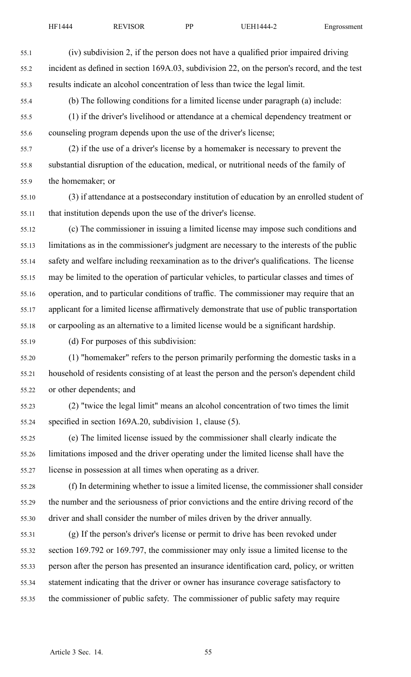55.1 (iv) subdivision 2, if the person does not have <sup>a</sup> qualified prior impaired driving

| 55.2  | incident as defined in section 169A.03, subdivision 22, on the person's record, and the test |
|-------|----------------------------------------------------------------------------------------------|
| 55.3  | results indicate an alcohol concentration of less than twice the legal limit.                |
| 55.4  | (b) The following conditions for a limited license under paragraph (a) include:              |
| 55.5  | (1) if the driver's livelihood or attendance at a chemical dependency treatment or           |
| 55.6  | counseling program depends upon the use of the driver's license;                             |
| 55.7  | (2) if the use of a driver's license by a homemaker is necessary to prevent the              |
| 55.8  | substantial disruption of the education, medical, or nutritional needs of the family of      |
| 55.9  | the homemaker; or                                                                            |
| 55.10 | (3) if attendance at a postsecondary institution of education by an enrolled student of      |
| 55.11 | that institution depends upon the use of the driver's license.                               |
| 55.12 | (c) The commissioner in issuing a limited license may impose such conditions and             |
| 55.13 | limitations as in the commissioner's judgment are necessary to the interests of the public   |
| 55.14 | safety and welfare including reexamination as to the driver's qualifications. The license    |
| 55.15 | may be limited to the operation of particular vehicles, to particular classes and times of   |
| 55.16 | operation, and to particular conditions of traffic. The commissioner may require that an     |
| 55.17 | applicant for a limited license affirmatively demonstrate that use of public transportation  |
| 55.18 | or carpooling as an alternative to a limited license would be a significant hardship.        |
| 55.19 | (d) For purposes of this subdivision:                                                        |
| 55.20 | (1) "homemaker" refers to the person primarily performing the domestic tasks in a            |
| 55.21 | household of residents consisting of at least the person and the person's dependent child    |
| 55.22 | or other dependents; and                                                                     |
| 55.23 | (2) "twice the legal limit" means an alcohol concentration of two times the limit            |
| 55.24 | specified in section 169A.20, subdivision 1, clause (5).                                     |
| 55.25 | (e) The limited license issued by the commissioner shall clearly indicate the                |
| 55.26 | limitations imposed and the driver operating under the limited license shall have the        |
| 55.27 | license in possession at all times when operating as a driver.                               |
| 55.28 | (f) In determining whether to issue a limited license, the commissioner shall consider       |
| 55.29 | the number and the seriousness of prior convictions and the entire driving record of the     |
| 55.30 | driver and shall consider the number of miles driven by the driver annually.                 |
| 55.31 | (g) If the person's driver's license or permit to drive has been revoked under               |
| 55.32 | section 169.792 or 169.797, the commissioner may only issue a limited license to the         |
| 55.33 | person after the person has presented an insurance identification card, policy, or written   |
| 55.34 | statement indicating that the driver or owner has insurance coverage satisfactory to         |
| 55.35 | the commissioner of public safety. The commissioner of public safety may require             |

Article 3 Sec. 14. 55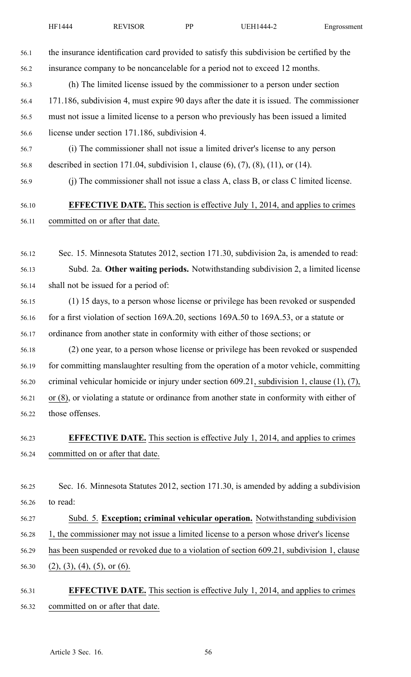| 56.1  | the insurance identification card provided to satisfy this subdivision be certified by the      |
|-------|-------------------------------------------------------------------------------------------------|
| 56.2  | insurance company to be noncancelable for a period not to exceed 12 months.                     |
| 56.3  | (h) The limited license issued by the commissioner to a person under section                    |
| 56.4  | 171.186, subdivision 4, must expire 90 days after the date it is issued. The commissioner       |
| 56.5  | must not issue a limited license to a person who previously has been issued a limited           |
| 56.6  | license under section 171.186, subdivision 4.                                                   |
| 56.7  | (i) The commissioner shall not issue a limited driver's license to any person                   |
| 56.8  | described in section 171.04, subdivision 1, clause $(6)$ , $(7)$ , $(8)$ , $(11)$ , or $(14)$ . |
| 56.9  | (j) The commissioner shall not issue a class A, class B, or class C limited license.            |
| 56.10 | <b>EFFECTIVE DATE.</b> This section is effective July 1, 2014, and applies to crimes            |
| 56.11 | committed on or after that date.                                                                |
|       |                                                                                                 |
| 56.12 | Sec. 15. Minnesota Statutes 2012, section 171.30, subdivision 2a, is amended to read:           |
| 56.13 | Subd. 2a. Other waiting periods. Notwithstanding subdivision 2, a limited license               |
| 56.14 | shall not be issued for a period of:                                                            |
| 56.15 | (1) 15 days, to a person whose license or privilege has been revoked or suspended               |
| 56.16 | for a first violation of section 169A.20, sections 169A.50 to 169A.53, or a statute or          |
| 56.17 | ordinance from another state in conformity with either of those sections; or                    |
| 56.18 | (2) one year, to a person whose license or privilege has been revoked or suspended              |
| 56.19 | for committing manslaughter resulting from the operation of a motor vehicle, committing         |
| 56.20 | criminal vehicular homicide or injury under section $609.21$ , subdivision 1, clause (1), (7),  |
| 56.21 | or (8), or violating a statute or ordinance from another state in conformity with either of     |
| 56.22 | those offenses.                                                                                 |
| 56.23 | <b>EFFECTIVE DATE.</b> This section is effective July 1, 2014, and applies to crimes            |
| 56.24 | committed on or after that date.                                                                |
|       |                                                                                                 |
| 56.25 | Sec. 16. Minnesota Statutes 2012, section 171.30, is amended by adding a subdivision            |
| 56.26 | to read:                                                                                        |
| 56.27 | Subd. 5. Exception; criminal vehicular operation. Notwithstanding subdivision                   |
| 56.28 | 1, the commissioner may not issue a limited license to a person whose driver's license          |
| 56.29 | has been suspended or revoked due to a violation of section 609.21, subdivision 1, clause       |
| 56.30 | $(2), (3), (4), (5),$ or $(6)$ .                                                                |

56.31 **EFFECTIVE DATE.** This section is effective July 1, 2014, and applies to crimes 56.32 committed on or after that date.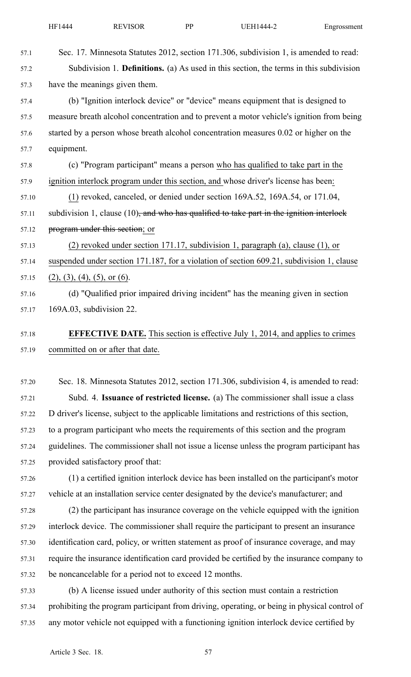| 57.1  | Sec. 17. Minnesota Statutes 2012, section 171.306, subdivision 1, is amended to read:         |
|-------|-----------------------------------------------------------------------------------------------|
| 57.2  | Subdivision 1. <b>Definitions.</b> (a) As used in this section, the terms in this subdivision |
| 57.3  | have the meanings given them.                                                                 |
| 57.4  | (b) "Ignition interlock device" or "device" means equipment that is designed to               |
| 57.5  | measure breath alcohol concentration and to prevent a motor vehicle's ignition from being     |
| 57.6  | started by a person whose breath alcohol concentration measures 0.02 or higher on the         |
| 57.7  | equipment.                                                                                    |
| 57.8  | (c) "Program participant" means a person who has qualified to take part in the                |
| 57.9  | ignition interlock program under this section, and whose driver's license has been:           |
| 57.10 | (1) revoked, canceled, or denied under section 169A.52, 169A.54, or 171.04,                   |
| 57.11 | subdivision 1, clause $(10)$ , and who has qualified to take part in the ignition interlock   |
| 57.12 | program under this section; or                                                                |
| 57.13 | $(2)$ revoked under section 171.17, subdivision 1, paragraph $(a)$ , clause $(1)$ , or        |
| 57.14 | suspended under section 171.187, for a violation of section 609.21, subdivision 1, clause     |
| 57.15 | $(2), (3), (4), (5),$ or $(6)$ .                                                              |
| 57.16 | (d) "Qualified prior impaired driving incident" has the meaning given in section              |
| 57.17 | 169A.03, subdivision 22.                                                                      |
| 57.18 | <b>EFFECTIVE DATE.</b> This section is effective July 1, 2014, and applies to crimes          |
| 57.19 | committed on or after that date.                                                              |
| 57.20 | Sec. 18. Minnesota Statutes 2012, section 171.306, subdivision 4, is amended to read:         |
| 57.21 | Subd. 4. Issuance of restricted license. (a) The commissioner shall issue a class             |
| 57.22 | D driver's license, subject to the applicable limitations and restrictions of this section,   |
| 57.23 | to a program participant who meets the requirements of this section and the program           |
| 57.24 | guidelines. The commissioner shall not issue a license unless the program participant has     |
| 57.25 | provided satisfactory proof that:                                                             |
| 57.26 | (1) a certified ignition interlock device has been installed on the participant's motor       |
| 57.27 | vehicle at an installation service center designated by the device's manufacturer; and        |
| 57.28 | (2) the participant has insurance coverage on the vehicle equipped with the ignition          |
| 57.29 | interlock device. The commissioner shall require the participant to present an insurance      |
| 57.30 | identification card, policy, or written statement as proof of insurance coverage, and may     |
|       |                                                                                               |

57.31 require the insurance identification card provided be certified by the insurance company to 57.32 be noncancelable for <sup>a</sup> period not to exceed 12 months.

57.33 (b) A license issued under authority of this section must contain <sup>a</sup> restriction 57.34 prohibiting the program participant from driving, operating, or being in physical control of 57.35 any motor vehicle not equipped with <sup>a</sup> functioning ignition interlock device certified by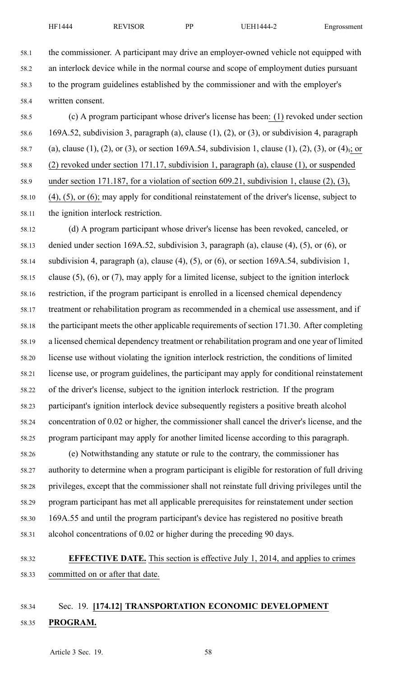58.1 the commissioner. A participant may drive an employer-owned vehicle not equipped with 58.2 an interlock device while in the normal course and scope of employment duties pursuan<sup>t</sup> 58.3 to the program guidelines established by the commissioner and with the employer's 58.4 written consent.

58.5 (c) A program participant whose driver's license has been: (1) revoked under section 58.6 169A.52, subdivision 3, paragraph (a), clause (1), (2), or (3), or subdivision 4, paragraph 58.7 (a), clause (1), (2), or (3), or section 169A.54, subdivision 1, clause (1), (2), (3), or (4), or 58.8 (2) revoked under section 171.17, subdivision 1, paragraph (a), clause (1), or suspended 58.9 under section 171.187, for <sup>a</sup> violation of section 609.21, subdivision 1, clause (2), (3), 58.10 (4), (5), or (6); may apply for conditional reinstatement of the driver's license, subject to 58.11 the ignition interlock restriction.

58.12 (d) A program participant whose driver's license has been revoked, canceled, or 58.13 denied under section 169A.52, subdivision 3, paragraph (a), clause (4), (5), or (6), or 58.14 subdivision 4, paragraph (a), clause (4), (5), or (6), or section 169A.54, subdivision 1, 58.15 clause (5), (6), or (7), may apply for <sup>a</sup> limited license, subject to the ignition interlock 58.16 restriction, if the program participant is enrolled in <sup>a</sup> licensed chemical dependency 58.17 treatment or rehabilitation program as recommended in <sup>a</sup> chemical use assessment, and if 58.18 the participant meets the other applicable requirements of section 171.30. After completing 58.19 <sup>a</sup> licensed chemical dependency treatment or rehabilitation program and one year of limited 58.20 license use without violating the ignition interlock restriction, the conditions of limited 58.21 license use, or program guidelines, the participant may apply for conditional reinstatement 58.22 of the driver's license, subject to the ignition interlock restriction. If the program 58.23 participant's ignition interlock device subsequently registers <sup>a</sup> positive breath alcohol 58.24 concentration of 0.02 or higher, the commissioner shall cancel the driver's license, and the 58.25 program participant may apply for another limited license according to this paragraph.

58.26 (e) Notwithstanding any statute or rule to the contrary, the commissioner has 58.27 authority to determine when <sup>a</sup> program participant is eligible for restoration of full driving 58.28 privileges, excep<sup>t</sup> that the commissioner shall not reinstate full driving privileges until the 58.29 program participant has met all applicable prerequisites for reinstatement under section 58.30 169A.55 and until the program participant's device has registered no positive breath 58.31 alcohol concentrations of 0.02 or higher during the preceding 90 days.

58.32 **EFFECTIVE DATE.** This section is effective July 1, 2014, and applies to crimes 58.33 committed on or after that date.

# 58.34 Sec. 19. **[174.12] TRANSPORTATION ECONOMIC DEVELOPMENT** 58.35 **PROGRAM.**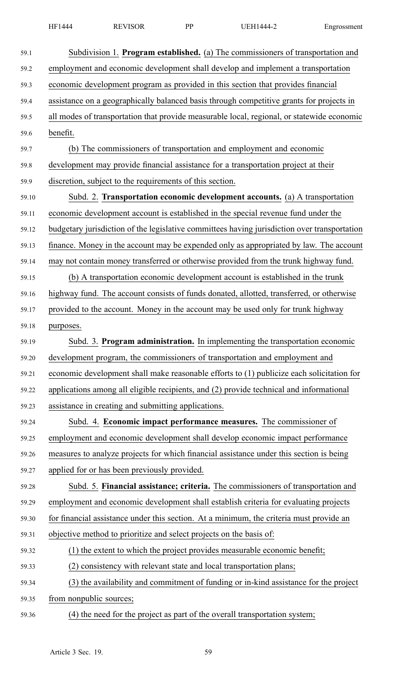| 59.1  | Subdivision 1. Program established. (a) The commissioners of transportation and              |
|-------|----------------------------------------------------------------------------------------------|
| 59.2  | employment and economic development shall develop and implement a transportation             |
| 59.3  | economic development program as provided in this section that provides financial             |
| 59.4  | assistance on a geographically balanced basis through competitive grants for projects in     |
| 59.5  | all modes of transportation that provide measurable local, regional, or statewide economic   |
| 59.6  | benefit.                                                                                     |
| 59.7  | (b) The commissioners of transportation and employment and economic                          |
| 59.8  | development may provide financial assistance for a transportation project at their           |
| 59.9  | discretion, subject to the requirements of this section.                                     |
| 59.10 | Subd. 2. Transportation economic development accounts. (a) A transportation                  |
| 59.11 | economic development account is established in the special revenue fund under the            |
| 59.12 | budgetary jurisdiction of the legislative committees having jurisdiction over transportation |
| 59.13 | finance. Money in the account may be expended only as appropriated by law. The account       |
| 59.14 | may not contain money transferred or otherwise provided from the trunk highway fund.         |
| 59.15 | (b) A transportation economic development account is established in the trunk                |
| 59.16 | highway fund. The account consists of funds donated, allotted, transferred, or otherwise     |
| 59.17 | provided to the account. Money in the account may be used only for trunk highway             |
| 59.18 | purposes.                                                                                    |
| 59.19 | Subd. 3. Program administration. In implementing the transportation economic                 |
| 59.20 | development program, the commissioners of transportation and employment and                  |
| 59.21 | economic development shall make reasonable efforts to (1) publicize each solicitation for    |
| 59.22 | applications among all eligible recipients, and (2) provide technical and informational      |
| 59.23 | assistance in creating and submitting applications.                                          |
| 59.24 | Subd. 4. Economic impact performance measures. The commissioner of                           |
| 59.25 | employment and economic development shall develop economic impact performance                |
| 59.26 | measures to analyze projects for which financial assistance under this section is being      |
| 59.27 | applied for or has been previously provided.                                                 |
| 59.28 | Subd. 5. Financial assistance; criteria. The commissioners of transportation and             |
| 59.29 | employment and economic development shall establish criteria for evaluating projects         |
| 59.30 | for financial assistance under this section. At a minimum, the criteria must provide an      |
| 59.31 | objective method to prioritize and select projects on the basis of:                          |
| 59.32 | (1) the extent to which the project provides measurable economic benefit;                    |
| 59.33 | (2) consistency with relevant state and local transportation plans;                          |
| 59.34 | (3) the availability and commitment of funding or in-kind assistance for the project         |
| 59.35 | from nonpublic sources;                                                                      |
|       |                                                                                              |

59.36 (4) the need for the project as par<sup>t</sup> of the overall transportation system;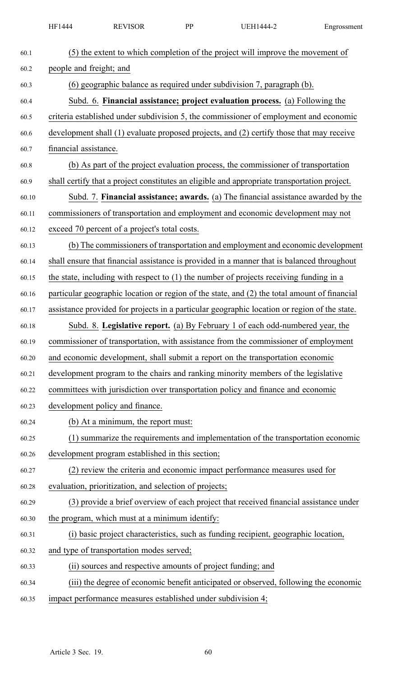| 60.1  | (5) the extent to which completion of the project will improve the movement of               |
|-------|----------------------------------------------------------------------------------------------|
| 60.2  | people and freight; and                                                                      |
| 60.3  | (6) geographic balance as required under subdivision 7, paragraph (b).                       |
| 60.4  | Subd. 6. Financial assistance; project evaluation process. (a) Following the                 |
| 60.5  | criteria established under subdivision 5, the commissioner of employment and economic        |
| 60.6  | development shall (1) evaluate proposed projects, and (2) certify those that may receive     |
| 60.7  | financial assistance.                                                                        |
| 60.8  | (b) As part of the project evaluation process, the commissioner of transportation            |
| 60.9  | shall certify that a project constitutes an eligible and appropriate transportation project. |
| 60.10 | Subd. 7. Financial assistance; awards. (a) The financial assistance awarded by the           |
| 60.11 | commissioners of transportation and employment and economic development may not              |
| 60.12 | exceed 70 percent of a project's total costs.                                                |
| 60.13 | (b) The commissioners of transportation and employment and economic development              |
| 60.14 | shall ensure that financial assistance is provided in a manner that is balanced throughout   |
| 60.15 | the state, including with respect to $(1)$ the number of projects receiving funding in a     |
| 60.16 | particular geographic location or region of the state, and (2) the total amount of financial |
| 60.17 | assistance provided for projects in a particular geographic location or region of the state. |
| 60.18 | Subd. 8. Legislative report. (a) By February 1 of each odd-numbered year, the                |
| 60.19 | commissioner of transportation, with assistance from the commissioner of employment          |
| 60.20 | and economic development, shall submit a report on the transportation economic               |
| 60.21 | development program to the chairs and ranking minority members of the legislative            |
| 60.22 | committees with jurisdiction over transportation policy and finance and economic             |
| 60.23 | development policy and finance.                                                              |
| 60.24 | (b) At a minimum, the report must:                                                           |
| 60.25 | (1) summarize the requirements and implementation of the transportation economic             |
| 60.26 | development program established in this section;                                             |
| 60.27 | (2) review the criteria and economic impact performance measures used for                    |
| 60.28 | evaluation, prioritization, and selection of projects;                                       |
| 60.29 | (3) provide a brief overview of each project that received financial assistance under        |
| 60.30 | the program, which must at a minimum identify:                                               |
| 60.31 | (i) basic project characteristics, such as funding recipient, geographic location,           |
| 60.32 | and type of transportation modes served;                                                     |
| 60.33 | (ii) sources and respective amounts of project funding; and                                  |
| 60.34 | (iii) the degree of economic benefit anticipated or observed, following the economic         |
| 60.35 | impact performance measures established under subdivision 4;                                 |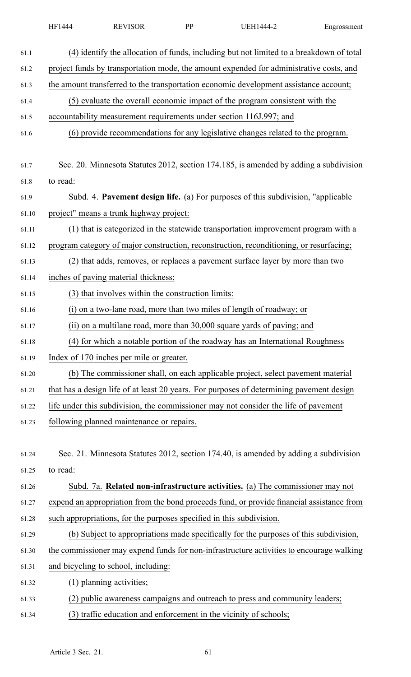| HF1444 | <b>REVISOR</b><br>- N.L | DD | TEH1444-. | Engrossment |
|--------|-------------------------|----|-----------|-------------|
|--------|-------------------------|----|-----------|-------------|

| 61.1  | (4) identify the allocation of funds, including but not limited to a breakdown of total   |
|-------|-------------------------------------------------------------------------------------------|
| 61.2  | project funds by transportation mode, the amount expended for administrative costs, and   |
| 61.3  | the amount transferred to the transportation economic development assistance account;     |
| 61.4  | (5) evaluate the overall economic impact of the program consistent with the               |
| 61.5  | accountability measurement requirements under section 116J.997; and                       |
| 61.6  | (6) provide recommendations for any legislative changes related to the program.           |
|       |                                                                                           |
| 61.7  | Sec. 20. Minnesota Statutes 2012, section 174.185, is amended by adding a subdivision     |
| 61.8  | to read:                                                                                  |
| 61.9  | Subd. 4. Pavement design life. (a) For purposes of this subdivision, "applicable          |
| 61.10 | project" means a trunk highway project:                                                   |
| 61.11 | (1) that is categorized in the statewide transportation improvement program with a        |
| 61.12 | program category of major construction, reconstruction, reconditioning, or resurfacing;   |
| 61.13 | (2) that adds, removes, or replaces a pavement surface layer by more than two             |
| 61.14 | inches of paving material thickness;                                                      |
| 61.15 | (3) that involves within the construction limits:                                         |
| 61.16 | (i) on a two-lane road, more than two miles of length of roadway; or                      |
| 61.17 | (ii) on a multilane road, more than 30,000 square yards of paving; and                    |
| 61.18 | (4) for which a notable portion of the roadway has an International Roughness             |
| 61.19 | Index of 170 inches per mile or greater.                                                  |
| 61.20 | (b) The commissioner shall, on each applicable project, select pavement material          |
| 61.21 | that has a design life of at least 20 years. For purposes of determining pavement design  |
| 61.22 | life under this subdivision, the commissioner may not consider the life of pavement       |
| 61.23 | following planned maintenance or repairs.                                                 |
|       |                                                                                           |
| 61.24 | Sec. 21. Minnesota Statutes 2012, section 174.40, is amended by adding a subdivision      |
| 61.25 | to read:                                                                                  |
| 61.26 | Subd. 7a. Related non-infrastructure activities. (a) The commissioner may not             |
| 61.27 | expend an appropriation from the bond proceeds fund, or provide financial assistance from |
| 61.28 | such appropriations, for the purposes specified in this subdivision.                      |
| 61.29 | (b) Subject to appropriations made specifically for the purposes of this subdivision,     |
| 61.30 | the commissioner may expend funds for non-infrastructure activities to encourage walking  |
| 61.31 | and bicycling to school, including:                                                       |
| 61.32 | (1) planning activities;                                                                  |
| 61.33 | (2) public awareness campaigns and outreach to press and community leaders;               |
| 61.34 | (3) traffic education and enforcement in the vicinity of schools;                         |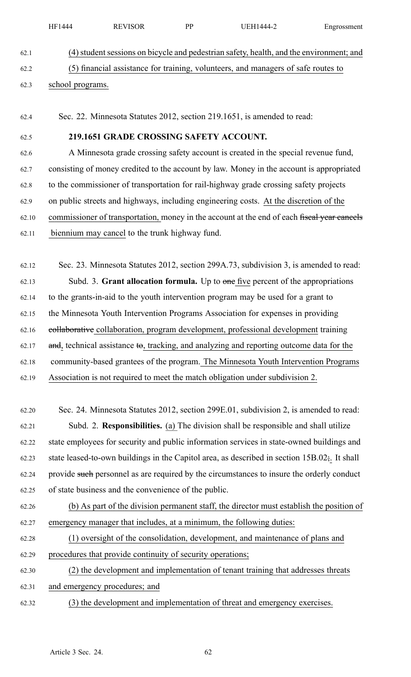| DD<br>4 H<br>` Ի<br>$\sqrt{ }$<br>. .<br>- 10<br>. <u>.</u> .<br>1 V L<br>. . |
|-------------------------------------------------------------------------------|
|-------------------------------------------------------------------------------|

# 62.1 (4)studentsessions on bicycle and pedestrian safety, health, and the environment; and 62.2 (5) financial assistance for training, volunteers, and managers of safe routes to 62.3 school programs.

62.4 Sec. 22. Minnesota Statutes 2012, section 219.1651, is amended to read:

### 62.5 **219.1651 GRADE CROSSING SAFETY ACCOUNT.**

62.6 A Minnesota grade crossing safety account is created in the special revenue fund, 62.7 consisting of money credited to the account by law. Money in the account is appropriated 62.8 to the commissioner of transportation for rail-highway grade crossing safety projects 62.9 on public streets and highways, including engineering costs. At the discretion of the 62.10 commissioner of transportation, money in the account at the end of each fiscal year cancels 62.11 biennium may cancel to the trunk highway fund.

62.12 Sec. 23. Minnesota Statutes 2012, section 299A.73, subdivision 3, is amended to read: 62.13 Subd. 3. **Grant allocation formula.** Up to one five percen<sup>t</sup> of the appropriations 62.14 to the grants-in-aid to the youth intervention program may be used for <sup>a</sup> gran<sup>t</sup> to 62.15 the Minnesota Youth Intervention Programs Association for expenses in providing 62.16 collaborative collaboration, program development, professional development training 62.17 and, technical assistance to, tracking, and analyzing and reporting outcome data for the 62.18 community-based grantees of the program. The Minnesota Youth Intervention Programs 62.19 Association is not required to meet the match obligation under subdivision 2.

62.20 Sec. 24. Minnesota Statutes 2012, section 299E.01, subdivision 2, is amended to read: 62.21 Subd. 2. **Responsibilities.** (a) The division shall be responsible and shall utilize 62.22 state employees for security and public information services in state-owned buildings and 62.23 state leased-to-own buildings in the Capitol area, as described in section  $15B.02$ ;. It shall 62.24 provide such personnel as are required by the circumstances to insure the orderly conduct 62.25 of state business and the convenience of the public.

62.26 (b) As par<sup>t</sup> of the division permanen<sup>t</sup> staff, the director must establish the position of 62.27 emergency manager that includes, at <sup>a</sup> minimum, the following duties:

62.28 (1) oversight of the consolidation, development, and maintenance of plans and 62.29 procedures that provide continuity of security operations;

62.30 (2) the development and implementation of tenant training that addresses threats 62.31 and emergency procedures; and

62.32 (3) the development and implementation of threat and emergency exercises.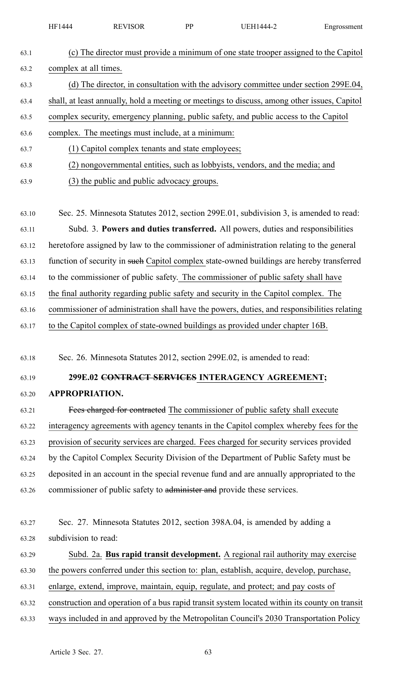|       | HF1444                                                                                      | <b>REVISOR</b>                                                                       | PP | UEH1444-2                                                                                     | Engrossment |  |  |  |
|-------|---------------------------------------------------------------------------------------------|--------------------------------------------------------------------------------------|----|-----------------------------------------------------------------------------------------------|-------------|--|--|--|
| 63.1  |                                                                                             |                                                                                      |    | (c) The director must provide a minimum of one state trooper assigned to the Capitol          |             |  |  |  |
| 63.2  | complex at all times.                                                                       |                                                                                      |    |                                                                                               |             |  |  |  |
| 63.3  |                                                                                             | (d) The director, in consultation with the advisory committee under section 299E.04, |    |                                                                                               |             |  |  |  |
| 63.4  |                                                                                             |                                                                                      |    | shall, at least annually, hold a meeting or meetings to discuss, among other issues, Capitol  |             |  |  |  |
| 63.5  |                                                                                             |                                                                                      |    | complex security, emergency planning, public safety, and public access to the Capitol         |             |  |  |  |
| 63.6  |                                                                                             | complex. The meetings must include, at a minimum:                                    |    |                                                                                               |             |  |  |  |
| 63.7  |                                                                                             | (1) Capitol complex tenants and state employees;                                     |    |                                                                                               |             |  |  |  |
| 63.8  |                                                                                             |                                                                                      |    | (2) nongovernmental entities, such as lobbyists, vendors, and the media; and                  |             |  |  |  |
| 63.9  |                                                                                             | (3) the public and public advocacy groups.                                           |    |                                                                                               |             |  |  |  |
| 63.10 |                                                                                             |                                                                                      |    | Sec. 25. Minnesota Statutes 2012, section 299E.01, subdivision 3, is amended to read:         |             |  |  |  |
| 63.11 |                                                                                             |                                                                                      |    | Subd. 3. Powers and duties transferred. All powers, duties and responsibilities               |             |  |  |  |
| 63.12 |                                                                                             |                                                                                      |    | heretofore assigned by law to the commissioner of administration relating to the general      |             |  |  |  |
| 63.13 |                                                                                             |                                                                                      |    | function of security in such Capitol complex state-owned buildings are hereby transferred     |             |  |  |  |
| 63.14 |                                                                                             |                                                                                      |    | to the commissioner of public safety. The commissioner of public safety shall have            |             |  |  |  |
| 63.15 | the final authority regarding public safety and security in the Capitol complex. The        |                                                                                      |    |                                                                                               |             |  |  |  |
| 63.16 | commissioner of administration shall have the powers, duties, and responsibilities relating |                                                                                      |    |                                                                                               |             |  |  |  |
| 63.17 |                                                                                             |                                                                                      |    | to the Capitol complex of state-owned buildings as provided under chapter 16B.                |             |  |  |  |
| 63.18 |                                                                                             |                                                                                      |    | Sec. 26. Minnesota Statutes 2012, section 299E.02, is amended to read:                        |             |  |  |  |
| 63.19 |                                                                                             |                                                                                      |    | 299E.02 CONTRACT SERVICES INTERAGENCY AGREEMENT;                                              |             |  |  |  |
| 63.20 | <b>APPROPRIATION.</b>                                                                       |                                                                                      |    |                                                                                               |             |  |  |  |
| 63.21 |                                                                                             |                                                                                      |    | Fees charged for contracted The commissioner of public safety shall execute                   |             |  |  |  |
| 63.22 |                                                                                             |                                                                                      |    | interagency agreements with agency tenants in the Capitol complex whereby fees for the        |             |  |  |  |
| 63.23 |                                                                                             |                                                                                      |    | provision of security services are charged. Fees charged for security services provided       |             |  |  |  |
| 63.24 |                                                                                             |                                                                                      |    | by the Capitol Complex Security Division of the Department of Public Safety must be           |             |  |  |  |
| 63.25 |                                                                                             |                                                                                      |    | deposited in an account in the special revenue fund and are annually appropriated to the      |             |  |  |  |
| 63.26 |                                                                                             |                                                                                      |    | commissioner of public safety to administer and provide these services.                       |             |  |  |  |
| 63.27 |                                                                                             |                                                                                      |    | Sec. 27. Minnesota Statutes 2012, section 398A.04, is amended by adding a                     |             |  |  |  |
| 63.28 | subdivision to read:                                                                        |                                                                                      |    |                                                                                               |             |  |  |  |
| 63.29 |                                                                                             |                                                                                      |    | Subd. 2a. Bus rapid transit development. A regional rail authority may exercise               |             |  |  |  |
| 63.30 |                                                                                             |                                                                                      |    | the powers conferred under this section to: plan, establish, acquire, develop, purchase,      |             |  |  |  |
| 63.31 |                                                                                             |                                                                                      |    | enlarge, extend, improve, maintain, equip, regulate, and protect; and pay costs of            |             |  |  |  |
| 63.32 |                                                                                             |                                                                                      |    | construction and operation of a bus rapid transit system located within its county on transit |             |  |  |  |

63.33 ways included in and approved by the Metropolitan Council's 2030 Transportation Policy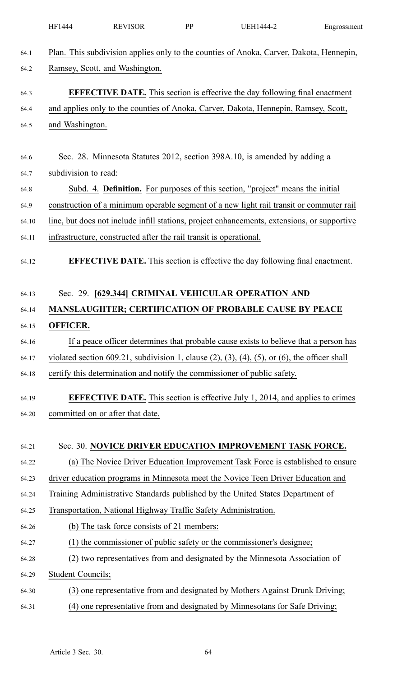|       | HF1444                                                                                  | <b>REVISOR</b>                                                                              | PP | <b>UEH1444-2</b>                                                                                            | Engrossment |  |  |  |  |
|-------|-----------------------------------------------------------------------------------------|---------------------------------------------------------------------------------------------|----|-------------------------------------------------------------------------------------------------------------|-------------|--|--|--|--|
| 64.1  | Plan. This subdivision applies only to the counties of Anoka, Carver, Dakota, Hennepin, |                                                                                             |    |                                                                                                             |             |  |  |  |  |
| 64.2  | Ramsey, Scott, and Washington.                                                          |                                                                                             |    |                                                                                                             |             |  |  |  |  |
| 64.3  |                                                                                         |                                                                                             |    | <b>EFFECTIVE DATE.</b> This section is effective the day following final enactment                          |             |  |  |  |  |
| 64.4  |                                                                                         | and applies only to the counties of Anoka, Carver, Dakota, Hennepin, Ramsey, Scott,         |    |                                                                                                             |             |  |  |  |  |
| 64.5  | and Washington.                                                                         |                                                                                             |    |                                                                                                             |             |  |  |  |  |
| 64.6  |                                                                                         |                                                                                             |    | Sec. 28. Minnesota Statutes 2012, section 398A.10, is amended by adding a                                   |             |  |  |  |  |
| 64.7  |                                                                                         | subdivision to read:                                                                        |    |                                                                                                             |             |  |  |  |  |
| 64.8  |                                                                                         | Subd. 4. Definition. For purposes of this section, "project" means the initial              |    |                                                                                                             |             |  |  |  |  |
| 64.9  |                                                                                         | construction of a minimum operable segment of a new light rail transit or commuter rail     |    |                                                                                                             |             |  |  |  |  |
| 64.10 |                                                                                         | line, but does not include infill stations, project enhancements, extensions, or supportive |    |                                                                                                             |             |  |  |  |  |
| 64.11 |                                                                                         | infrastructure, constructed after the rail transit is operational.                          |    |                                                                                                             |             |  |  |  |  |
| 64.12 |                                                                                         |                                                                                             |    | <b>EFFECTIVE DATE.</b> This section is effective the day following final enactment.                         |             |  |  |  |  |
|       |                                                                                         |                                                                                             |    |                                                                                                             |             |  |  |  |  |
| 64.13 |                                                                                         |                                                                                             |    | Sec. 29. [629.344] CRIMINAL VEHICULAR OPERATION AND                                                         |             |  |  |  |  |
| 64.14 |                                                                                         |                                                                                             |    | <b>MANSLAUGHTER; CERTIFICATION OF PROBABLE CAUSE BY PEACE</b>                                               |             |  |  |  |  |
| 64.15 | <b>OFFICER.</b>                                                                         |                                                                                             |    |                                                                                                             |             |  |  |  |  |
| 64.16 |                                                                                         |                                                                                             |    | If a peace officer determines that probable cause exists to believe that a person has                       |             |  |  |  |  |
| 64.17 |                                                                                         |                                                                                             |    | violated section 609.21, subdivision 1, clause $(2)$ , $(3)$ , $(4)$ , $(5)$ , or $(6)$ , the officer shall |             |  |  |  |  |
| 64.18 |                                                                                         |                                                                                             |    | certify this determination and notify the commissioner of public safety.                                    |             |  |  |  |  |
| 64.19 |                                                                                         |                                                                                             |    | <b>EFFECTIVE DATE.</b> This section is effective July 1, 2014, and applies to crimes                        |             |  |  |  |  |
| 64.20 |                                                                                         | committed on or after that date.                                                            |    |                                                                                                             |             |  |  |  |  |
| 64.21 |                                                                                         |                                                                                             |    | Sec. 30. NOVICE DRIVER EDUCATION IMPROVEMENT TASK FORCE.                                                    |             |  |  |  |  |
|       |                                                                                         |                                                                                             |    | (a) The Novice Driver Education Improvement Task Force is established to ensure                             |             |  |  |  |  |
| 64.22 |                                                                                         |                                                                                             |    |                                                                                                             |             |  |  |  |  |
| 64.23 |                                                                                         |                                                                                             |    | driver education programs in Minnesota meet the Novice Teen Driver Education and                            |             |  |  |  |  |
| 64.24 |                                                                                         |                                                                                             |    | Training Administrative Standards published by the United States Department of                              |             |  |  |  |  |
| 64.25 |                                                                                         | Transportation, National Highway Traffic Safety Administration.                             |    |                                                                                                             |             |  |  |  |  |
| 64.26 |                                                                                         | (b) The task force consists of 21 members:                                                  |    |                                                                                                             |             |  |  |  |  |
| 64.27 |                                                                                         |                                                                                             |    | (1) the commissioner of public safety or the commissioner's designee;                                       |             |  |  |  |  |
| 64.28 |                                                                                         |                                                                                             |    | (2) two representatives from and designated by the Minnesota Association of                                 |             |  |  |  |  |
| 64.29 | <b>Student Councils;</b>                                                                |                                                                                             |    |                                                                                                             |             |  |  |  |  |
| 64.30 |                                                                                         |                                                                                             |    | (3) one representative from and designated by Mothers Against Drunk Driving;                                |             |  |  |  |  |
| 64.31 |                                                                                         |                                                                                             |    | (4) one representative from and designated by Minnesotans for Safe Driving;                                 |             |  |  |  |  |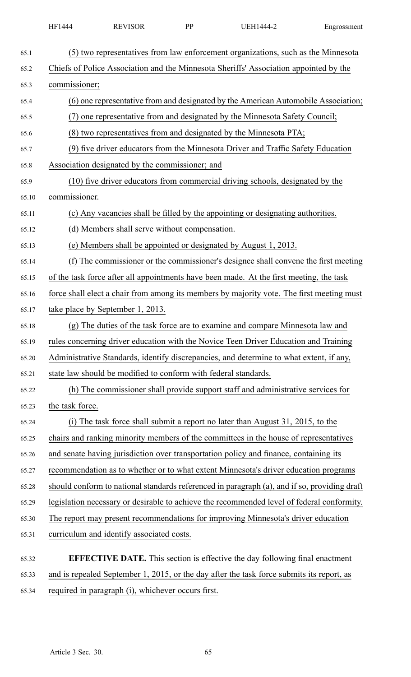| HF1444 | <b>EVISOR</b><br>$\overline{\phantom{a}}$ | DD | (FH1<br>. 1444 - | Engrossment |
|--------|-------------------------------------------|----|------------------|-------------|
|        |                                           |    |                  |             |

| 65.1  | (5) two representatives from law enforcement organizations, such as the Minnesota            |
|-------|----------------------------------------------------------------------------------------------|
| 65.2  | Chiefs of Police Association and the Minnesota Sheriffs' Association appointed by the        |
| 65.3  | commissioner;                                                                                |
| 65.4  | (6) one representative from and designated by the American Automobile Association;           |
| 65.5  | (7) one representative from and designated by the Minnesota Safety Council;                  |
| 65.6  | (8) two representatives from and designated by the Minnesota PTA;                            |
| 65.7  | (9) five driver educators from the Minnesota Driver and Traffic Safety Education             |
| 65.8  | Association designated by the commissioner; and                                              |
| 65.9  | (10) five driver educators from commercial driving schools, designated by the                |
| 65.10 | commissioner.                                                                                |
| 65.11 | (c) Any vacancies shall be filled by the appointing or designating authorities.              |
| 65.12 | (d) Members shall serve without compensation.                                                |
| 65.13 | (e) Members shall be appointed or designated by August 1, 2013.                              |
| 65.14 | (f) The commissioner or the commissioner's designee shall convene the first meeting          |
| 65.15 | of the task force after all appointments have been made. At the first meeting, the task      |
| 65.16 | force shall elect a chair from among its members by majority vote. The first meeting must    |
| 65.17 | take place by September 1, 2013.                                                             |
| 65.18 | The duties of the task force are to examine and compare Minnesota law and<br>(g)             |
| 65.19 | rules concerning driver education with the Novice Teen Driver Education and Training         |
| 65.20 | Administrative Standards, identify discrepancies, and determine to what extent, if any,      |
| 65.21 | state law should be modified to conform with federal standards.                              |
| 65.22 | (h) The commissioner shall provide support staff and administrative services for             |
| 65.23 | the task force.                                                                              |
| 65.24 | (i) The task force shall submit a report no later than August 31, 2015, to the               |
| 65.25 | chairs and ranking minority members of the committees in the house of representatives        |
| 65.26 | and senate having jurisdiction over transportation policy and finance, containing its        |
| 65.27 | recommendation as to whether or to what extent Minnesota's driver education programs         |
| 65.28 | should conform to national standards referenced in paragraph (a), and if so, providing draft |
| 65.29 | legislation necessary or desirable to achieve the recommended level of federal conformity.   |
| 65.30 | The report may present recommendations for improving Minnesota's driver education            |
| 65.31 | curriculum and identify associated costs.                                                    |
| 65.32 | <b>EFFECTIVE DATE.</b> This section is effective the day following final enactment           |
| 65.33 | and is repealed September 1, 2015, or the day after the task force submits its report, as    |

65.34 required in paragraph (i), whichever occurs first.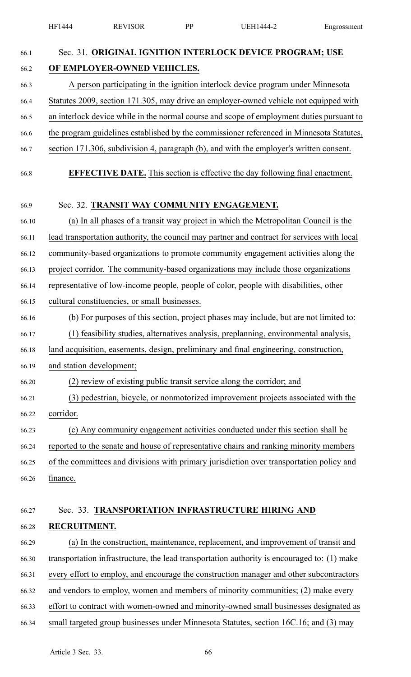HF1444 REVISOR PP UEH1444-2 Engrossment 66.1 Sec. 31. **ORIGINAL IGNITION INTERLOCK DEVICE PROGRAM; USE** 66.2 **OF EMPLOYER-OWNED VEHICLES.** 66.3 A person participating in the ignition interlock device program under Minnesota 66.4 Statutes 2009, section 171.305, may drive an employer-owned vehicle not equipped with 66.5 an interlock device while in the normal course and scope of employment duties pursuan<sup>t</sup> to 66.6 the program guidelines established by the commissioner referenced in Minnesota Statutes, 66.7 section 171.306, subdivision 4, paragraph (b), and with the employer's written consent. 66.8 **EFFECTIVE DATE.** This section is effective the day following final enactment. 66.9 Sec. 32. **TRANSIT WAY COMMUNITY ENGAGEMENT.** 66.10 (a) In all phases of <sup>a</sup> transit way project in which the Metropolitan Council is the 66.11 lead transportation authority, the council may partner and contract for services with local 66.12 community-based organizations to promote community engagemen<sup>t</sup> activities along the 66.13 project corridor. The community-based organizations may include those organizations 66.14 representative of low-income people, people of color, people with disabilities, other 66.15 cultural constituencies, or small businesses. 66.16 (b) For purposes of this section, project phases may include, but are not limited to: 66.17 (1) feasibility studies, alternatives analysis, preplanning, environmental analysis, 66.18 land acquisition, easements, design, preliminary and final engineering, construction, 66.19 and station development; 66.20 (2) review of existing public transit service along the corridor; and 66.21 (3) pedestrian, bicycle, or nonmotorized improvement projects associated with the 66.22 corridor. 66.23 (c) Any community engagemen<sup>t</sup> activities conducted under this section shall be 66.24 reported to the senate and house of representative chairs and ranking minority members 66.25 of the committees and divisions with primary jurisdiction over transportation policy and 66.26 finance. 66.27 Sec. 33. **TRANSPORTATION INFRASTRUCTURE HIRING AND** 66.28 **RECRUITMENT.** 66.29 (a) In the construction, maintenance, replacement, and improvement of transit and 66.30 transportation infrastructure, the lead transportation authority is encouraged to: (1) make 66.31 every effort to employ, and encourage the construction manager and other subcontractors 66.32 and vendors to employ, women and members of minority communities; (2) make every 66.33 effort to contract with women-owned and minority-owned small businesses designated as 66.34 small targeted group businesses under Minnesota Statutes, section 16C.16; and (3) may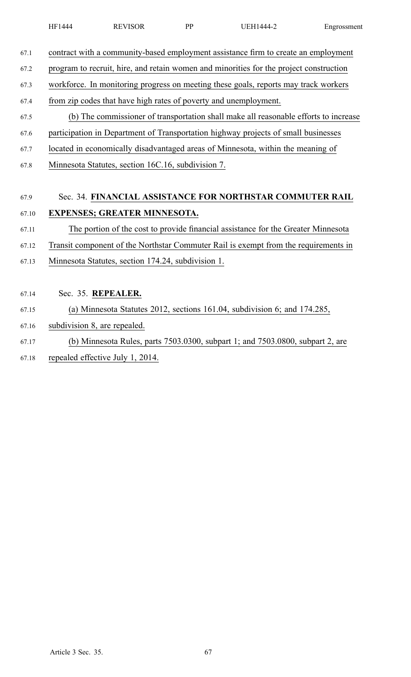- 
- 67.1 contract with <sup>a</sup> community-based employment assistance firm to create an employment
- 67.2 program to recruit, hire, and retain women and minorities for the project construction
- 67.3 workforce. In monitoring progress on meeting these goals, reports may track workers
- 67.4 from zip codes that have high rates of poverty and unemployment.
- 67.5 (b) The commissioner of transportation shall make all reasonable efforts to increase
- 67.6 participation in Department of Transportation highway projects of small businesses
- 67.7 located in economically disadvantaged areas of Minnesota, within the meaning of
- 67.8 Minnesota Statutes, section 16C.16, subdivision 7.

# 67.9 Sec. 34. **FINANCIAL ASSISTANCE FOR NORTHSTAR COMMUTER RAIL** 67.10 **EXPENSES; GREATER MINNESOTA.**

### 67.11 The portion of the cost to provide financial assistance for the Greater Minnesota

- 67.12 Transit componen<sup>t</sup> of the Northstar Commuter Rail is exemp<sup>t</sup> from the requirements in
- 67.13 Minnesota Statutes, section 174.24, subdivision 1.
- 67.14 Sec. 35. **REPEALER.**
- 67.15 (a) Minnesota Statutes 2012, sections 161.04, subdivision 6; and 174.285,
- 67.16 subdivision 8, are repealed.
- 67.17 (b) Minnesota Rules, parts 7503.0300, subpart 1; and 7503.0800, subpart 2, are
- 67.18 repealed effective July 1, 2014.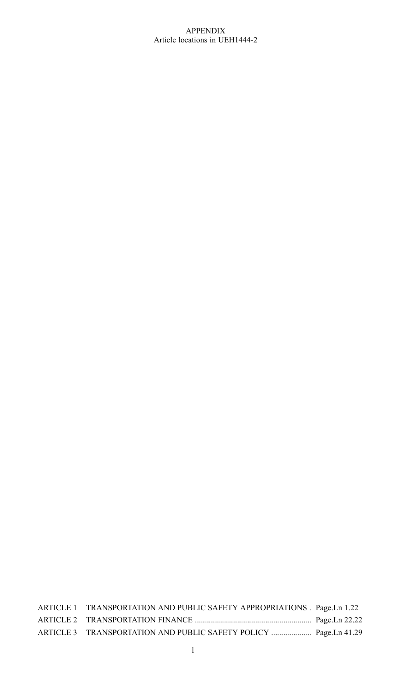### APPENDIX Article locations in UEH1444-2

| ARTICLE 1 TRANSPORTATION AND PUBLIC SAFETY APPROPRIATIONS . Page.Ln 1.22 |  |
|--------------------------------------------------------------------------|--|
|                                                                          |  |
|                                                                          |  |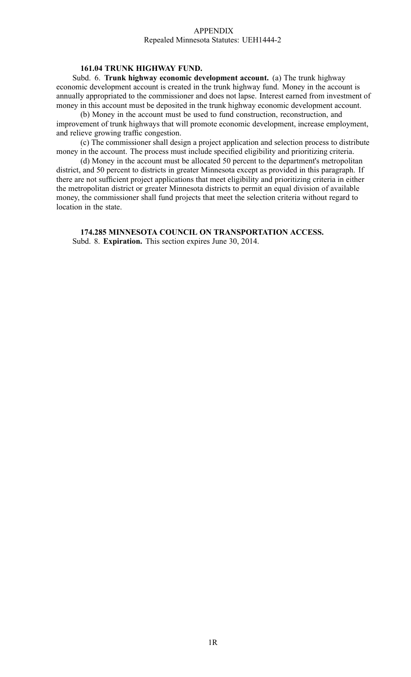#### APPENDIX Repealed Minnesota Statutes: UEH1444-2

### **161.04 TRUNK HIGHWAY FUND.**

Subd. 6. **Trunk highway economic development account.** (a) The trunk highway economic development account is created in the trunk highway fund. Money in the account is annually appropriated to the commissioner and does not lapse. Interest earned from investment of money in this account must be deposited in the trunk highway economic development account.

(b) Money in the account must be used to fund construction, reconstruction, and improvement of trunk highways that will promote economic development, increase employment, and relieve growing traffic congestion.

(c) The commissioner shall design <sup>a</sup> project application and selection process to distribute money in the account. The process must include specified eligibility and prioritizing criteria.

(d) Money in the account must be allocated 50 percen<sup>t</sup> to the department's metropolitan district, and 50 percen<sup>t</sup> to districts in greater Minnesota excep<sup>t</sup> as provided in this paragraph. If there are not sufficient project applications that meet eligibility and prioritizing criteria in either the metropolitan district or greater Minnesota districts to permit an equal division of available money, the commissioner shall fund projects that meet the selection criteria without regard to location in the state.

**174.285 MINNESOTA COUNCIL ON TRANSPORTATION ACCESS.** Subd. 8. **Expiration.** This section expires June 30, 2014.